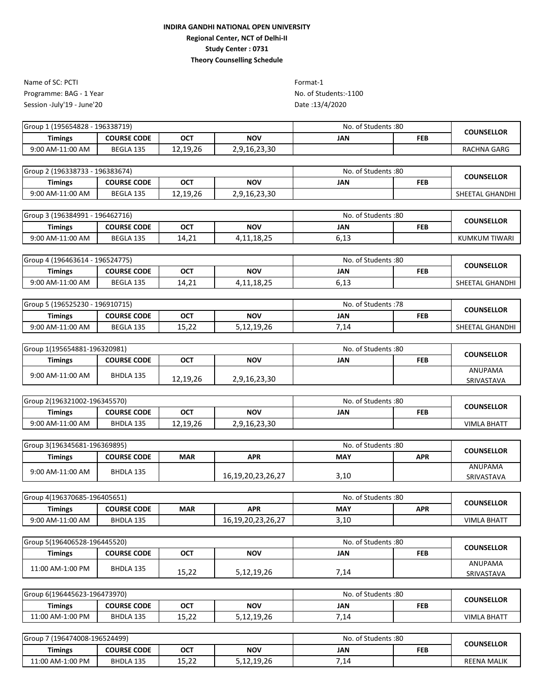Programme: BAG - 1 Year No. of Students:-1100 Session -July'19 - June'20 Name of SC: PCTI Format-1

| Group<br>1 (195654828 - 196338719) |                    |            | No. of Students: 80 | <b>COUNSELLOR</b> |            |             |  |
|------------------------------------|--------------------|------------|---------------------|-------------------|------------|-------------|--|
| Timings                            | <b>COURSE CODE</b> | <b>OCT</b> | <b>NOV</b>          | JAN               | <b>FEB</b> |             |  |
| 9:00 AM-11:00 AM                   | BEGLA 135          | 12,19,26   | 2,9,16,23,30        |                   |            | RACHNA GARG |  |
|                                    |                    |            |                     |                   |            |             |  |

| Group 2 (196338733 - 196383674) |                    |            |              | No. of Students:80 |            | <b>COUNSELLOR</b> |  |
|---------------------------------|--------------------|------------|--------------|--------------------|------------|-------------------|--|
| Timings                         | <b>COURSE CODE</b> | <b>OCT</b> | <b>NOV</b>   | JAN                | <b>FEB</b> |                   |  |
| 9:00 AM-11:00 AM                | BEGLA 135          | 12,19,26   | 2,9,16,23,30 |                    |            | SHEETAL GHANDHI   |  |

| Group 3 (196384991 - 1 | 196462716)         |       | No. of Students:80  |                                  | <b>COUNSELLOR</b> |               |  |
|------------------------|--------------------|-------|---------------------|----------------------------------|-------------------|---------------|--|
| Timings                | <b>COURSE CODE</b> | OCT   | <b>NOV</b>          | JAN                              | FEB               |               |  |
| 9:00 AM-11:00 AM       | BEGLA 135          | 14.21 | 10 JE<br>4,11,10,2. | $\cdots$ 4 $\sim$<br><b>0,13</b> |                   | KUMKUM TIWARI |  |

| 1 (196463614 - 196524775)<br>Group 4 |                    |             | No. of Students: 80 |                          | <b>COUNSELLOR</b> |                 |  |
|--------------------------------------|--------------------|-------------|---------------------|--------------------------|-------------------|-----------------|--|
| <b>Timings</b>                       | <b>COURSE CODE</b> | ост         | <b>NOV</b>          | JAN                      | <b>FEB</b>        |                 |  |
| 9:00 AM-11:00 AM                     | BEGLA 135          | ຳາ<br>14,21 | 4,11,18,25          | $C$ 1 $2$<br><b>0,13</b> |                   | SHEETAL GHANDHI |  |

| Group 5 (196525230 - 196910715) |                    |                   | No. of Students: 78 |      | COUNSELLOR |                 |  |
|---------------------------------|--------------------|-------------------|---------------------|------|------------|-----------------|--|
| Timings                         | <b>COURSE CODE</b> | ост               | NOV                 | JAN  | FEB        |                 |  |
| 9:00 AM-11:00 AM                | BEGLA 135          | 1 F. D.D<br>15,22 | 5,12,19,26          | 7,14 |            | SHEETAL GHANDHI |  |

| Group 1(195654881-196320981) |                    |          | No. of Students:80 |     | <b>COUNSELLOR</b> |                              |  |
|------------------------------|--------------------|----------|--------------------|-----|-------------------|------------------------------|--|
| <b>Timings</b>               | <b>COURSE CODE</b> | ост      | <b>NOV</b>         | JAN | <b>FEB</b>        |                              |  |
| 9:00 AM-11:00 AM             | BHDLA 135          | 12,19,26 | 2,9,16,23,30       |     |                   | <b>ANUPAMA</b><br>SRIVASTAVA |  |

| Group 2(196321002-196345570) |                    |            |              | No. of Students:80 |            | <b>COUNSELLOR</b>  |
|------------------------------|--------------------|------------|--------------|--------------------|------------|--------------------|
| Timings                      | <b>COURSE CODE</b> | <b>OCT</b> | <b>NOV</b>   | JAN                | <b>FEB</b> |                    |
| 9:00 AM-11:00 AM             | <b>BHDLA 135</b>   | 12,19,26   | 2,9,16,23,30 |                    |            | <b>VIMLA BHATT</b> |

| Group 3(196345681-196369895) |                    |            | No. of Students:80 |            | <b>COUNSELLOR</b> |                       |  |
|------------------------------|--------------------|------------|--------------------|------------|-------------------|-----------------------|--|
| <b>Timings</b>               | <b>COURSE CODE</b> | <b>MAR</b> | <b>APR</b>         | <b>MAY</b> | <b>APR</b>        |                       |  |
| 9:00 AM-11:00 AM             | BHDLA 135          |            | 16,19,20,23,26,27  | 3,10       |                   | ANUPAMA<br>SRIVASTAVA |  |

| Group 4(196370685-196405651) |                    |     |                   | No. of Students:80 | <b>COUNSELLOR</b> |                    |  |
|------------------------------|--------------------|-----|-------------------|--------------------|-------------------|--------------------|--|
| <b>Timings</b>               | <b>COURSE CODE</b> | MAR | <b>APR</b>        | <b>MAY</b>         | <b>APR</b>        |                    |  |
| 9:00 AM-11:00 AM             | <b>BHDLA 135</b>   |     | 16,19,20,23,26,27 | $\sim$<br>J,⊥∪     |                   | <b>VIMLA BHATT</b> |  |

| Group 5(196406528-196445520) |                    |       | No. of Students:80 |            | <b>COUNSELLOR</b> |                |  |
|------------------------------|--------------------|-------|--------------------|------------|-------------------|----------------|--|
| <b>Timings</b>               | <b>COURSE CODE</b> | ост   | <b>NOV</b>         | <b>JAN</b> | <b>FEB</b>        |                |  |
| 11:00 AM-1:00 PM             | BHDLA 135          |       |                    |            |                   | <b>ANUPAMA</b> |  |
|                              |                    | 15,22 | 5,12,19,26         | 14,        |                   | SRIVASTAVA     |  |

| Group 6(196445623-196473970) |                    |                 | No. of Students:80 |                           | <b>COUNSELLOR</b> |                    |
|------------------------------|--------------------|-----------------|--------------------|---------------------------|-------------------|--------------------|
| <b>Timings</b>               | <b>COURSE CODE</b> | <b>OCT</b>      | <b>NOV</b>         | JAN                       | FEB               |                    |
| 11:00 AM-1:00 PM             | BHDLA 135          | 15. つつ<br>13.LL | 5,12,19,26         | $\sim$<br>.1 <sup>c</sup> |                   | <b>VIMLA BHATT</b> |

| Group<br>7 (196474008-196524499) |                    |                 |            | No. of Students:80 |     | <b>COUNSELLOR</b>  |
|----------------------------------|--------------------|-----------------|------------|--------------------|-----|--------------------|
| Timings                          | <b>COURSE CODE</b> | ОСТ             | <b>NOV</b> | JAN                | FEB |                    |
| 11:00 AM-1:00 PM                 | BHDLA 135          | 15. つつ<br>13.LL | 5,12,19,26 | $-11$<br>1.4       |     | <b>REENA MALIK</b> |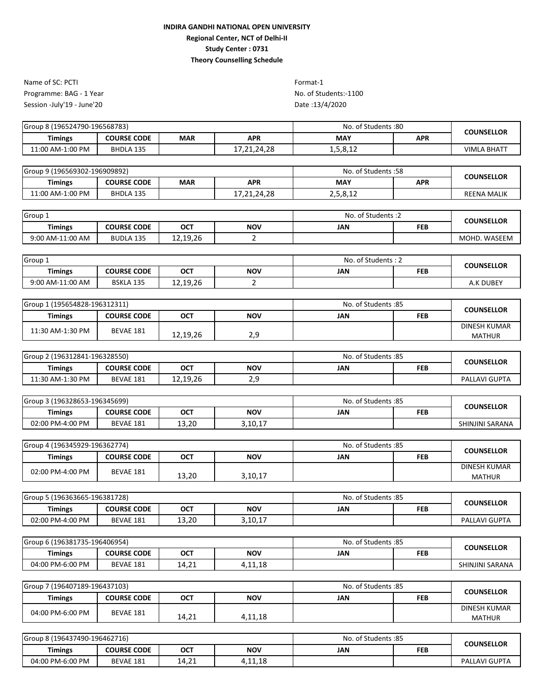Programme: BAG - 1 Year No. of Students:-1100 Session -July'19 - June'20 Name of SC: PCTI Format-1

| Group 8 (196524790-196568783) |                    |     |            | No. of Students:80 | <b>COUNSELLOR</b> |                    |
|-------------------------------|--------------------|-----|------------|--------------------|-------------------|--------------------|
| <b>Timings</b>                | <b>COURSE CODE</b> | MAR | <b>APR</b> | <b>MAY</b>         | <b>APR</b>        |                    |
| 11:00 AM-1:00 PM              | BHDLA 135          |     | 1.24.28    | 1,5,8,12           |                   | <b>VIMLA BHATT</b> |

| Group 9 (196569302-196909892) |                    |            |             | No. of Students: 58 | <b>COUNSELLOR</b> |                    |  |
|-------------------------------|--------------------|------------|-------------|---------------------|-------------------|--------------------|--|
| <b>Timings</b>                | <b>COURSE CODE</b> | <b>MAR</b> | <b>APR</b>  | <b>MAY</b>          | <b>APR</b>        |                    |  |
| 11:00 AM-1:00 PM              | BHDLA 135          |            | 17,21,24,28 | 2,5,8,12            |                   | <b>REENA MALIK</b> |  |

| Group 1          |                    |            |            | No. of Students: 2 | <b>COUNSELLOR</b> |              |
|------------------|--------------------|------------|------------|--------------------|-------------------|--------------|
| <b>Timings</b>   | <b>COURSE CODE</b> | <b>OCT</b> | <b>NOV</b> | JAN                | <b>FEB</b>        |              |
| 9:00 AM-11:00 AM | <b>BUDLA 135</b>   | 12,19,26   |            |                    |                   | MOHD. WASEEM |

| Group 1          |                    |            |            | . of Students : 2<br>No. | <b>COUNSELLOR</b> |           |  |
|------------------|--------------------|------------|------------|--------------------------|-------------------|-----------|--|
| <b>Timings</b>   | <b>COURSE CODE</b> | <b>OCT</b> | <b>NOV</b> | JAN                      | <b>FEB</b>        |           |  |
| 9:00 AM-11:00 AM | BSKLA 135          | 12,19,26   |            |                          |                   | A.K DUBEY |  |

| Group 1 (195654828-196312311) |                    |          |            | No. of Students:85 |            | <b>COUNSELLOR</b>   |
|-------------------------------|--------------------|----------|------------|--------------------|------------|---------------------|
| Timings                       | <b>COURSE CODE</b> | OCT      | <b>NOV</b> | JAN                | <b>FEB</b> |                     |
| 11:30 AM-1:30 PM              | BEVAE 181          |          |            |                    |            | <b>DINESH KUMAR</b> |
|                               |                    | 12.19.26 | າ ດ<br>ـ   |                    |            | <b>MATHUR</b>       |

| Group 2 (196312841-196328550) |                    |            |            | No. of Students: 85 | <b>COUNSELLOR</b> |                      |  |
|-------------------------------|--------------------|------------|------------|---------------------|-------------------|----------------------|--|
| <b>Timings</b>                | <b>COURSE CODE</b> | <b>OCT</b> | <b>NOV</b> | <b>JAN</b>          | <b>FEB</b>        |                      |  |
| 11:30 AM-1:30 PM              | BEVAE 181          | 12,19,26   | ـ ، ـ      |                     |                   | <b>PALLAVI GUPTA</b> |  |

| Group 3 (196328653-196345699) |                    |            | No. of Students: 85 |     | <b>COUNSELLOR</b> |                 |  |
|-------------------------------|--------------------|------------|---------------------|-----|-------------------|-----------------|--|
| <b>Timings</b>                | <b>COURSE CODE</b> | <b>OCT</b> | <b>NOV</b>          | JAN | <b>FEB</b>        |                 |  |
| 02:00 PM-4:00 PM              | BEVAE 181          | 13,20      | 3,10,17             |     |                   | SHINJINI SARANA |  |

| Group 4 (196345929-196362774) |                    |            | No. of Students: 85 |     | <b>COUNSELLOR</b> |                                      |
|-------------------------------|--------------------|------------|---------------------|-----|-------------------|--------------------------------------|
| <b>Timings</b>                | <b>COURSE CODE</b> | <b>OCT</b> | <b>NOV</b>          | JAN | <b>FEB</b>        |                                      |
| 02:00 PM-4:00 PM              | <b>BEVAE 181</b>   | 13,20      | 3,10,17             |     |                   | <b>DINESH KUMAR</b><br><b>MATHUR</b> |

| Group 5 (196363665-196381728) |                    |       |            | . of Students :85<br>No. | <b>COUNSELLOR</b> |                      |  |
|-------------------------------|--------------------|-------|------------|--------------------------|-------------------|----------------------|--|
| Timings                       | <b>COURSE CODE</b> | OCT   | <b>NOV</b> | JAN                      | <b>FEB</b>        |                      |  |
| 02:00 PM-4:00 PM              | BEVAE 181          | 13,20 | 3,10,17    |                          |                   | <b>PALLAVI GUPTA</b> |  |

| Group 6 (196381735-196406954) |                    |       |         | No. of Students: 85 |     | COUNSELLOR      |  |
|-------------------------------|--------------------|-------|---------|---------------------|-----|-----------------|--|
| <b>Timings</b>                | <b>COURSE CODE</b> | OCT   | NOV     | JAN                 | FEB |                 |  |
| 04:00 PM-6:00 PM              | BEVAE 181          | 14,21 | 1,11,18 |                     |     | SHINJINI SARANA |  |

| Group 7 (196407189-196437103) |                    |            | No. of Students: 85 |     | <b>COUNSELLOR</b> |               |
|-------------------------------|--------------------|------------|---------------------|-----|-------------------|---------------|
| Timings                       | <b>COURSE CODE</b> | <b>OCT</b> | <b>NOV</b>          | JAN | <b>FEB</b>        |               |
| 04:00 PM-6:00 PM              | BEVAE 181          |            |                     |     |                   | DINESH KUMAR  |
|                               |                    | 14,21      | 4,11,18             |     |                   | <b>MATHUR</b> |

| Group 8 (196437490-196462716) |                    |            |            | No. of Students: 85 | <b>COUNSELLOR</b> |               |  |
|-------------------------------|--------------------|------------|------------|---------------------|-------------------|---------------|--|
| <b>Timings</b>                | <b>COURSE CODE</b> | <b>OCT</b> | <b>NOV</b> | JAN                 | <b>FEB</b>        |               |  |
| 04:00 PM-6:00 PM              | BEVAE 181          | 14,21      | 1,11,18    |                     |                   | PALLAVI GUPTA |  |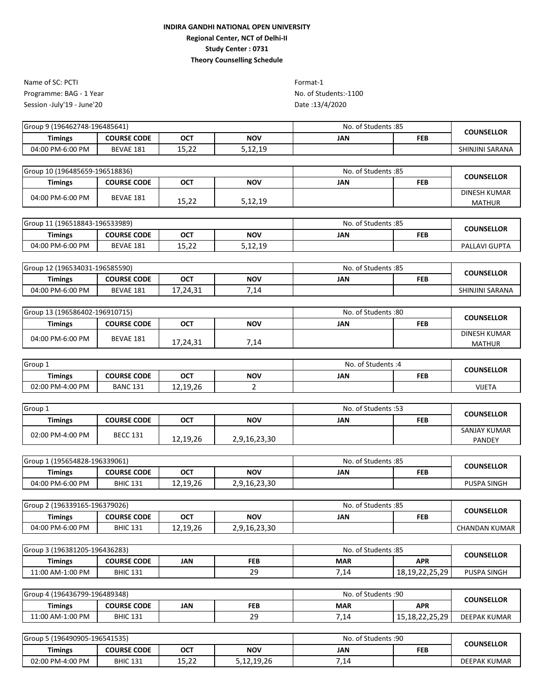Programme: BAG - 1 Year No. of Students:-1100 Session -July'19 - June'20 Name of SC: PCTI Format-1

| <b>Timings</b><br><b>NOV</b><br><b>OCT</b><br><b>COURSE CODE</b><br>JAN<br>FEB | <b>COUNSELLOR</b> |
|--------------------------------------------------------------------------------|-------------------|
| ר הי<br>、1つ 10<br>04:00 PM-6:00 PM<br>BEVAE 181<br>J.IZ.IJ<br>ے۔رد⊥            | SHINJINI SARANA   |

| Group 10 (196485659-196518836) |                    |                | No. of Students: 85 | <b>COUNSELLOR</b> |            |                     |
|--------------------------------|--------------------|----------------|---------------------|-------------------|------------|---------------------|
| <b>Timings</b>                 | <b>COURSE CODE</b> | <b>OCT</b>     | <b>NOV</b>          | JAN               | <b>FEB</b> |                     |
| 04:00 PM-6:00 PM               | BEVAE 181          |                |                     |                   |            | <b>DINESH KUMAR</b> |
|                                |                    | 15 つつ<br>13,44 | 5,12,19             |                   |            | <b>MATHUR</b>       |

| Group 11 (196518843-196533989) |                    |               |            | No. of Students: 85 |  | <b>COUNSELLOR</b>    |
|--------------------------------|--------------------|---------------|------------|---------------------|--|----------------------|
| Timings                        | <b>COURSE CODE</b> | <b>OCT</b>    | <b>NOV</b> | JAN<br>FEB          |  |                      |
| 04:00 PM-6:00 PM               | BEVAE 181          | 10.22<br>エコルム | 5,12,19    |                     |  | <b>PALLAVI GUPTA</b> |

| Group 12 (196534031-196585590) |                    |            |      | No. of Students: 85 |            | COUNSELLOR      |
|--------------------------------|--------------------|------------|------|---------------------|------------|-----------------|
| Timings                        | <b>COURSE CODE</b> | <b>OCT</b> | NOV  | JAN                 | <b>FEB</b> |                 |
| 04:00 PM-6:00 PM               | BEVAE 181          | 17,24,31   | 7,14 |                     |            | SHINJINI SARANA |

| Group 13 (196586402-196910715) |                    |          | No. of Students:80 | <b>COUNSELLOR</b> |            |                     |  |
|--------------------------------|--------------------|----------|--------------------|-------------------|------------|---------------------|--|
| Timings                        | <b>COURSE CODE</b> | ост      | <b>NOV</b>         | JAN               | <b>FEB</b> |                     |  |
| 04:00 PM-6:00 PM               | BEVAE 181          |          |                    |                   |            | <b>DINESH KUMAR</b> |  |
|                                |                    | 17,24,31 | 7,14               |                   |            | <b>MATHUR</b>       |  |

| Group 1          |                    |            | . of Students :4<br>No. |     | <b>COUNSELLOR</b> |               |
|------------------|--------------------|------------|-------------------------|-----|-------------------|---------------|
| <b>Timings</b>   | <b>COURSE CODE</b> | <b>OCT</b> | NOV                     | JAN | <b>FEB</b>        |               |
| 02:00 PM-4:00 PM | <b>BANC 131</b>    | 12,19,26   |                         |     |                   | <b>VIJETA</b> |

| Group 1          |                    |            | S3: No. of Students |     | <b>COUNSELLOR</b> |                               |
|------------------|--------------------|------------|---------------------|-----|-------------------|-------------------------------|
| <b>Timings</b>   | <b>COURSE CODE</b> | <b>OCT</b> | <b>NOV</b>          | JAN | <b>FEB</b>        |                               |
| 02:00 PM-4:00 PM | <b>BECC 131</b>    | 12,19,26   | 2,9,16,23,30        |     |                   | SANJAY KUMAR<br><b>PANDEY</b> |

| Group 1 (195654828-196339061) |                    |            |              | No. of Students: 85 |     | COUNSELLOR         |
|-------------------------------|--------------------|------------|--------------|---------------------|-----|--------------------|
| Timings                       | <b>COURSE CODE</b> | <b>OCT</b> | <b>NOV</b>   | JAN                 | FEB |                    |
| 04:00 PM-6:00 PM              | <b>BHIC 131</b>    | 12,19,26   | 2,9,16,23,30 |                     |     | <b>PUSPA SINGH</b> |

| Group 2 (<br>! (196339165-196379026) |                    |          | No. of Students: 85 |     | <b>COUNSELLOR</b> |                      |
|--------------------------------------|--------------------|----------|---------------------|-----|-------------------|----------------------|
| <b>Timings</b>                       | <b>COURSE CODE</b> | ост      | <b>NOV</b>          | JAN | FEB               |                      |
| 04:00 PM-6:00 PM                     | <b>BHIC 131</b>    | 12,19,26 | 2,9,16,23,30        |     |                   | <b>CHANDAN KUMAR</b> |

| Group 3 (196381205-196436283) |                    |            | No. of Students: 85 |            | <b>COUNSELLOR</b>                       |             |
|-------------------------------|--------------------|------------|---------------------|------------|-----------------------------------------|-------------|
| Timings                       | <b>COURSE CODE</b> | <b>JAN</b> | <b>FEB</b>          | <b>MAR</b> | <b>APR</b>                              |             |
| 11:00 AM-1:00 PM              | <b>BHIC 131</b>    |            | $\Omega$<br>ر ے     | 14,        | າດ<br>1 2 1 0 2 2 2 5<br>10,19,22,23,29 | PUSPA SINGH |

| 4 (196436799-196489348)<br>Group |                    |     | No. of Students: 90 |                          | <b>COUNSELLOR</b>                       |                     |  |
|----------------------------------|--------------------|-----|---------------------|--------------------------|-----------------------------------------|---------------------|--|
| Timings                          | <b>COURSE CODE</b> | JAN | FEB                 | <b>APR</b><br><b>MAR</b> |                                         |                     |  |
| 11:00 AM-1:00 PM                 | <b>BHIC 131</b>    |     | 20<br>25            | 7,14                     | 15 18 22 25 29<br>10,10, <i>44,3,43</i> | <b>DEEPAK KUMAR</b> |  |

| Group 5 (196490905-196541535) |                    |                   |            | . of Students :90<br>No. |            | <b>COUNSELLOR</b>   |
|-------------------------------|--------------------|-------------------|------------|--------------------------|------------|---------------------|
| Timings                       | <b>COURSE CODE</b> | <b>OCT</b>        | <b>NOV</b> | JAN                      | <b>FEB</b> |                     |
| 02:00 PM-4:00 PM              | <b>BHIC 131</b>    | ຳ<br>1 F<br>13.LL | 5,12,19,26 | .14                      |            | <b>DEEPAK KUMAR</b> |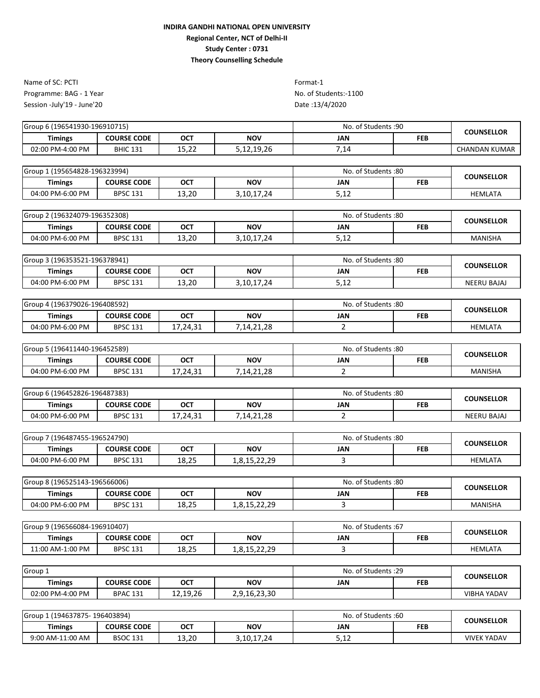Programme: BAG - 1 Year No. of Students:-1100 Session -July'19 - June'20 Name of SC: PCTI Format-1

| Group 6 (196541930-196910715)<br>No. of Students :90 |                    |             |            | <b>COUNSELLOR</b> |            |               |
|------------------------------------------------------|--------------------|-------------|------------|-------------------|------------|---------------|
| Timings                                              | <b>COURSE CODE</b> | <b>OCT</b>  | <b>NOV</b> | JAN               | <b>FEB</b> |               |
| 02:00 PM-4:00 PM                                     | <b>BHIC 131</b>    | ຳາ<br>ᆂᅴ,᠘᠘ | 5,12,19,26 | 14,               |            | CHANDAN KUMAR |

|                                                                                |  | <b>COUNSELLOR</b> |
|--------------------------------------------------------------------------------|--|-------------------|
| <b>NOV</b><br><b>COURSE CODE</b><br>OCT<br>JAN<br><b>FEB</b><br><b>Timings</b> |  |                   |
| 13,20<br>04:00 PM-6:00 PM<br><b>BPSC 131</b><br>5,12<br>3,10,17,24             |  | <b>HEMLATA</b>    |

| Group 2 (196324079-196352308) |                    |            |            | No. of Students:80 | <b>COUNSELLOR</b> |         |
|-------------------------------|--------------------|------------|------------|--------------------|-------------------|---------|
| Timings                       | <b>COURSE CODE</b> | <b>OCT</b> | <b>NOV</b> | <b>JAN</b>         | FEB               |         |
| 04:00 PM-6:00 PM              | <b>BPSC 131</b>    | 13,20      | 3,10,17,24 | r 17<br>ے⊥ر        |                   | MANISHA |

| 3 (196353521-196378941)<br>Group |                    |            |            | No. of Students :80 | <b>COUNSELLOR</b> |                    |
|----------------------------------|--------------------|------------|------------|---------------------|-------------------|--------------------|
| Timings                          | <b>COURSE CODE</b> | <b>OCT</b> | <b>NOV</b> | JAN                 | <b>FEB</b>        |                    |
| 04:00 PM-6:00 PM                 | <b>BPSC 131</b>    | 13,20      | 3,10,17,24 | <b>F</b> 4 2<br>ے ر |                   | <b>NEERU BAJAJ</b> |

| Group 4 (196379026-196408592) |                    |          |            | No. of Students :80 | <b>COUNSELLOR</b> |                |  |
|-------------------------------|--------------------|----------|------------|---------------------|-------------------|----------------|--|
| <b>Timings</b>                | <b>COURSE CODE</b> | ОСТ      | NOV        | JAN                 | <b>FEB</b>        |                |  |
| 04:00 PM-6:00 PM              | <b>BPSC 131</b>    | 17,24,31 | 7,14,21,28 |                     |                   | <b>HEMLATA</b> |  |

| Group 5 (196411440-196452589) |                    |            |            | No. of Students :80 |     | <b>COUNSELLOR</b> |
|-------------------------------|--------------------|------------|------------|---------------------|-----|-------------------|
| Timings                       | <b>COURSE CODE</b> | <b>OCT</b> | <b>NOV</b> | JAN                 | FEB |                   |
| 04:00 PM-6:00 PM              | <b>BPSC 131</b>    | 17,24,31   | 7.14.21.28 |                     |     | MANISHA           |

| Group 6 (196452826-196487383) |                    |            | No. of Students:80 |     | <b>COUNSELLOR</b> |                    |  |
|-------------------------------|--------------------|------------|--------------------|-----|-------------------|--------------------|--|
| Timings                       | <b>COURSE CODE</b> | <b>OCT</b> | <b>NOV</b>         | JAN | <b>FEB</b>        |                    |  |
| 04:00 PM-6:00 PM              | <b>BPSC 131</b>    | 17,24,31   | 7,14,21,28         |     |                   | <b>NEERU BAJAJ</b> |  |

| Group<br>7 (196487455-196524790) |                    |            |                                     | No. of Students: 80 | <b>COUNSELLOR</b> |                |
|----------------------------------|--------------------|------------|-------------------------------------|---------------------|-------------------|----------------|
| Timings                          | <b>COURSE CODE</b> | <b>OCT</b> | NOV                                 | JAN                 | <b>FEB</b>        |                |
| 04:00 PM-6:00 PM                 | <b>BPSC 131</b>    | 18,25      | າດ<br>ີ<br>O 1 E<br>ر ے رے ہے راں ⊥ |                     |                   | <b>HEMLATA</b> |

| Group 8 (196525143-196566006) |                    |            |             | No. of Students:80 | <b>COUNSELLOR</b> |                |
|-------------------------------|--------------------|------------|-------------|--------------------|-------------------|----------------|
| <b>Timings</b>                | <b>COURSE CODE</b> | <b>OCT</b> | <b>NOV</b>  | JAN                | <b>FEB</b>        |                |
| 04:00 PM-6:00 PM              | <b>BPSC 131</b>    | 18,25      | າດ<br>01522 |                    |                   | <b>MANISHA</b> |

| Group 9 (196566084-196910407) |                    |            | No. of Students:67                    |     | <b>COUNSELLOR</b> |         |
|-------------------------------|--------------------|------------|---------------------------------------|-----|-------------------|---------|
| <b>Timings</b>                | <b>COURSE CODE</b> | <b>OCT</b> | <b>NOV</b>                            | JAN | <b>FEB</b>        |         |
| 11:00 AM-1:00 PM              | <b>BPSC 131</b>    | 18,25      | າດ<br>0.15.22<br>1,0,1J, <i>LL,LJ</i> |     |                   | HEMLATA |

| Group 1          |                    |          | . of Students :29<br>No. |     | <b>COUNSELLOR</b> |             |  |
|------------------|--------------------|----------|--------------------------|-----|-------------------|-------------|--|
| Timings          | <b>COURSE CODE</b> | ост      | <b>NOV</b>               | JAN | <b>FEB</b>        |             |  |
| 02:00 PM-4:00 PM | <b>BPAC 131</b>    | 12,19,26 | 2,9,16,23,30             |     |                   | VIBHA YADAV |  |

| 1 (194637875-196403894)<br>Group 1 |                    |            |            | No. of Students:60   | <b>COUNSELLOR</b> |                    |  |
|------------------------------------|--------------------|------------|------------|----------------------|-------------------|--------------------|--|
| <b>Timings</b>                     | <b>COURSE CODE</b> | <b>OCT</b> | <b>NOV</b> | JAN                  | <b>FEB</b>        |                    |  |
| 9:00 AM-11:00 AM                   | <b>BSOC 131</b>    | 13,20      | 3,10,17,24 | <b>F</b> 4 -<br>ے، ر |                   | <b>VIVEK YADAV</b> |  |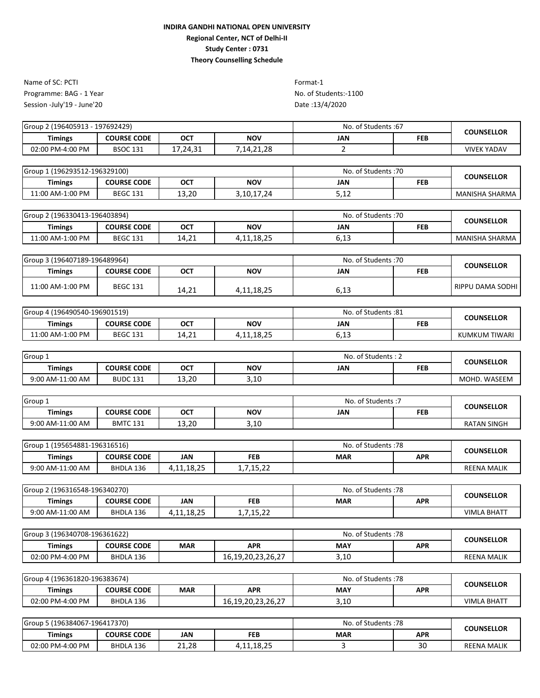Programme: BAG - 1 Year No. of Students:-1100 Session -July'19 - June'20 Name of SC: PCTI Format-1

| Group 2 (196405913 - 197692429) |                    |          |            | No. of Students: 67 | <b>COUNSELLOR</b> |             |
|---------------------------------|--------------------|----------|------------|---------------------|-------------------|-------------|
| Timings                         | <b>COURSE CODE</b> | ост      | <b>NOV</b> | JAN                 | <b>FEB</b>        |             |
| 02:00 PM-4:00 PM                | <b>BSOC 131</b>    | 17.24.31 | .14.21.28  |                     |                   | VIVEK YADAV |
|                                 |                    |          |            |                     |                   |             |

| Group 1 (196293512-196329100) |                    |       | No. of Students: 70 | <b>COUNSELLOR</b> |            |                |
|-------------------------------|--------------------|-------|---------------------|-------------------|------------|----------------|
| <b>Timings</b>                | <b>COURSE CODE</b> | OCT   | <b>NOV</b>          | JAN               | <b>FEB</b> |                |
| 11:00 AM-1:00 PM              | <b>BEGC 131</b>    | 13,20 | 3,10,17,24          | 5,12              |            | MANISHA SHARMA |

| Group 2 (196330413-196403894) |                    |                      | No. of Students: 70 | <b>COUNSELLOR</b> |            |                       |  |
|-------------------------------|--------------------|----------------------|---------------------|-------------------|------------|-----------------------|--|
| Timings                       | <b>COURSE CODE</b> | <b>OCT</b>           | <b>NOV</b>          | JAN               | <b>FEB</b> |                       |  |
| 11:00 AM-1:00 PM              | <b>BEGC 131</b>    | <b>A</b> 24<br>14,21 | 4,11,18,25          | .<br>כ⊥,∪         |            | <b>MANISHA SHARMA</b> |  |

| Group 3 (196407189-196489964) |                    |       | No. of Students: 70 |      | <b>COUNSELLOR</b> |                  |  |
|-------------------------------|--------------------|-------|---------------------|------|-------------------|------------------|--|
| <b>Timings</b>                | <b>COURSE CODE</b> | OCT   | NOV                 | JAN  | <b>FEB</b>        |                  |  |
| 11:00 AM-1:00 PM              | <b>BEGC 131</b>    | 14.21 | 4,11,18,25          | 6,13 |                   | RIPPU DAMA SODHI |  |

| 4 (196490540-196901519)<br>Group 4 |                    |                        | . of Students :81<br>No. |                      | <b>COUNSELLOR</b> |                      |  |
|------------------------------------|--------------------|------------------------|--------------------------|----------------------|-------------------|----------------------|--|
| <b>Timings</b>                     | <b>COURSE CODE</b> | <b>OCT</b>             | <b>NOV</b>               | JAN                  | <b>FEB</b>        |                      |  |
| 11:00 AM-1:00 PM                   | <b>BEGC 131</b>    | $\mathcal{L}$<br>14,21 | ,11,18,25<br>Δ.          | <b>.</b> . _<br>∪,⊥こ |                   | <b>KUMKUM TIWARI</b> |  |

| Group 1          |                    |       |            | No. of Students: 2 | <b>COUNSELLOR</b> |              |  |
|------------------|--------------------|-------|------------|--------------------|-------------------|--------------|--|
| Timings          | <b>COURSE CODE</b> | OCT   | <b>NOV</b> | JAN                | <b>FEB</b>        |              |  |
| 9:00 AM-11:00 AM | <b>BUDC 131</b>    | 13,20 | 3,10       |                    |                   | MOHD. WASEEM |  |

| Group 1          |                    |            |             | . of Students :7<br>No. | <b>COUNSELLOR</b> |                    |  |
|------------------|--------------------|------------|-------------|-------------------------|-------------------|--------------------|--|
| <b>Timings</b>   | <b>COURSE CODE</b> | <b>OCT</b> | <b>NOV</b>  | JAN                     | FEB               |                    |  |
| 9:00 AM-11:00 AM | <b>BMTC 131</b>    | 13,20      | .10<br>J,⊥∪ |                         |                   | <b>RATAN SINGH</b> |  |

| 1 (195654881-196316516) ہ<br>Group 1 |                    |            |                                   | No. of Students: 78 | <b>COUNSELLOR</b> |                    |  |
|--------------------------------------|--------------------|------------|-----------------------------------|---------------------|-------------------|--------------------|--|
| Timings                              | <b>COURSE CODE</b> | JAN        | <b>FEB</b>                        | <b>MAR</b>          | <b>APR</b>        |                    |  |
| 9:00 AM-11:00 AM                     | BHDLA 136          | 1.11.18.25 | <b>AF 33</b><br>1,7,1J, <i>LL</i> |                     |                   | <b>REENA MALIK</b> |  |

| Group 2 (196316548-196340270) |                    |            |                     | No. of Students: 78 | <b>COUNSELLOR</b> |                    |  |
|-------------------------------|--------------------|------------|---------------------|---------------------|-------------------|--------------------|--|
| <b>Timings</b>                | <b>COURSE CODE</b> | JAN        | <b>FEB</b>          | <b>MAR</b>          | <b>APR</b>        |                    |  |
| 9:00 AM-11:00 AM              | BHDLA 136          | 4,11,18,25 | 1 E 22<br>1,7,15,22 |                     |                   | <b>VIMLA BHATT</b> |  |

| Group 3 (196340708-196361622) |                    |            |                   | No. of Students: 78 | <b>COUNSELLOR</b> |                    |  |
|-------------------------------|--------------------|------------|-------------------|---------------------|-------------------|--------------------|--|
| <b>Timings</b>                | <b>COURSE CODE</b> | <b>MAR</b> | <b>APR</b>        | <b>MAY</b>          | <b>APR</b>        |                    |  |
| 02:00 PM-4:00 PM              | BHDLA 136          |            | 16.19.20.23.26.27 | 3,10                |                   | <b>REENA MALIK</b> |  |

| ا 4 (196361820-196383674)<br>Group |                    |            |                                   | No. of Students: 78 | COUNSELLOR |                    |  |
|------------------------------------|--------------------|------------|-----------------------------------|---------------------|------------|--------------------|--|
| Timings                            | <b>COURSE CODE</b> | <b>MAR</b> | <b>APR</b>                        | <b>MAY</b>          | <b>APR</b> |                    |  |
| 02:00 PM-4:00 PM                   | BHDLA 136          |            | <b>JG JJ</b><br>16,19,20,23,26,27 | 3,10                |            | <b>VIMLA BHATT</b> |  |

| Group 5 (196384067-196417370) |                    |            |                     | . of Students :78<br>No. | <b>COUNSELLOR</b> |                    |  |
|-------------------------------|--------------------|------------|---------------------|--------------------------|-------------------|--------------------|--|
| <b>Timings</b>                | <b>COURSE CODE</b> | JAN        | FEB                 | <b>MAR</b>               | <b>APR</b>        |                    |  |
| 02:00 PM-4:00 PM              | BHDLA 136          | 21.28<br>ີ | 18.25<br>4,11,10,45 |                          | 30                | <b>REENA MALIK</b> |  |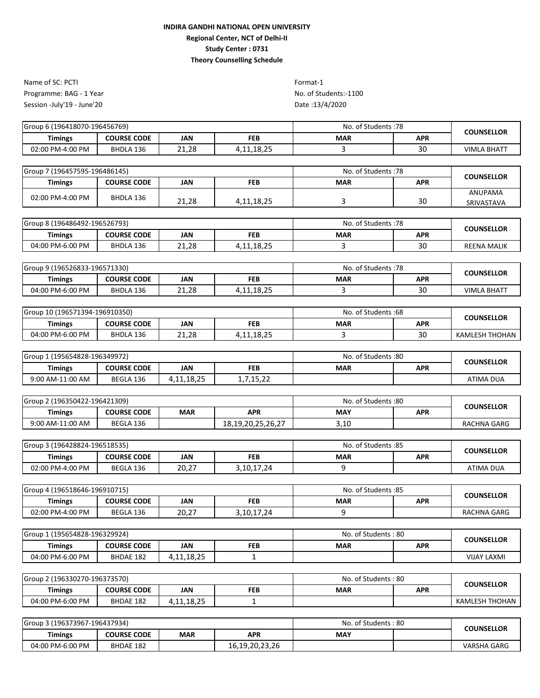Programme: BAG - 1 Year No. of Students:-1100 Session -July'19 - June'20 Name of SC: PCTI Format-1

| Group 6 (196418070-196456769) |                    |       | No. of Students: 78 | <b>COUNSELLOR</b> |            |             |
|-------------------------------|--------------------|-------|---------------------|-------------------|------------|-------------|
| <b>Timings</b>                | <b>COURSE CODE</b> | JAN   | <b>FEB</b>          | <b>MAR</b>        | <b>APR</b> |             |
| 02:00 PM-4:00 PM              | BHDLA 136          | 21,28 | 1,11,18,25<br>4     |                   | 30         | VIMLA BHATT |

| Group 7 (196457595-196486145) |                    |       | No. of Students: 78 | <b>COUNSELLOR</b> |     |                       |
|-------------------------------|--------------------|-------|---------------------|-------------------|-----|-----------------------|
| <b>Timings</b>                | <b>COURSE CODE</b> | JAN   | <b>FEB</b>          | <b>MAR</b>        | APR |                       |
| 02:00 PM-4:00 PM              | BHDLA 136          | 21,28 | 4,11,18,25          |                   | 30  | ANUPAMA<br>SRIVASTAVA |

| Group 8 (196486492-196526793) |                    |       | No. of Students: 78 | <b>COUNSELLOR</b> |            |                    |
|-------------------------------|--------------------|-------|---------------------|-------------------|------------|--------------------|
| <b>Timings</b>                | <b>COURSE CODE</b> | JAN   | <b>FEB</b>          | <b>MAR</b>        | <b>APR</b> |                    |
| 04:00 PM-6:00 PM              | BHDLA 136          | 21,28 | 1,11,18,25          |                   | 30         | <b>REENA MALIK</b> |

| Group 9 (196526833-196571330) |                    |       | No. of Students: 78 | <b>COUNSELLOR</b> |            |                    |  |
|-------------------------------|--------------------|-------|---------------------|-------------------|------------|--------------------|--|
| <b>Timings</b>                | <b>COURSE CODE</b> | JAN   | <b>FEB</b>          | <b>MAR</b>        | <b>APR</b> |                    |  |
| 04:00 PM-6:00 PM              | BHDLA 136          | 21,28 | 4,11,18,25          |                   | 30         | <b>VIMLA BHATT</b> |  |

| Group 10 (196571394-196910350) |                    |       | . of Students :68<br>No. | <b>COUNSELLOR</b> |            |                       |
|--------------------------------|--------------------|-------|--------------------------|-------------------|------------|-----------------------|
| Timings                        | <b>COURSE CODE</b> | JAN   | FEB                      | <b>MAR</b>        | <b>APR</b> |                       |
| 04:00 PM-6:00 PM               | BHDLA 136          | 21.28 | 10.25<br>4,11,10,23      |                   | 30         | <b>KAMLESH THOHAN</b> |

| 1 (195654828-196349972)<br>Group |                    |            |                            | No. of Students:80 | <b>COUNSELLOR</b> |                  |  |
|----------------------------------|--------------------|------------|----------------------------|--------------------|-------------------|------------------|--|
| Timings                          | <b>COURSE CODE</b> | <b>JAN</b> | <b>FEB</b>                 | <b>MAR</b>         | <b>APR</b>        |                  |  |
| 9:00 AM-11:00 AM                 | BEGLA 136          | 4,11,18,25 | 15.22<br>1,7,1J, <i>44</i> |                    |                   | <b>ATIMA DUA</b> |  |

| Group 2 (196350422-196421309) |                    |            |                   | No. of Students:80 | COUNSELLOR |             |  |
|-------------------------------|--------------------|------------|-------------------|--------------------|------------|-------------|--|
| Timings                       | <b>COURSE CODE</b> | <b>MAR</b> | <b>APR</b>        | <b>MAY</b>         | <b>APR</b> |             |  |
| 9:00 AM-11:00 AM              | BEGLA 136          |            | 18,19,20,25,26,27 | 3,10               |            | RACHNA GARG |  |

| Group 3 (196428824-196518535) |                    |            |            | No. of Students: 85 | <b>COUNSELLOR</b> |                  |  |
|-------------------------------|--------------------|------------|------------|---------------------|-------------------|------------------|--|
| Timings                       | <b>COURSE CODE</b> | <b>JAN</b> | <b>FEB</b> | <b>MAR</b>          | <b>APR</b>        |                  |  |
| 02:00 PM-4:00 PM              | BEGLA 136          | 20,27      | 3,10,17,24 |                     |                   | <b>ATIMA DUA</b> |  |

| Group 4 (196518646-196910715) |                    |       |            | No. of Students: 85 | <b>COUNSELLOR</b> |             |
|-------------------------------|--------------------|-------|------------|---------------------|-------------------|-------------|
| <b>Timings</b>                | <b>COURSE CODE</b> | JAN   | <b>FEB</b> | <b>MAR</b>          | APR               |             |
| 02:00 PM-4:00 PM              | BEGLA 136          | 20,27 | 3,10,17,24 |                     |                   | RACHNA GARG |

| (195654828-196329924)<br>Group 1 |                    |                              |     | No. of Students: 80 | <b>COUNSELLOR</b> |                    |  |
|----------------------------------|--------------------|------------------------------|-----|---------------------|-------------------|--------------------|--|
| <b>Timings</b>                   | <b>COURSE CODE</b> | JAN                          | FEB | <b>MAR</b>          | <b>APR</b>        |                    |  |
| 04:00 PM-6:00 PM                 | BHDAE 182          | 10 J E<br>-11<br>0.4.1.10.4. |     |                     |                   | <b>VIJAY LAXMI</b> |  |

| Group 2 (196330270-196373570) |                    |            |            | No. of Students: 80 | <b>COUNSELLOR</b> |                       |
|-------------------------------|--------------------|------------|------------|---------------------|-------------------|-----------------------|
| Timings                       | <b>COURSE CODE</b> | JAN        | <b>FEB</b> | <b>MAR</b>          | <b>APR</b>        |                       |
| 04:00 PM-6:00 PM              | BHDAE 182          | 4,11,18,25 |            |                     |                   | <b>KAMLESH THOHAN</b> |

| Group 3 (196373967-196437934) |                    |            |                | No. of Students: 80 |  | <b>COUNSELLOR</b>  |  |
|-------------------------------|--------------------|------------|----------------|---------------------|--|--------------------|--|
| <b>Timings</b>                | <b>COURSE CODE</b> | <b>MAR</b> | <b>APR</b>     | <b>MAY</b>          |  |                    |  |
| 04:00 PM-6:00 PM              | <b>BHDAE 182</b>   |            | 16,19,20,23,26 |                     |  | <b>VARSHA GARG</b> |  |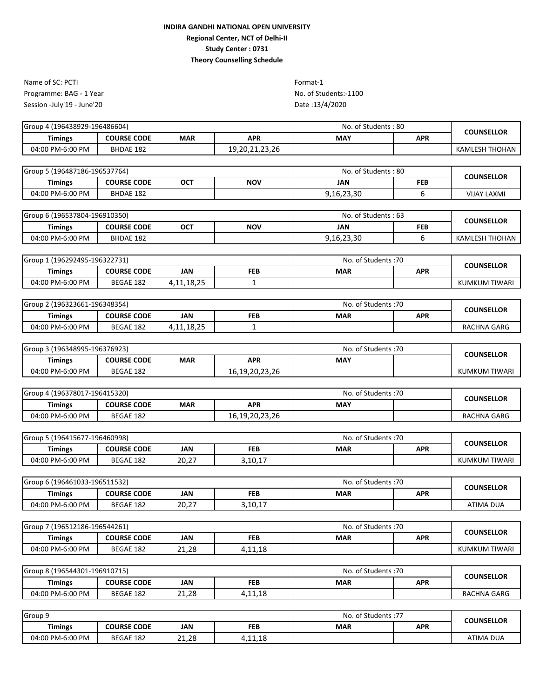Programme: BAG - 1 Year No. of Students:-1100 Session -July'19 - June'20 Name of SC: PCTI Format-1

| 1 (196438929-196486604)<br>Group 4 |                    |            |                | No. of Students: 80 | <b>COUNSELLOR</b> |                |
|------------------------------------|--------------------|------------|----------------|---------------------|-------------------|----------------|
| <b>Timings</b>                     | <b>COURSE CODE</b> | <b>MAR</b> | <b>APR</b>     | <b>MAY</b>          | <b>APR</b>        |                |
| 04:00 PM-6:00 PM                   | <b>BHDAE 182</b>   |            | 19,20,21,23,26 |                     |                   | KAMLESH THOHAN |
|                                    |                    |            |                |                     |                   |                |

| Group 5 (196487186-196537764) |                    |            | No. of Students: 80 | <b>COUNSELLOR</b> |            |                    |  |
|-------------------------------|--------------------|------------|---------------------|-------------------|------------|--------------------|--|
| Timings                       | <b>COURSE CODE</b> | <b>OCT</b> | <b>NOV</b>          | JAN               | <b>FEB</b> |                    |  |
| 04:00 PM-6:00 PM              | BHDAE 182          |            |                     | 9,16,23,30        |            | <b>VIJAY LAXMI</b> |  |

| Group 6 (196537804-196910350) |                    |            |            | No. of Students: 63 |            | <b>COUNSELLOR</b> |  |
|-------------------------------|--------------------|------------|------------|---------------------|------------|-------------------|--|
| <b>Timings</b>                | <b>COURSE CODE</b> | <b>OCT</b> | <b>NOV</b> | JAN                 | <b>FEB</b> |                   |  |
| 04:00 PM-6:00 PM              | <b>BHDAE 182</b>   |            |            | 9,16,23,30          |            | KAMLESH THOHAN    |  |

| 1 (196292495-196322731)<br>Group |                    |                      |            | No. of Students: 70 | <b>COUNSELLOR</b> |               |  |
|----------------------------------|--------------------|----------------------|------------|---------------------|-------------------|---------------|--|
| Timings                          | <b>COURSE CODE</b> | <b>JAN</b>           | <b>FEB</b> | <b>MAR</b>          | <b>APR</b>        |               |  |
| 04:00 PM-6:00 PM                 | BEGAE 182          | 18. 25<br>4,11,18,25 |            |                     |                   | KUMKUM TIWARI |  |

| Group 2 (196323661-196348354) |                    |            |            | No. of Students: 70 | <b>COUNSELLOR</b> |             |  |
|-------------------------------|--------------------|------------|------------|---------------------|-------------------|-------------|--|
| <b>Timings</b>                | <b>COURSE CODE</b> | JAN        | <b>FEB</b> | <b>MAR</b>          | <b>APR</b>        |             |  |
| 04:00 PM-6:00 PM              | BEGAE 182          | 4,11,18,25 |            |                     |                   | RACHNA GARG |  |

| Group 3 (196348995-196376923) |                    |            |                | No. of Students :70 |  | <b>COUNSELLOR</b> |  |
|-------------------------------|--------------------|------------|----------------|---------------------|--|-------------------|--|
| Timings                       | <b>COURSE CODE</b> | <b>MAR</b> | <b>APR</b>     | <b>MAY</b>          |  |                   |  |
| 04:00 PM-6:00 PM              | BEGAE 182          |            | 16,19,20,23,26 |                     |  | KUMKUM TIWARI     |  |

| Group 4 (196378017-196415320) |                    |            |                | No. of Students: 70 |  | <b>COUNSELLOR</b> |  |
|-------------------------------|--------------------|------------|----------------|---------------------|--|-------------------|--|
| Timings                       | <b>COURSE CODE</b> | <b>MAR</b> | <b>APR</b>     | <b>MAY</b>          |  |                   |  |
| 04:00 PM-6:00 PM              | BEGAE 182          |            | 16,19,20,23,26 |                     |  | RACHNA GARG       |  |

| Group 5 (196415677-196460998) |                    |       |            | No. of Students: 70 | <b>COUNSELLOR</b> |               |  |
|-------------------------------|--------------------|-------|------------|---------------------|-------------------|---------------|--|
| <b>Timings</b>                | <b>COURSE CODE</b> | JAN   | <b>FEB</b> | <b>MAR</b>          | APR               |               |  |
| 04:00 PM-6:00 PM              | BEGAE 182          | 20,27 | 3,10,17    |                     |                   | KUMKUM TIWARI |  |

| Group 6 (196461033-196511532) |                    |            |         | No. of Students: 70 | <b>COUNSELLOR</b> |           |  |
|-------------------------------|--------------------|------------|---------|---------------------|-------------------|-----------|--|
| Timings                       | <b>COURSE CODE</b> | <b>JAN</b> | FEB     | <b>MAR</b>          | <b>APR</b>        |           |  |
| 04:00 PM-6:00 PM              | BEGAE 182          | 20,27      | 3,10,17 |                     |                   | ATIMA DUA |  |

| 7 (196512186-196544261)<br>Group 7 |                    |                            |                | No. of Students: 70 | <b>COUNSELLOR</b> |               |  |
|------------------------------------|--------------------|----------------------------|----------------|---------------------|-------------------|---------------|--|
| <b>Timings</b>                     | <b>COURSE CODE</b> | <b>JAN</b>                 | <b>FEB</b>     | <b>MAR</b>          | <b>APR</b>        |               |  |
| 04:00 PM-6:00 PM                   | BEGAE 182          | າ ວ<br>$^{\circ}$<br>41.40 | 11 10<br>11,10 |                     |                   | KUMKUM TIWARI |  |

| Group 8 (196544301-196910715) |                    |       |         | . of Students :70<br>No. | <b>COUNSELLOR</b> |                    |  |
|-------------------------------|--------------------|-------|---------|--------------------------|-------------------|--------------------|--|
| Timings                       | <b>COURSE CODE</b> | JAN   | FEB     | <b>MAR</b>               | <b>APR</b>        |                    |  |
| 04:00 PM-6:00 PM              | BEGAE 182          | 21.28 | 4,11,18 |                          |                   | <b>RACHNA GARG</b> |  |

| Group 9          |                    |       |            | No.<br>of Students :77 | <b>COUNSELLOR</b> |                  |  |
|------------------|--------------------|-------|------------|------------------------|-------------------|------------------|--|
| <b>Timings</b>   | <b>COURSE CODE</b> | JAN   | <b>FEB</b> | <b>MAR</b>             | <b>APR</b>        |                  |  |
| 04:00 PM-6:00 PM | BEGAE 182          | 21.28 | 4,11,18    |                        |                   | <b>ATIMA DUA</b> |  |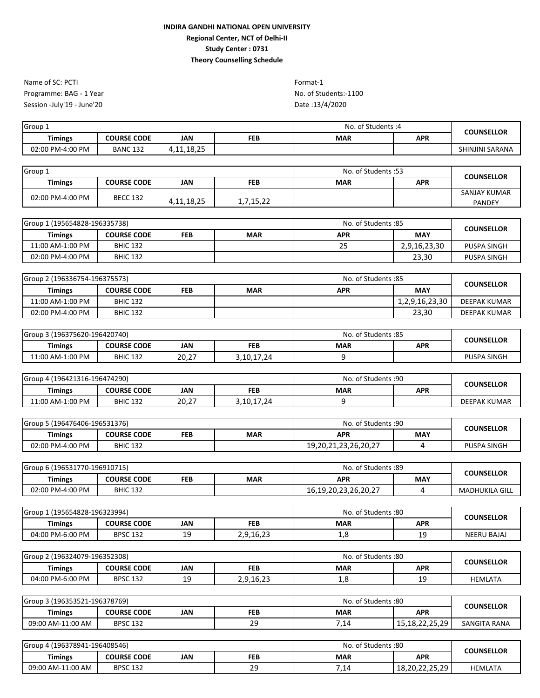Programme: BAG - 1 Year No. of Students:-1100 Session -July'19 - June'20 Name of SC: PCTI Format-1

| Group <sub>1</sub> |                    |              |            | . of Students :4<br>No. | COUNSELLOR |                 |
|--------------------|--------------------|--------------|------------|-------------------------|------------|-----------------|
| <b>Timings</b>     | <b>COURSE CODE</b> | <b>JAN</b>   | <b>FEB</b> | <b>MAR</b>              | <b>APR</b> |                 |
| 02:00 PM-4:00 PM   | <b>BANC 132</b>    | 18. JE<br>Δ. |            |                         |            | SHINJINI SARANA |

| Group 1          |                    |            |            | No. of Students: 53 |            | <b>COUNSELLOR</b>             |
|------------------|--------------------|------------|------------|---------------------|------------|-------------------------------|
| <b>Timings</b>   | <b>COURSE CODE</b> | <b>JAN</b> | <b>FEB</b> | <b>MAR</b>          | <b>APR</b> |                               |
| 02:00 PM-4:00 PM | <b>BECC 132</b>    | 4,11,18,25 | 1,7,15,22  |                     |            | SANJAY KUMAR<br><b>PANDEY</b> |

| Group 1 (195654828-196335738) |                    |            | No. of Students: 85 | <b>COUNSELLOR</b> |              |             |
|-------------------------------|--------------------|------------|---------------------|-------------------|--------------|-------------|
| Timings                       | <b>COURSE CODE</b> | <b>FEB</b> | <b>MAR</b>          | APR               | <b>MAY</b>   |             |
| 11:00 AM-1:00 PM              | <b>BHIC 132</b>    |            |                     | 25                | 2,9,16,23,30 | PUSPA SINGH |
| 02:00 PM-4:00 PM              | <b>BHIC 132</b>    |            |                     |                   | 23.30        | PUSPA SINGH |

| Group 2 (196336754-196375573) |                    |            | No. of Students :85 | <b>COUNSELLOR</b> |                |              |
|-------------------------------|--------------------|------------|---------------------|-------------------|----------------|--------------|
| <b>Timings</b>                | <b>COURSE CODE</b> | <b>FEB</b> | <b>MAR</b>          | APR               | <b>MAY</b>     |              |
| 11:00 AM-1:00 PM              | <b>BHIC 132</b>    |            |                     |                   | 1,2,9,16,23,30 | DEEPAK KUMAR |
| 02:00 PM-4:00 PM              | <b>BHIC 132</b>    |            |                     |                   | 23,30          | DEEPAK KUMAR |

| Group 3 (196375620-196420740) |                    |       |            | No.<br>. of Students :85 ، |            | <b>COUNSELLOR</b>  |  |
|-------------------------------|--------------------|-------|------------|----------------------------|------------|--------------------|--|
| <b>Timings</b>                | <b>COURSE CODE</b> | JAN   | <b>FEB</b> | <b>MAR</b>                 | <b>APR</b> |                    |  |
| 11:00 AM-1:00 PM              | <b>BHIC 132</b>    | 20,27 | 3,10,17,24 |                            |            | <b>PUSPA SINGH</b> |  |

| Group 4 (196421316-196474290) |                    |       |            | No. of Students: 90 | <b>COUNSELLOR</b> |                     |  |
|-------------------------------|--------------------|-------|------------|---------------------|-------------------|---------------------|--|
| Timings                       | <b>COURSE CODE</b> | JAN   | <b>FEB</b> | <b>MAR</b>          | <b>APR</b>        |                     |  |
| 11:00 AM-1:00 PM              | <b>BHIC 132</b>    | 20,27 | 3,10,17,24 |                     |                   | <b>DEEPAK KUMAR</b> |  |

| Group 5 (196476406-196531376) |                    |            |     | No. of Students: 90  | <b>COUNSELLOR</b> |                    |  |
|-------------------------------|--------------------|------------|-----|----------------------|-------------------|--------------------|--|
| <b>Timings</b>                | <b>COURSE CODE</b> | <b>FEB</b> | MAR | APR                  | <b>MAY</b>        |                    |  |
| 02:00 PM-4:00 PM              | <b>BHIC 132</b>    |            |     | 19,20,21,23,26,20,27 |                   | <b>PUSPA SINGH</b> |  |

| Group 6 (196531770-196910715) |                    |            |            | No. of Students: 89        | <b>COUNSELLOR</b> |                       |  |
|-------------------------------|--------------------|------------|------------|----------------------------|-------------------|-----------------------|--|
| <b>Timings</b>                | <b>COURSE CODE</b> | <b>FEB</b> | <b>MAR</b> | APR                        | <b>MAY</b>        |                       |  |
| 02:00 PM-4:00 PM              | <b>BHIC 132</b>    |            |            | 16, 19, 20, 23, 26, 20, 27 |                   | <b>MADHUKILA GILL</b> |  |

| (195654828-196323994)<br>Group |                    |              |            | . of Students :80<br>No. | <b>COUNSELLOR</b> |                    |  |
|--------------------------------|--------------------|--------------|------------|--------------------------|-------------------|--------------------|--|
| <b>Timings</b>                 | <b>COURSE CODE</b> | <b>JAN</b>   | <b>FEB</b> | MAR                      | <b>APR</b>        |                    |  |
| 04:00 PM-6:00 PM               | <b>BPSC 132</b>    | $\sim$<br>-- | 2,9,16,23  | ⊥,⊂                      | <b>10</b><br>--   | <b>NEERU BAJAJ</b> |  |

| Group 2 (196324079-196352308) |                    |           |            | No. of Students:80 | <b>COUNSELLOR</b> |                |  |
|-------------------------------|--------------------|-----------|------------|--------------------|-------------------|----------------|--|
| <b>Timings</b>                | <b>COURSE CODE</b> | JAN       | <b>FEB</b> | MAR                | <b>APR</b>        |                |  |
| 04:00 PM-6:00 PM              | <b>BPSC 132</b>    | . .<br>-- | 2,9,16,23  | ں ر                | 10<br>--          | <b>HEMLATA</b> |  |

| Group 3 (196353521-196378769) |                    |     |            | No. of Students:80 | <b>COUNSELLOR</b>                      |                     |  |
|-------------------------------|--------------------|-----|------------|--------------------|----------------------------------------|---------------------|--|
| <b>Timings</b>                | <b>COURSE CODE</b> | JAN | <b>FEB</b> | <b>MAR</b>         | <b>APR</b>                             |                     |  |
| 09:00 AM-11:00 AM             | <b>BPSC 132</b>    |     | 20<br>ر ے  | <b>714</b><br>،⊥۔  | . 18 22 25 29<br>10,10, <i>44,3,43</i> | <b>SANGITA RANA</b> |  |

| ' (196378941-196408546)<br>Group |                    |     |          | . of Students :80<br>No. | <b>COUNSELLOR</b> |         |  |
|----------------------------------|--------------------|-----|----------|--------------------------|-------------------|---------|--|
| <b>Timings</b>                   | <b>COURSE CODE</b> | JAN | FEB      | <b>MAR</b>               | <b>APR</b>        |         |  |
| 09:00 AM-11:00 AM                | <b>BPSC 132</b>    |     | 20<br>23 | 14,                      | 18,20,22,25,29    | HEMLATA |  |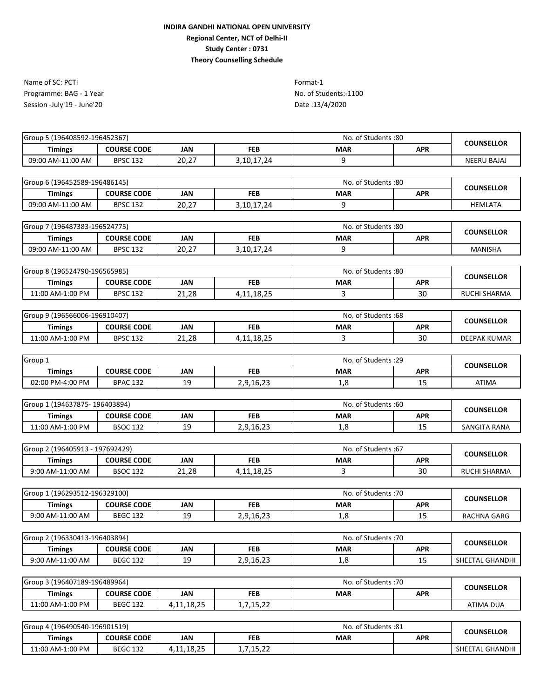Programme: BAG - 1 Year No. of Students:-1100 Session -July'19 - June'20 Name of SC: PCTI Format-1

Date :13/4/2020

| Group 5 (196408592-196452367)   |                    |               |               | No. of Students:80   |            |                     |
|---------------------------------|--------------------|---------------|---------------|----------------------|------------|---------------------|
| <b>Timings</b>                  | <b>COURSE CODE</b> | <b>JAN</b>    | <b>FEB</b>    | <b>MAR</b>           | <b>APR</b> | <b>COUNSELLOR</b>   |
| 09:00 AM-11:00 AM               | <b>BPSC 132</b>    | 20,27         | 3, 10, 17, 24 | 9                    |            | <b>NEERU BAJAJ</b>  |
|                                 |                    |               |               |                      |            |                     |
| Group 6 (196452589-196486145)   |                    |               |               | No. of Students: 80  |            | <b>COUNSELLOR</b>   |
| <b>Timings</b>                  | <b>COURSE CODE</b> | JAN           | <b>FEB</b>    | <b>MAR</b>           | <b>APR</b> |                     |
| 09:00 AM-11:00 AM               | <b>BPSC 132</b>    | 20,27         | 3,10,17,24    | 9                    |            | <b>HEMLATA</b>      |
| Group 7 (196487383-196524775)   |                    |               |               | No. of Students:80   |            |                     |
| <b>Timings</b>                  | <b>COURSE CODE</b> | <b>JAN</b>    | <b>FEB</b>    | <b>MAR</b>           | <b>APR</b> | <b>COUNSELLOR</b>   |
| 09:00 AM-11:00 AM               | <b>BPSC 132</b>    | 20,27         | 3,10,17,24    | 9                    |            | <b>MANISHA</b>      |
|                                 |                    |               |               |                      |            |                     |
| Group 8 (196524790-196565985)   |                    |               |               | No. of Students:80   |            |                     |
| <b>Timings</b>                  | <b>COURSE CODE</b> | <b>JAN</b>    | <b>FEB</b>    | <b>MAR</b>           | <b>APR</b> | <b>COUNSELLOR</b>   |
| 11:00 AM-1:00 PM                | <b>BPSC 132</b>    | 21,28         | 4, 11, 18, 25 | 3                    | 30         | RUCHI SHARMA        |
|                                 |                    |               |               |                      |            |                     |
| Group 9 (196566006-196910407)   |                    |               |               | No. of Students :68  |            | <b>COUNSELLOR</b>   |
| <b>Timings</b>                  | <b>COURSE CODE</b> | <b>JAN</b>    | <b>FEB</b>    | <b>MAR</b>           | <b>APR</b> |                     |
| 11:00 AM-1:00 PM                | <b>BPSC 132</b>    | 21,28         | 4,11,18,25    | 3                    | 30         | <b>DEEPAK KUMAR</b> |
|                                 |                    |               |               |                      |            |                     |
| Group 1                         |                    |               |               | No. of Students : 29 |            | <b>COUNSELLOR</b>   |
| <b>Timings</b>                  | <b>COURSE CODE</b> | <b>JAN</b>    | <b>FEB</b>    | <b>MAR</b>           | <b>APR</b> |                     |
| 02:00 PM-4:00 PM                | <b>BPAC 132</b>    | 19            | 2,9,16,23     | 1,8                  | 15         | ATIMA               |
|                                 |                    |               |               |                      |            |                     |
| Group 1 (194637875-196403894)   |                    |               |               | No. of Students:60   |            | <b>COUNSELLOR</b>   |
| <b>Timings</b>                  | <b>COURSE CODE</b> | <b>JAN</b>    | <b>FEB</b>    | <b>MAR</b>           | <b>APR</b> |                     |
| 11:00 AM-1:00 PM                | <b>BSOC 132</b>    | 19            | 2,9,16,23     | 1,8                  | 15         | SANGITA RANA        |
| Group 2 (196405913 - 197692429) |                    |               |               | No. of Students: 67  |            |                     |
| <b>Timings</b>                  | <b>COURSE CODE</b> | <b>JAN</b>    | <b>FEB</b>    | <b>MAR</b>           | <b>APR</b> | <b>COUNSELLOR</b>   |
| 9:00 AM-11:00 AM                | <b>BSOC 132</b>    | 21,28         | 4, 11, 18, 25 | 3                    | 30         | <b>RUCHI SHARMA</b> |
|                                 |                    |               |               |                      |            |                     |
| Group 1 (196293512-196329100)   |                    |               |               | No. of Students: 70  |            |                     |
| <b>Timings</b>                  | <b>COURSE CODE</b> | <b>JAN</b>    | <b>FEB</b>    | <b>MAR</b>           | <b>APR</b> | <b>COUNSELLOR</b>   |
| 9:00 AM-11:00 AM                | <b>BEGC 132</b>    | 19            | 2,9,16,23     | 1,8                  | 15         | RACHNA GARG         |
|                                 |                    |               |               |                      |            |                     |
| Group 2 (196330413-196403894)   |                    |               |               | No. of Students: 70  |            | <b>COUNSELLOR</b>   |
| <b>Timings</b>                  | <b>COURSE CODE</b> | <b>JAN</b>    | <b>FEB</b>    | MAR                  | <b>APR</b> |                     |
| 9:00 AM-11:00 AM                | <b>BEGC 132</b>    | 19            | 2,9,16,23     | 1,8                  | 15         | SHEETAL GHANDHI     |
| Group 3 (196407189-196489964)   |                    |               |               | No. of Students: 70  |            |                     |
| <b>Timings</b>                  | <b>COURSE CODE</b> | <b>JAN</b>    | <b>FEB</b>    | <b>MAR</b>           | <b>APR</b> | <b>COUNSELLOR</b>   |
| 11:00 AM-1:00 PM                | <b>BEGC 132</b>    | 4, 11, 18, 25 | 1,7,15,22     |                      |            | <b>ATIMA DUA</b>    |
|                                 |                    |               |               |                      |            |                     |
| Group 4 (196490540-196901519)   |                    |               |               | No. of Students .81  |            |                     |

**Timings COURSE CODE JAN FEB MAR APR** 11:00 AM-1:00 PM BEGC 132 4,11,18,25 1,7,15,22 5HEETAL GHANDHI Group 4 (196490540-196901519) No. of Students :81 **COUNSELLOR**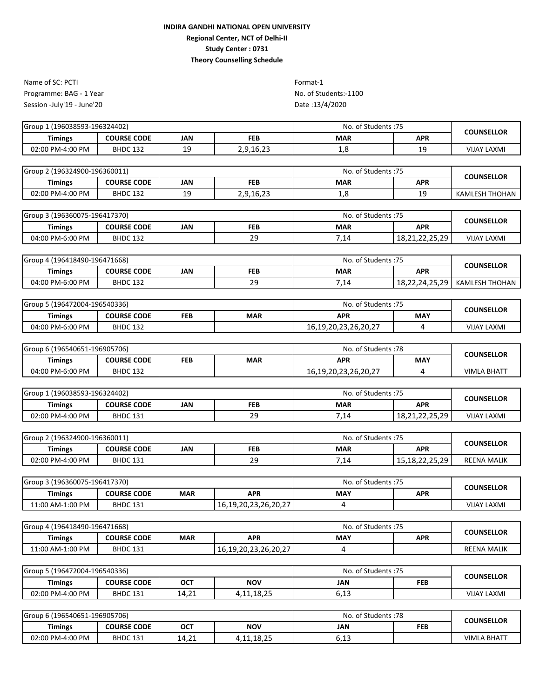Programme: BAG - 1 Year No. of Students:-1100 Session -July'19 - June'20 Name of SC: PCTI Format-1

| Group<br>l (196038593-196324402) |                    |                 | No. of Students: 75 | <b>COUNSELLOR</b> |            |                    |
|----------------------------------|--------------------|-----------------|---------------------|-------------------|------------|--------------------|
| <b>Timings</b>                   | <b>COURSE CODE</b> | JAN             | <b>FEB</b>          | <b>MAR</b>        | <b>APR</b> |                    |
| 02:00 PM-4:00 PM                 | <b>BHDC 132</b>    | <b>10</b><br>-- | 2,9,16,23           | T.O               | 10<br>--   | <b>VIJAY LAXMI</b> |

| Group 2 (196324900-196360011) |                    |     |            | No. of Students: 75 | <b>COUNSELLOR</b> |                |  |
|-------------------------------|--------------------|-----|------------|---------------------|-------------------|----------------|--|
| <b>Timings</b>                | <b>COURSE CODE</b> | JAN | <b>FEB</b> | <b>MAR</b>          | <b>APR</b>        |                |  |
| 02:00 PM-4:00 PM              | <b>BHDC 132</b>    | --  | 2,9,16,23  | <b>L.C</b>          | 19                | KAMLESH THOHAN |  |

| Group 3 (196360075-196417370) |                    |     | No. of Students: 75 | <b>COUNSELLOR</b> |                |                    |  |
|-------------------------------|--------------------|-----|---------------------|-------------------|----------------|--------------------|--|
| Timings                       | <b>COURSE CODE</b> | JAN | <b>FEB</b>          | <b>MAR</b>        | <b>APR</b>     |                    |  |
| 04:00 PM-6:00 PM              | <b>BHDC 132</b>    |     | 20<br>۔ ے           | 7,14              | 18,21,22,25,29 | <b>VIJAY LAXMI</b> |  |

| 196418490-196471668) 4 (19641<br>Group |                    |     | No. of Students: 75 | <b>COUNSELLOR</b> |                       |                |  |
|----------------------------------------|--------------------|-----|---------------------|-------------------|-----------------------|----------------|--|
| <b>Timings</b>                         | <b>COURSE CODE</b> | JAN | <b>FEB</b>          | <b>MAR</b>        | <b>APR</b>            |                |  |
| 04:00 PM-6:00 PM                       | <b>BHDC 132</b>    |     | c<br><u>. .</u>     | 14                | 18,22,24,25,29<br>1 O | KAMLESH THOHAN |  |

| Group 5 (196472004-196540336) |                    |     |            | No. of Students: 75        | <b>COUNSELLOR</b> |                    |  |
|-------------------------------|--------------------|-----|------------|----------------------------|-------------------|--------------------|--|
| Timings                       | <b>COURSE CODE</b> | FEB | <b>MAR</b> | APR                        | MAY               |                    |  |
| 04:00 PM-6:00 PM              | <b>BHDC 132</b>    |     |            | 16, 19, 20, 23, 26, 20, 27 |                   | <b>VIJAY LAXMI</b> |  |

| Group 6 (196540651-196905706) |                    |     | No. of Students: 78 | <b>COUNSELLOR</b>          |            |             |  |
|-------------------------------|--------------------|-----|---------------------|----------------------------|------------|-------------|--|
| Timings                       | <b>COURSE CODE</b> | FEB | <b>MAR</b>          | <b>APR</b>                 | <b>MAY</b> |             |  |
| 04:00 PM-6:00 PM              | <b>BHDC 132</b>    |     |                     | 16, 19, 20, 23, 26, 20, 27 |            | VIMLA BHATT |  |

| Group 1 (196038593-196324402) |                    |     | No. of Students: 75 | <b>COUNSELLOR</b> |                                                        |                    |  |
|-------------------------------|--------------------|-----|---------------------|-------------------|--------------------------------------------------------|--------------------|--|
| Timings                       | <b>COURSE CODE</b> | JAN | <b>FEB</b>          | <b>MAR</b>        | <b>APR</b>                                             |                    |  |
| 02:00 PM-4:00 PM              | <b>BHDC 131</b>    |     | 20<br>۔ ے           | 7,14              | 22 25 20<br>19.71<br>10, <i>L</i> 1, <i>L2, L3, L3</i> | <b>VIJAY LAXMI</b> |  |

| 2 (196324900-196360011)<br>Group |                    |     |            | . of Students :75<br>No. | <b>COUNSELLOR</b>                                              |                    |  |
|----------------------------------|--------------------|-----|------------|--------------------------|----------------------------------------------------------------|--------------------|--|
| <b>Timings</b>                   | <b>COURSE CODE</b> | JAN | <b>FEB</b> | <b>MAR</b>               | <b>APR</b>                                                     |                    |  |
| 02:00 PM-4:00 PM                 | <b>BHDC 131</b>    |     | 20<br>ر ے  | .14                      | <b>291</b><br>$\mathcal{D}$<br>$\sim$<br>1 O<br>13.10.22.23.23 | <b>REENA MALIK</b> |  |

| Group 3 (196360075-196417370) |                    |     |                      | No. of Students: 75 |     | <b>COUNSELLOR</b>  |  |
|-------------------------------|--------------------|-----|----------------------|---------------------|-----|--------------------|--|
| <b>Timings</b>                | <b>COURSE CODE</b> | MAR | APR                  | MAY                 | APR |                    |  |
| 11:00 AM-1:00 PM              | <b>BHDC 131</b>    |     | 16,19,20,23,26,20,27 |                     |     | <b>VIJAY LAXMI</b> |  |

| Group 4 (196418490-196471668) |                    |            |                      | No. of Students: 75 | <b>COUNSELLOR</b> |                    |  |
|-------------------------------|--------------------|------------|----------------------|---------------------|-------------------|--------------------|--|
| <b>Timings</b>                | <b>COURSE CODE</b> | <b>MAR</b> | <b>APR</b>           | <b>MAY</b>          | <b>APR</b>        |                    |  |
| 11:00 AM-1:00 PM              | <b>BHDC 131</b>    |            | 16,19,20,23,26,20,27 |                     |                   | <b>REENA MALIK</b> |  |

| Group 5 (196472004-196540336) |                    |      | . of Students :75<br>No. | <b>COUNSELLOR</b>        |            |                    |  |
|-------------------------------|--------------------|------|--------------------------|--------------------------|------------|--------------------|--|
| <b>Timings</b>                | <b>COURSE CODE</b> | OCT  | <b>NOV</b>               | JAN                      | <b>FEB</b> |                    |  |
| 02:00 PM-4:00 PM              | <b>BHDC 131</b>    | 4.21 | 4,11,18,25               | $\sim$ 12<br><b>0,13</b> |            | <b>VIJAY LAXMI</b> |  |

| Group 6 (196540651-196905706) |                    |            | No. of Students :78 | <b>COUNSELLOR</b> |  |                    |
|-------------------------------|--------------------|------------|---------------------|-------------------|--|--------------------|
| <b>Timings</b>                | <b>COURSE CODE</b> | <b>OCT</b> | <b>NOV</b>          | JAN               |  |                    |
| 02:00 PM-4:00 PM              | <b>BHDC 131</b>    | 14,21      | 11,18,25+,          | .<br><b>0,13</b>  |  | <b>VIMLA BHATT</b> |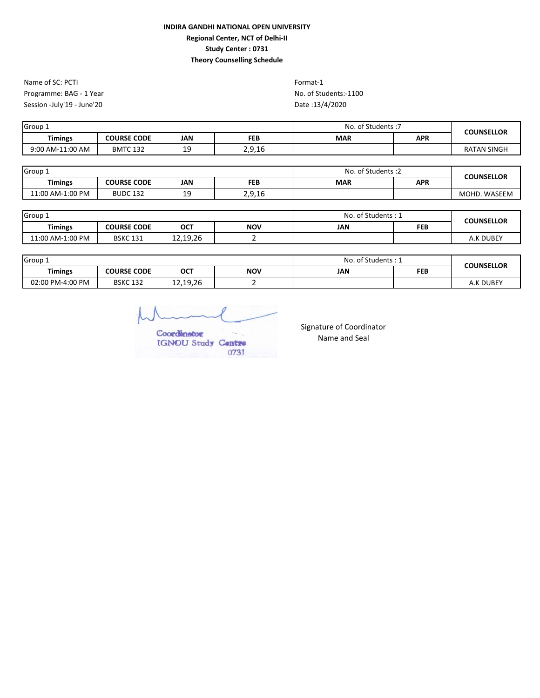Programme: BAG - 1 Year No. of Students:-1100 Session -July'19 - June'20 Name of SC: PCTI Format-1

Date :13/4/2020

| Group 1          |                    |     | - of Students . ٦<br>No. | <b>COUNSELLOR</b> |            |                    |  |
|------------------|--------------------|-----|--------------------------|-------------------|------------|--------------------|--|
| <b>Timings</b>   | <b>COURSE CODE</b> | JAN | <b>FEB</b>               | <b>MAR</b>        | <b>APR</b> |                    |  |
| 9:00 AM-11:00 AM | <b>BMTC 132</b>    | --  | 2,9,16                   |                   |            | <b>RATAN SINGH</b> |  |

| Group 1          |                    |            | No. of Students: 2 | <b>COUNSELLOR</b> |            |              |
|------------------|--------------------|------------|--------------------|-------------------|------------|--------------|
| <b>Timings</b>   | <b>COURSE CODE</b> | <b>JAN</b> | <b>FEB</b>         | <b>MAR</b>        | <b>APR</b> |              |
| 11:00 AM-1:00 PM | <b>BUDC 132</b>    | --         | 2,9,16             |                   |            | MOHD. WASEEM |

| Group 1          |                    |          | No. of Students: 1 | <b>COUNSELLOR</b> |            |           |
|------------------|--------------------|----------|--------------------|-------------------|------------|-----------|
| <b>Timings</b>   | <b>COURSE CODE</b> | OCT      | <b>NOV</b>         | JAN               | <b>FEB</b> |           |
| 11:00 AM-1:00 PM | <b>BSKC 131</b>    | 12.19.26 |                    |                   |            | A.K DUBEY |

| Group 1          |                    |          | No. of Students: 1 | <b>COUNSELLOR</b> |            |           |
|------------------|--------------------|----------|--------------------|-------------------|------------|-----------|
| <b>Timings</b>   | <b>COURSE CODE</b> | ОСТ      | <b>NOV</b>         | JAN               | <b>FEB</b> |           |
| 02:00 PM-4:00 PM | <b>BSKC 132</b>    | 12,19,26 |                    |                   |            | A.K DUBEY |

Coordinator IGNOU Study Centre 0731

Signature of Coordinator Name and Seal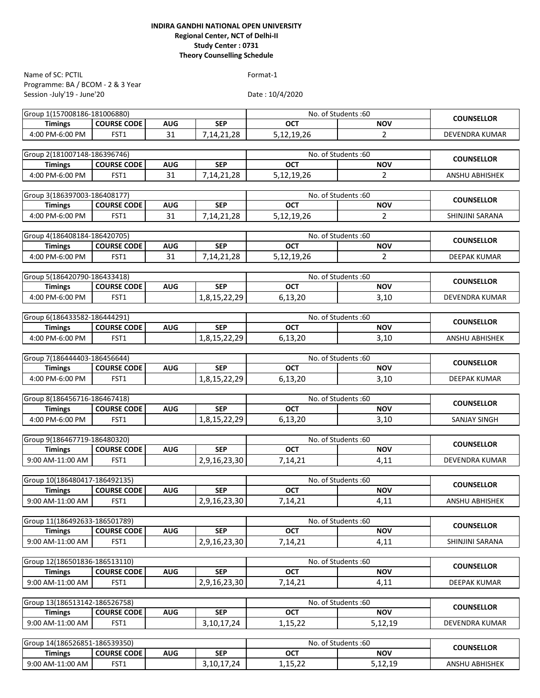Programme: BA / BCOM - 2 & 3 Year Session -July'19 - June'20 Name of SC: PCTIL Format-1

| Group 1(157008186-181006880)                    |                    |            |               |            | No. of Students: 60              | <b>COUNSELLOR</b>      |
|-------------------------------------------------|--------------------|------------|---------------|------------|----------------------------------|------------------------|
| <b>Timings</b>                                  | <b>COURSE CODE</b> | <b>AUG</b> | <b>SEP</b>    | <b>OCT</b> | <b>NOV</b>                       |                        |
| 4:00 PM-6:00 PM                                 | FST <sub>1</sub>   | 31         | 7, 14, 21, 28 | 5,12,19,26 | $\overline{2}$                   | DEVENDRA KUMAR         |
|                                                 |                    |            |               |            |                                  |                        |
| Group 2(181007148-186396746)<br><b>Timings</b>  | <b>COURSE CODE</b> | <b>AUG</b> | <b>SEP</b>    | <b>OCT</b> | No. of Students:60<br><b>NOV</b> | <b>COUNSELLOR</b>      |
| 4:00 PM-6:00 PM                                 | FST1               | 31         | 7,14,21,28    | 5,12,19,26 | $\overline{2}$                   | ANSHU ABHISHEK         |
|                                                 |                    |            |               |            |                                  |                        |
| Group 3(186397003-186408177)                    |                    |            |               |            | No. of Students:60               |                        |
| <b>Timings</b>                                  | <b>COURSE CODE</b> | <b>AUG</b> | <b>SEP</b>    | <b>OCT</b> | <b>NOV</b>                       | <b>COUNSELLOR</b>      |
| 4:00 PM-6:00 PM                                 | FST1               | 31         | 7,14,21,28    | 5,12,19,26 | 2                                | <b>SHINJINI SARANA</b> |
|                                                 |                    |            |               |            |                                  |                        |
| Group 4(186408184-186420705)                    |                    |            |               |            | No. of Students:60               |                        |
| <b>Timings</b>                                  | <b>COURSE CODE</b> | <b>AUG</b> | <b>SEP</b>    | <b>OCT</b> | <b>NOV</b>                       | <b>COUNSELLOR</b>      |
| 4:00 PM-6:00 PM                                 | FST <sub>1</sub>   | 31         | 7,14,21,28    | 5,12,19,26 | $\overline{2}$                   | <b>DEEPAK KUMAR</b>    |
|                                                 |                    |            |               |            |                                  |                        |
| Group 5(186420790-186433418)                    |                    |            |               |            | No. of Students:60               | <b>COUNSELLOR</b>      |
| <b>Timings</b>                                  | <b>COURSE CODE</b> | <b>AUG</b> | <b>SEP</b>    | <b>OCT</b> | <b>NOV</b>                       |                        |
| 4:00 PM-6:00 PM                                 | FST <sub>1</sub>   |            | 1,8,15,22,29  | 6,13,20    | 3,10                             | <b>DEVENDRA KUMAR</b>  |
| Group 6(186433582-186444291)                    |                    |            |               |            | No. of Students: 60              |                        |
| <b>Timings</b>                                  | <b>COURSE CODE</b> | AUG        | <b>SEP</b>    | <b>OCT</b> | <b>NOV</b>                       | <b>COUNSELLOR</b>      |
| 4:00 PM-6:00 PM                                 | FST <sub>1</sub>   |            | 1,8,15,22,29  | 6,13,20    | 3,10                             | <b>ANSHU ABHISHEK</b>  |
|                                                 |                    |            |               |            |                                  |                        |
| Group 7(186444403-186456644)                    |                    |            |               |            | No. of Students:60               |                        |
| <b>Timings</b>                                  | <b>COURSE CODE</b> | <b>AUG</b> | <b>SEP</b>    | <b>OCT</b> | <b>NOV</b>                       | <b>COUNSELLOR</b>      |
| 4:00 PM-6:00 PM                                 | FST <sub>1</sub>   |            | 1,8,15,22,29  | 6,13,20    | 3,10                             | <b>DEEPAK KUMAR</b>    |
|                                                 |                    |            |               |            |                                  |                        |
| Group 8(186456716-186467418)                    |                    |            |               |            | No. of Students:60               | <b>COUNSELLOR</b>      |
| <b>Timings</b>                                  | <b>COURSE CODE</b> | <b>AUG</b> | <b>SEP</b>    | <b>OCT</b> | <b>NOV</b>                       |                        |
| 4:00 PM-6:00 PM                                 | FST <sub>1</sub>   |            | 1,8,15,22,29  | 6,13,20    | 3,10                             | <b>SANJAY SINGH</b>    |
|                                                 |                    |            |               |            |                                  |                        |
| Group 9(186467719-186480320)                    |                    |            |               |            | No. of Students:60               | <b>COUNSELLOR</b>      |
| <b>Timings</b>                                  | <b>COURSE CODE</b> | <b>AUG</b> | <b>SEP</b>    | <b>OCT</b> | <b>NOV</b>                       |                        |
| 9:00 AM-11:00 AM                                | FST <sub>1</sub>   |            | 2,9,16,23,30  | 7,14,21    | 4,11                             | <b>DEVENDRA KUMAR</b>  |
|                                                 |                    |            |               |            |                                  |                        |
| Group 10(186480417-186492135)<br><b>Timings</b> | <b>COURSE CODE</b> | <b>AUG</b> | <b>SEP</b>    | <b>OCT</b> | No. of Students:60<br><b>NOV</b> | <b>COUNSELLOR</b>      |
| 9:00 AM-11:00 AM                                | FST <sub>1</sub>   |            | 2,9,16,23,30  | 7,14,21    | 4,11                             | <b>ANSHU ABHISHEK</b>  |
|                                                 |                    |            |               |            |                                  |                        |
| Group 11(186492633-186501789)                   |                    |            |               |            | No. of Students:60               |                        |
| <b>Timings</b>                                  | <b>COURSE CODE</b> | <b>AUG</b> | <b>SEP</b>    | OCT        | <b>NOV</b>                       | <b>COUNSELLOR</b>      |
| 9:00 AM-11:00 AM                                | FST1               |            | 2,9,16,23,30  | 7,14,21    | 4,11                             | SHINJINI SARANA        |
|                                                 |                    |            |               |            |                                  |                        |
| Group 12(186501836-186513110)                   |                    |            |               |            | No. of Students:60               |                        |
| <b>Timings</b>                                  | <b>COURSE CODE</b> | <b>AUG</b> | <b>SEP</b>    | OCT        | <b>NOV</b>                       | <b>COUNSELLOR</b>      |
| 9:00 AM-11:00 AM                                | FST1               |            | 2,9,16,23,30  | 7,14,21    | 4,11                             | DEEPAK KUMAR           |
|                                                 |                    |            |               |            |                                  |                        |
| Group 13(186513142-186526758)                   |                    |            |               |            | No. of Students:60               | <b>COUNSELLOR</b>      |
| <b>Timings</b>                                  | <b>COURSE CODE</b> | <b>AUG</b> | <b>SEP</b>    | OCT        | <b>NOV</b>                       |                        |
| 9:00 AM-11:00 AM                                | FST1               |            | 3, 10, 17, 24 | 1,15,22    | 5,12,19                          | DEVENDRA KUMAR         |
|                                                 |                    |            |               |            |                                  |                        |
| Group 14(186526851-186539350)                   |                    |            |               |            | No. of Students: 60              | <b>COUNSELLOR</b>      |
| <b>Timings</b>                                  | <b>COURSE CODE</b> | <b>AUG</b> | <b>SEP</b>    | <b>OCT</b> | <b>NOV</b>                       |                        |
| 9:00 AM-11:00 AM                                | FST1               |            | 3, 10, 17, 24 | 1,15,22    | 5,12,19                          | ANSHU ABHISHEK         |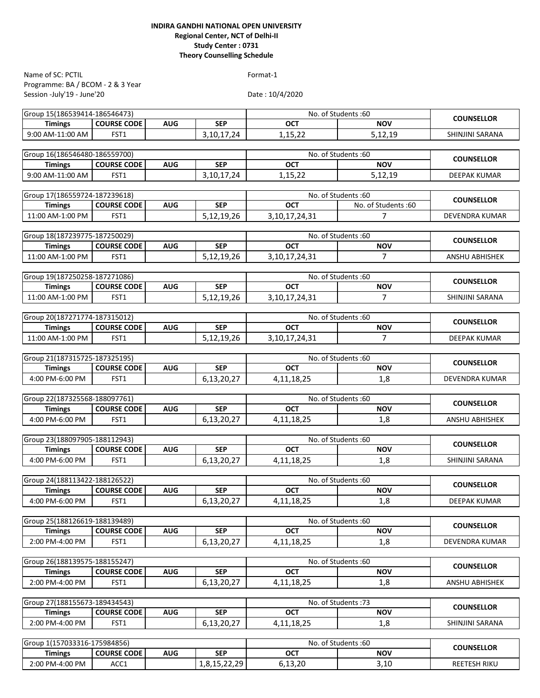Programme: BA / BCOM - 2 & 3 Year Session -July'19 - June'20 Name of SC: PCTIL Format-1

| Group 15(186539414-186546473)                   |                     |            |               |                   | No. of Students:60               | <b>COUNSELLOR</b>     |
|-------------------------------------------------|---------------------|------------|---------------|-------------------|----------------------------------|-----------------------|
| <b>Timings</b>                                  | <b>COURSE CODE</b>  | <b>AUG</b> | <b>SEP</b>    | <b>OCT</b>        | <b>NOV</b>                       |                       |
| 9:00 AM-11:00 AM                                | FST1                |            | 3,10,17,24    | 1,15,22           | 5,12,19                          | SHINJINI SARANA       |
|                                                 |                     |            |               |                   |                                  |                       |
| Group 16(186546480-186559700)                   |                     |            |               |                   | No. of Students:60               | <b>COUNSELLOR</b>     |
| <b>Timings</b>                                  | <b>COURSE CODE</b>  | <b>AUG</b> | <b>SEP</b>    | <b>OCT</b>        | <b>NOV</b>                       |                       |
| 9:00 AM-11:00 AM                                | FST <sub>1</sub>    |            | 3, 10, 17, 24 | 1.15.22           | 5,12,19                          | <b>DEEPAK KUMAR</b>   |
|                                                 |                     |            |               |                   |                                  |                       |
| Group 17(186559724-187239618)                   |                     |            |               |                   | No. of Students:60               | <b>COUNSELLOR</b>     |
| <b>Timings</b>                                  | <b>COURSE CODE</b>  | <b>AUG</b> | <b>SEP</b>    | <b>OCT</b>        | No. of Students:60               |                       |
| 11:00 AM-1:00 PM                                | FST <sub>1</sub>    |            | 5,12,19,26    | 3, 10, 17, 24, 31 | $\overline{7}$                   | DEVENDRA KUMAR        |
| Group 18(187239775-187250029)                   |                     |            |               |                   | No. of Students:60               |                       |
| <b>Timings</b>                                  | <b>COURSE CODE</b>  | <b>AUG</b> | <b>SEP</b>    | <b>OCT</b>        | <b>NOV</b>                       | <b>COUNSELLOR</b>     |
| 11:00 AM-1:00 PM                                | FST1                |            | 5,12,19,26    | 3, 10, 17, 24, 31 | $\overline{7}$                   | ANSHU ABHISHEK        |
|                                                 |                     |            |               |                   |                                  |                       |
| Group 19(187250258-187271086)                   |                     |            |               |                   | No. of Students:60               |                       |
| <b>Timings</b>                                  | <b>COURSE CODE</b>  | <b>AUG</b> | <b>SEP</b>    | <b>OCT</b>        | <b>NOV</b>                       | <b>COUNSELLOR</b>     |
| 11:00 AM-1:00 PM                                | FST1                |            | 5,12,19,26    | 3, 10, 17, 24, 31 | $\overline{7}$                   | SHINJINI SARANA       |
|                                                 |                     |            |               |                   |                                  |                       |
| Group 20(187271774-187315012)                   |                     |            |               |                   | No. of Students:60               |                       |
| <b>Timings</b>                                  | <b>COURSE CODE</b>  | <b>AUG</b> | <b>SEP</b>    | <b>OCT</b>        | <b>NOV</b>                       | <b>COUNSELLOR</b>     |
| 11:00 AM-1:00 PM                                | FST1                |            | 5,12,19,26    | 3, 10, 17, 24, 31 | $\overline{7}$                   | <b>DEEPAK KUMAR</b>   |
|                                                 |                     |            |               |                   |                                  |                       |
| Group 21(187315725-187325195)                   |                     |            |               |                   | No. of Students:60               | <b>COUNSELLOR</b>     |
| <b>Timings</b>                                  | <b>COURSE CODE</b>  | <b>AUG</b> | <b>SEP</b>    | <b>OCT</b>        | <b>NOV</b>                       |                       |
| 4:00 PM-6:00 PM                                 | FST <sub>1</sub>    |            | 6,13,20,27    | 4, 11, 18, 25     | 1,8                              | DEVENDRA KUMAR        |
|                                                 |                     |            |               |                   |                                  |                       |
| Group 22(187325568-188097761)                   |                     |            |               |                   | No. of Students: 60              | <b>COUNSELLOR</b>     |
| <b>Timings</b>                                  | <b>COURSE CODE</b>  | <b>AUG</b> | <b>SEP</b>    | <b>OCT</b>        | <b>NOV</b>                       |                       |
| 4:00 PM-6:00 PM                                 | FST1                |            | 6,13,20,27    | 4, 11, 18, 25     | 1,8                              | ANSHU ABHISHEK        |
|                                                 |                     |            |               |                   |                                  |                       |
| Group 23(188097905-188112943)                   |                     |            |               |                   | No. of Students:60               | <b>COUNSELLOR</b>     |
| <b>Timings</b>                                  | <b>COURSE CODE</b>  | <b>AUG</b> | <b>SEP</b>    | <b>OCT</b>        | <b>NOV</b>                       |                       |
| 4:00 PM-6:00 PM                                 | FST1                |            | 6,13,20,27    | 4,11,18,25        | 1,8                              | SHINJINI SARANA       |
|                                                 |                     |            |               |                   |                                  |                       |
| Group 24(188113422-188126522)<br><b>Timings</b> | <b>COURSE CODE</b>  | <b>AUG</b> | <b>SEP</b>    | <b>OCT</b>        | No. of Students:60<br><b>NOV</b> | <b>COUNSELLOR</b>     |
| 4:00 PM-6:00 PM                                 |                     |            |               |                   |                                  |                       |
|                                                 | FST1                |            | 6,13,20,27    | 4,11,18,25        | 1,8                              | DEEPAK KUMAR          |
| Group 25(188126619-188139489)                   |                     |            |               |                   | No. of Students: 60              |                       |
| <b>Timings</b>                                  | <b>COURSE CODE</b>  | <b>AUG</b> | <b>SEP</b>    | <b>OCT</b>        | <b>NOV</b>                       | <b>COUNSELLOR</b>     |
| 2:00 PM-4:00 PM                                 | FST1                |            | 6,13,20,27    | 4, 11, 18, 25     | 1,8                              | <b>DEVENDRA KUMAR</b> |
|                                                 |                     |            |               |                   |                                  |                       |
| Group 26(188139575-188155247)                   |                     |            |               |                   | No. of Students:60               |                       |
| <b>Timings</b>                                  | <b>COURSE CODE</b>  | <b>AUG</b> | <b>SEP</b>    | <b>OCT</b>        | <b>NOV</b>                       | <b>COUNSELLOR</b>     |
| 2:00 PM-4:00 PM                                 | FST1                |            | 6,13,20,27    | 4, 11, 18, 25     | 1,8                              | ANSHU ABHISHEK        |
|                                                 |                     |            |               |                   |                                  |                       |
| Group 27(188155673-189434543)                   | No. of Students: 73 |            |               |                   |                                  |                       |
| <b>Timings</b>                                  | <b>COURSE CODE</b>  | <b>AUG</b> | <b>SEP</b>    | OCT               | <b>NOV</b>                       | <b>COUNSELLOR</b>     |
| 2:00 PM-4:00 PM                                 | FST1                |            | 6,13,20,27    | 4, 11, 18, 25     | 1,8                              | SHINJINI SARANA       |
|                                                 |                     |            |               |                   |                                  |                       |
| Group 1(157033316-175984856)                    |                     |            |               |                   | No. of Students: 60              | <b>COUNSELLOR</b>     |
| <b>Timings</b>                                  | <b>COURSE CODE</b>  | <b>AUG</b> | <b>SEP</b>    | <b>OCT</b>        | <b>NOV</b>                       |                       |
| 2:00 PM-4:00 PM                                 | ACC1                |            | 1,8,15,22,29  | 6,13,20           | 3,10                             | REETESH RIKU          |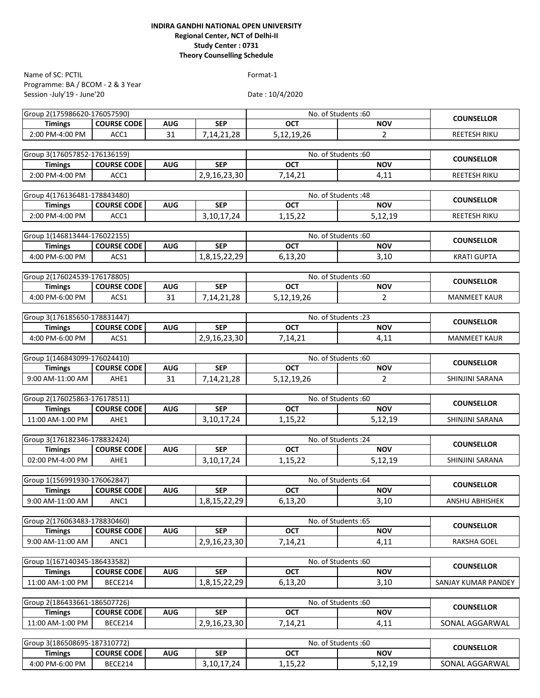Programme: BA / BCOM - 2 & 3 Year Session -July'19 - June'20 Name of SC: PCTIL Format-1

| Group 2(175986620-176057590) |                    |            |               |                     | No. of Students:60  | <b>COUNSELLOR</b>     |
|------------------------------|--------------------|------------|---------------|---------------------|---------------------|-----------------------|
| <b>Timings</b>               | <b>COURSE CODE</b> | <b>AUG</b> | <b>SEP</b>    | <b>OCT</b>          | <b>NOV</b>          |                       |
| 2:00 PM-4:00 PM              | ACC1               | 31         | 7,14,21,28    | 5,12,19,26          | $\overline{2}$      | <b>REETESH RIKU</b>   |
|                              |                    |            |               |                     |                     |                       |
| Group 3(176057852-176136159) |                    |            |               |                     | No. of Students:60  | <b>COUNSELLOR</b>     |
| <b>Timings</b>               | <b>COURSE CODE</b> | <b>AUG</b> | <b>SEP</b>    | <b>OCT</b>          | <b>NOV</b>          |                       |
| 2:00 PM-4:00 PM              | ACC1               |            | 2,9,16,23,30  | 7,14,21             | 4,11                | <b>REETESH RIKU</b>   |
|                              |                    |            |               |                     |                     |                       |
| Group 4(176136481-178843480) |                    |            |               |                     | No. of Students: 48 | <b>COUNSELLOR</b>     |
| <b>Timings</b>               | <b>COURSE CODE</b> | <b>AUG</b> | <b>SEP</b>    | <b>OCT</b>          | <b>NOV</b>          |                       |
| 2:00 PM-4:00 PM              | ACC1               |            | 3,10,17,24    | 1,15,22             | 5,12,19             | <b>REETESH RIKU</b>   |
| Group 1(146813444-176022155) |                    |            |               |                     | No. of Students:60  |                       |
| <b>Timings</b>               | <b>COURSE CODE</b> | <b>AUG</b> | <b>SEP</b>    | <b>OCT</b>          | <b>NOV</b>          | <b>COUNSELLOR</b>     |
| 4:00 PM-6:00 PM              | ACS1               |            | 1,8,15,22,29  | 6,13,20             |                     | <b>KRATI GUPTA</b>    |
|                              |                    |            |               |                     | 3,10                |                       |
| Group 2(176024539-176178805) |                    |            |               |                     | No. of Students:60  |                       |
| <b>Timings</b>               | <b>COURSE CODE</b> | <b>AUG</b> | <b>SEP</b>    | <b>OCT</b>          | <b>NOV</b>          | <b>COUNSELLOR</b>     |
| 4:00 PM-6:00 PM              | ACS1               | 31         | 7, 14, 21, 28 | 5,12,19,26          | $\overline{2}$      | <b>MANMEET KAUR</b>   |
|                              |                    |            |               |                     |                     |                       |
| Group 3(176185650-178831447) |                    |            |               |                     | No. of Students: 23 |                       |
| <b>Timings</b>               | <b>COURSE CODE</b> | <b>AUG</b> | <b>SEP</b>    | <b>OCT</b>          | <b>NOV</b>          | <b>COUNSELLOR</b>     |
| 4:00 PM-6:00 PM              | ACS1               |            | 2,9,16,23,30  | 7,14,21             | 4,11                | <b>MANMEET KAUR</b>   |
|                              |                    |            |               |                     |                     |                       |
| Group 1(146843099-176024410) |                    |            |               |                     | No. of Students:60  |                       |
| <b>Timings</b>               | <b>COURSE CODE</b> | <b>AUG</b> | <b>SEP</b>    | <b>OCT</b>          | <b>NOV</b>          | <b>COUNSELLOR</b>     |
| 9:00 AM-11:00 AM             | AHE1               | 31         | 7,14,21,28    | 5,12,19,26          | $\overline{2}$      | SHINJINI SARANA       |
|                              |                    |            |               |                     |                     |                       |
| Group 2(176025863-176178511) | No. of Students:60 |            |               |                     |                     | <b>COUNSELLOR</b>     |
| <b>Timings</b>               | <b>COURSE CODE</b> | <b>AUG</b> | <b>SEP</b>    | <b>OCT</b>          | <b>NOV</b>          |                       |
| 11:00 AM-1:00 PM             | AHE1               |            | 3,10,17,24    | 1,15,22             | 5,12,19             | SHINJINI SARANA       |
|                              |                    |            |               |                     |                     |                       |
| Group 3(176182346-178832424) |                    |            |               | No. of Students: 24 |                     | <b>COUNSELLOR</b>     |
| <b>Timings</b>               | <b>COURSE CODE</b> | <b>AUG</b> | <b>SEP</b>    | <b>OCT</b>          | <b>NOV</b>          |                       |
| 02:00 PM-4:00 PM             | AHE1               |            | 3, 10, 17, 24 | 1,15,22             | 5,12,19             | SHINJINI SARANA       |
|                              |                    |            |               |                     |                     |                       |
| Group 1(156991930-176062847) |                    |            |               |                     | No. of Students: 64 | <b>COUNSELLOR</b>     |
| <b>Timings</b>               | <b>COURSE CODE</b> | <b>AUG</b> | <b>SEP</b>    | OCT                 | <b>NOV</b>          |                       |
| 9:00 AM-11:00 AM             | ANC1               |            | 1,8,15,22,29  | 6.13.20             | 3.10                | <b>ANSHU ABHISHEK</b> |
| Group 2(176063483-178830460) |                    |            |               |                     | No. of Students: 65 |                       |
| <b>Timings</b>               | <b>COURSE CODE</b> | <b>AUG</b> | <b>SEP</b>    | OCT                 | <b>NOV</b>          | <b>COUNSELLOR</b>     |
| 9:00 AM-11:00 AM             | ANC1               |            | 2,9,16,23,30  |                     |                     | <b>RAKSHA GOEL</b>    |
|                              |                    |            |               | 7,14,21             | 4,11                |                       |
| Group 1(167140345-186433582) |                    |            |               |                     | No. of Students: 60 |                       |
| <b>Timings</b>               | <b>COURSE CODE</b> | <b>AUG</b> | <b>SEP</b>    | <b>OCT</b>          | <b>NOV</b>          | <b>COUNSELLOR</b>     |
| 11:00 AM-1:00 PM             | BECE214            |            | 1,8,15,22,29  | 6,13,20             | 3,10                | SANJAY KUMAR PANDEY   |
|                              |                    |            |               |                     |                     |                       |
| Group 2(186433661-186507726) |                    |            |               |                     | No. of Students:60  |                       |
| <b>Timings</b>               | <b>COURSE CODE</b> | <b>AUG</b> | <b>SEP</b>    | OCT                 | <b>NOV</b>          | <b>COUNSELLOR</b>     |
| 11:00 AM-1:00 PM             | BECE214            |            | 2,9,16,23,30  | 7,14,21             | 4,11                | SONAL AGGARWAL        |
|                              |                    |            |               |                     |                     |                       |
| Group 3(186508695-187310772) |                    |            |               | No. of Students: 60 |                     |                       |
| <b>Timings</b>               | <b>COURSE CODE</b> | <b>AUG</b> | <b>SEP</b>    | OCT                 | <b>NOV</b>          | <b>COUNSELLOR</b>     |
| 4:00 PM-6:00 PM              | BECE214            |            | 3, 10, 17, 24 | 1,15,22             | 5,12,19             | SONAL AGGARWAL        |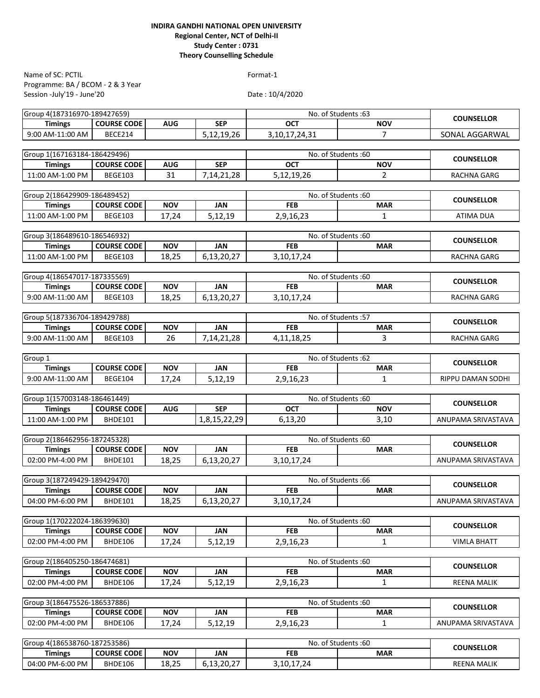Programme: BA / BCOM - 2 & 3 Year Session -July'19 - June'20 Name of SC: PCTIL Format-1

| Group 4(187316970-189427659) |                    |            |              | No. of Students: 63 |                   | <b>COUNSELLOR</b>  |
|------------------------------|--------------------|------------|--------------|---------------------|-------------------|--------------------|
| <b>Timings</b>               | <b>COURSE CODE</b> | <b>AUG</b> | <b>SEP</b>   | <b>OCT</b>          | <b>NOV</b>        |                    |
| 9:00 AM-11:00 AM             | BECE214            |            | 5,12,19,26   | 3, 10, 17, 24, 31   | $\overline{7}$    | SONAL AGGARWAL     |
|                              |                    |            |              |                     |                   |                    |
| Group 1(167163184-186429496) |                    |            |              | No. of Students:60  |                   | <b>COUNSELLOR</b>  |
| <b>Timings</b>               | <b>COURSE CODE</b> | <b>AUG</b> | <b>SEP</b>   | <b>OCT</b>          | <b>NOV</b>        |                    |
| 11:00 AM-1:00 PM             | <b>BEGE103</b>     | 31         | 7,14,21,28   | 5,12,19,26          | $\overline{2}$    | RACHNA GARG        |
|                              |                    |            |              |                     |                   |                    |
| Group 2(186429909-186489452) |                    |            |              | No. of Students:60  |                   | <b>COUNSELLOR</b>  |
| <b>Timings</b>               | <b>COURSE CODE</b> | <b>NOV</b> | <b>JAN</b>   | <b>FEB</b>          | <b>MAR</b>        |                    |
| 11:00 AM-1:00 PM             | <b>BEGE103</b>     | 17,24      | 5,12,19      | 2,9,16,23           | $\mathbf{1}$      | ATIMA DUA          |
| Group 3(186489610-186546932) |                    |            |              | No. of Students: 60 |                   |                    |
| <b>Timings</b>               | <b>COURSE CODE</b> | <b>NOV</b> | <b>JAN</b>   | <b>FEB</b>          | <b>MAR</b>        | <b>COUNSELLOR</b>  |
| 11:00 AM-1:00 PM             | <b>BEGE103</b>     | 18,25      | 6,13,20,27   | 3, 10, 17, 24       |                   | RACHNA GARG        |
|                              |                    |            |              |                     |                   |                    |
| Group 4(186547017-187335569) |                    |            |              | No. of Students:60  |                   |                    |
| <b>Timings</b>               | <b>COURSE CODE</b> | <b>NOV</b> | <b>JAN</b>   | <b>FEB</b>          | <b>MAR</b>        | <b>COUNSELLOR</b>  |
| 9:00 AM-11:00 AM             | <b>BEGE103</b>     | 18,25      | 6,13,20,27   | 3, 10, 17, 24       |                   | RACHNA GARG        |
|                              |                    |            |              |                     |                   |                    |
| Group 5(187336704-189429788) |                    |            |              | No. of Students: 57 |                   |                    |
| <b>Timings</b>               | <b>COURSE CODE</b> | <b>NOV</b> | <b>JAN</b>   | <b>FEB</b>          | <b>MAR</b>        | <b>COUNSELLOR</b>  |
| 9:00 AM-11:00 AM             | <b>BEGE103</b>     | 26         | 7,14,21,28   | 4, 11, 18, 25       | 3                 | RACHNA GARG        |
|                              |                    |            |              |                     |                   |                    |
| Group 1                      |                    |            |              | No. of Students: 62 |                   | <b>COUNSELLOR</b>  |
| <b>Timings</b>               | <b>COURSE CODE</b> | <b>NOV</b> | <b>JAN</b>   | <b>FEB</b>          | <b>MAR</b>        |                    |
| 9:00 AM-11:00 AM             | <b>BEGE104</b>     | 17,24      | 5,12,19      | 2,9,16,23           | 1                 | RIPPU DAMAN SODHI  |
|                              |                    |            |              |                     |                   |                    |
| Group 1(157003148-186461449) |                    |            |              | No. of Students: 60 | <b>COUNSELLOR</b> |                    |
| <b>Timings</b>               | <b>COURSE CODE</b> | <b>AUG</b> | <b>SEP</b>   | <b>OCT</b>          | <b>NOV</b>        |                    |
| 11:00 AM-1:00 PM             | BHDE101            |            | 1,8,15,22,29 | 6,13,20             | 3,10              | ANUPAMA SRIVASTAVA |
|                              |                    |            |              |                     |                   |                    |
| Group 2(186462956-187245328) |                    |            |              | No. of Students:60  |                   | <b>COUNSELLOR</b>  |
| <b>Timings</b>               | <b>COURSE CODE</b> | <b>NOV</b> | <b>JAN</b>   | <b>FEB</b>          | <b>MAR</b>        |                    |
| 02:00 PM-4:00 PM             | BHDE101            | 18,25      | 6,13,20,27   | 3, 10, 17, 24       |                   | ANUPAMA SRIVASTAVA |
| Group 3(187249429-189429470) |                    |            |              | No. of Students: 66 |                   |                    |
| <b>Timings</b>               | <b>COURSE CODE</b> | <b>NOV</b> | <b>JAN</b>   | <b>FEB</b>          | <b>MAR</b>        | <b>COUNSELLOR</b>  |
| 04:00 PM-6:00 PM             | BHDE101            | 18,25      | 6,13,20,27   | 3,10,17,24          |                   | ANUPAMA SRIVASTAVA |
|                              |                    |            |              |                     |                   |                    |
| Group 1(170222024-186399630) |                    |            |              | No. of Students:60  |                   |                    |
| <b>Timings</b>               | <b>COURSE CODE</b> | <b>NOV</b> | <b>JAN</b>   | <b>FEB</b>          | <b>MAR</b>        | <b>COUNSELLOR</b>  |
| 02:00 PM-4:00 PM             | <b>BHDE106</b>     | 17,24      | 5,12,19      | 2,9,16,23           | $\mathbf{1}$      | <b>VIMLA BHATT</b> |
|                              |                    |            |              |                     |                   |                    |
| Group 2(186405250-186474681) |                    |            |              | No. of Students:60  |                   |                    |
| <b>Timings</b>               | <b>COURSE CODE</b> | <b>NOV</b> | <b>JAN</b>   | <b>FEB</b>          | <b>MAR</b>        | <b>COUNSELLOR</b>  |
| 02:00 PM-4:00 PM             | BHDE106            | 17,24      | 5,12,19      | 2,9,16,23           | 1                 | <b>REENA MALIK</b> |
|                              |                    |            |              |                     |                   |                    |
| Group 3(186475526-186537886) |                    |            |              | No. of Students: 60 |                   | <b>COUNSELLOR</b>  |
| <b>Timings</b>               | <b>COURSE CODE</b> | <b>NOV</b> | <b>JAN</b>   | <b>FEB</b>          | <b>MAR</b>        |                    |
| 02:00 PM-4:00 PM             | BHDE106            | 17,24      | 5,12,19      | 2,9,16,23           | 1                 | ANUPAMA SRIVASTAVA |
|                              |                    |            |              |                     |                   |                    |
| Group 4(186538760-187253586) |                    |            |              | No. of Students: 60 |                   | <b>COUNSELLOR</b>  |
| <b>Timings</b>               | <b>COURSE CODE</b> | <b>NOV</b> | <b>JAN</b>   | <b>FEB</b>          | <b>MAR</b>        |                    |
| 04:00 PM-6:00 PM             | BHDE106            | 18,25      | 6,13,20,27   | 3, 10, 17, 24       |                   | <b>REENA MALIK</b> |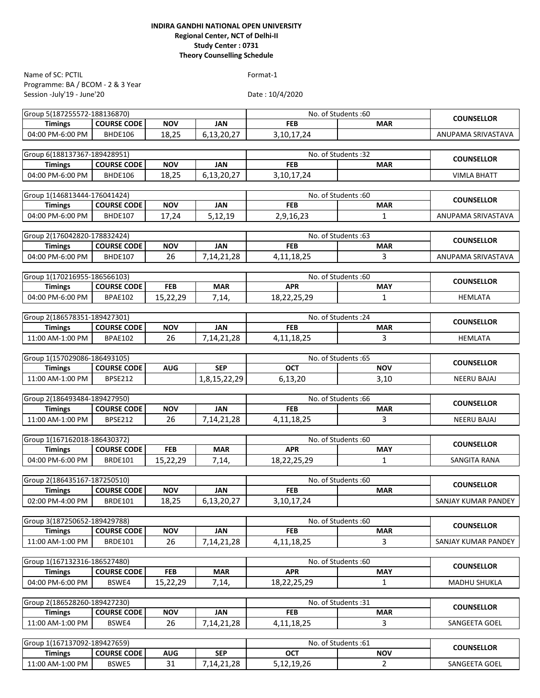Programme: BA / BCOM - 2 & 3 Year Session -July'19 - June'20 Name of SC: PCTIL Format-1

| Group 5(187255572-188136870)                        |                    |            |               | No. of Students:60 | <b>COUNSELLOR</b>                 |                     |  |  |
|-----------------------------------------------------|--------------------|------------|---------------|--------------------|-----------------------------------|---------------------|--|--|
| <b>Timings</b>                                      | <b>COURSE CODE</b> | <b>NOV</b> | <b>JAN</b>    | <b>FEB</b>         | <b>MAR</b>                        |                     |  |  |
| 04:00 PM-6:00 PM                                    | BHDE106            | 18,25      | 6,13,20,27    | 3, 10, 17, 24      |                                   | ANUPAMA SRIVASTAVA  |  |  |
|                                                     |                    |            |               |                    |                                   |                     |  |  |
| Group 6(188137367-189428951)                        |                    |            |               |                    | No. of Students:32                | <b>COUNSELLOR</b>   |  |  |
| <b>Timings</b>                                      | <b>COURSE CODE</b> | <b>NOV</b> | <b>JAN</b>    | <b>FEB</b>         | <b>MAR</b>                        |                     |  |  |
| 04:00 PM-6:00 PM                                    | <b>BHDE106</b>     | 18,25      | 6,13,20,27    | 3, 10, 17, 24      |                                   | <b>VIMLA BHATT</b>  |  |  |
|                                                     |                    |            |               |                    |                                   |                     |  |  |
| Group 1(146813444-176041424)                        |                    |            |               |                    | No. of Students:60                | <b>COUNSELLOR</b>   |  |  |
| <b>Timings</b>                                      | <b>COURSE CODE</b> | <b>NOV</b> | <b>JAN</b>    | <b>FEB</b>         | <b>MAR</b>                        |                     |  |  |
| 04:00 PM-6:00 PM                                    | <b>BHDE107</b>     | 17,24      | 5,12,19       | 2,9,16,23          | 1                                 | ANUPAMA SRIVASTAVA  |  |  |
|                                                     |                    |            |               |                    |                                   |                     |  |  |
| Group 2(176042820-178832424)<br><b>Timings</b>      | <b>COURSE CODE</b> | <b>NOV</b> | <b>JAN</b>    | <b>FEB</b>         | No. of Students: 63<br><b>MAR</b> | <b>COUNSELLOR</b>   |  |  |
| 04:00 PM-6:00 PM                                    | <b>BHDE107</b>     | 26         | 7,14,21,28    | 4, 11, 18, 25      | 3                                 | ANUPAMA SRIVASTAVA  |  |  |
|                                                     |                    |            |               |                    |                                   |                     |  |  |
| Group 1(170216955-186566103)                        |                    |            |               |                    | No. of Students:60                |                     |  |  |
| <b>Timings</b>                                      | <b>COURSE CODE</b> | <b>FEB</b> | <b>MAR</b>    | <b>APR</b>         | <b>MAY</b>                        | <b>COUNSELLOR</b>   |  |  |
| 04:00 PM-6:00 PM                                    | <b>BPAE102</b>     | 15,22,29   | 7,14,         | 18,22,25,29        | 1                                 | <b>HEMLATA</b>      |  |  |
|                                                     |                    |            |               |                    |                                   |                     |  |  |
| Group 2(186578351-189427301)<br>No. of Students: 24 |                    |            |               |                    |                                   |                     |  |  |
| <b>Timings</b>                                      | <b>COURSE CODE</b> | <b>NOV</b> | <b>JAN</b>    | <b>FEB</b>         | <b>MAR</b>                        | <b>COUNSELLOR</b>   |  |  |
| 11:00 AM-1:00 PM                                    | <b>BPAE102</b>     | 26         | 7,14,21,28    | 4, 11, 18, 25      | 3                                 | <b>HEMLATA</b>      |  |  |
|                                                     |                    |            |               |                    |                                   |                     |  |  |
| Group 1(157029086-186493105)                        |                    |            |               |                    | No. of Students:65                |                     |  |  |
| <b>Timings</b>                                      | <b>COURSE CODE</b> | <b>AUG</b> | <b>SEP</b>    | <b>OCT</b>         | <b>NOV</b>                        | <b>COUNSELLOR</b>   |  |  |
| 11:00 AM-1:00 PM                                    | <b>BPSE212</b>     |            | 1,8,15,22,29  | 6,13,20            | 3,10                              | <b>NEERU BAJAJ</b>  |  |  |
|                                                     |                    |            |               |                    |                                   |                     |  |  |
| Group 2(186493484-189427950)                        | No. of Students:66 |            |               |                    | <b>COUNSELLOR</b>                 |                     |  |  |
| <b>Timings</b>                                      | <b>COURSE CODE</b> | <b>NOV</b> | <b>JAN</b>    | <b>FEB</b>         | <b>MAR</b>                        |                     |  |  |
| 11:00 AM-1:00 PM                                    | <b>BPSE212</b>     | 26         | 7,14,21,28    | 4, 11, 18, 25      | 3                                 | <b>NEERU BAJAJ</b>  |  |  |
|                                                     |                    |            |               |                    |                                   |                     |  |  |
| Group 1(167162018-186430372)                        |                    |            |               |                    | No. of Students: 60               | <b>COUNSELLOR</b>   |  |  |
| <b>Timings</b>                                      | <b>COURSE CODE</b> | <b>FEB</b> | <b>MAR</b>    | <b>APR</b>         | <b>MAY</b>                        |                     |  |  |
| 04:00 PM-6:00 PM                                    | <b>BRDE101</b>     | 15,22,29   | 7,14,         | 18,22,25,29        | $\mathbf{1}$                      | SANGITA RANA        |  |  |
|                                                     |                    |            |               |                    |                                   |                     |  |  |
| Group 2(186435167-187250510)                        | <b>COURSE CODE</b> | <b>NOV</b> | <b>JAN</b>    | <b>FEB</b>         | No. of Students: 60               | <b>COUNSELLOR</b>   |  |  |
| <b>Timings</b>                                      |                    |            |               |                    | <b>MAR</b>                        |                     |  |  |
| 02:00 PM-4:00 PM                                    | <b>BRDE101</b>     | 18,25      | 6,13,20,27    | 3, 10, 17, 24      |                                   | SANJAY KUMAR PANDEY |  |  |
| Group 3(187250652-189429788)                        |                    |            |               |                    | No. of Students: 60               |                     |  |  |
| <b>Timings</b>                                      | <b>COURSE CODE</b> | <b>NOV</b> | <b>JAN</b>    | <b>FEB</b>         | <b>MAR</b>                        | <b>COUNSELLOR</b>   |  |  |
| 11:00 AM-1:00 PM                                    | <b>BRDE101</b>     | 26         | 7, 14, 21, 28 | 4, 11, 18, 25      | 3                                 | SANJAY KUMAR PANDEY |  |  |
|                                                     |                    |            |               |                    |                                   |                     |  |  |
| Group 1(167132316-186527480)                        |                    |            |               |                    | No. of Students: 60               |                     |  |  |
| <b>Timings</b>                                      | <b>COURSE CODE</b> | <b>FEB</b> | <b>MAR</b>    | <b>APR</b>         | <b>MAY</b>                        | <b>COUNSELLOR</b>   |  |  |
| 04:00 PM-6:00 PM                                    | BSWE4              | 15,22,29   | 7,14,         | 18,22,25,29        | 1                                 | <b>MADHU SHUKLA</b> |  |  |
|                                                     |                    |            |               |                    |                                   |                     |  |  |
| Group 2(186528260-189427230)<br>No. of Students:31  |                    |            |               |                    |                                   |                     |  |  |
| <b>Timings</b>                                      | <b>COURSE CODE</b> | <b>NOV</b> | JAN           | <b>FEB</b>         | <b>MAR</b>                        | <b>COUNSELLOR</b>   |  |  |
| 11:00 AM-1:00 PM                                    | BSWE4              | 26         | 7,14,21,28    | 4, 11, 18, 25      | 3                                 | SANGEETA GOEL       |  |  |
|                                                     |                    |            |               |                    |                                   |                     |  |  |
| Group 1(167137092-189427659)                        |                    |            |               |                    | No. of Students: 61               |                     |  |  |
| <b>Timings</b>                                      | <b>COURSE CODE</b> | <b>AUG</b> | <b>SEP</b>    | <b>OCT</b>         | <b>NOV</b>                        | <b>COUNSELLOR</b>   |  |  |
| 11:00 AM-1:00 PM                                    | BSWE5              | 31         | 7, 14, 21, 28 | 5,12,19,26         | $\overline{2}$                    | SANGEETA GOEL       |  |  |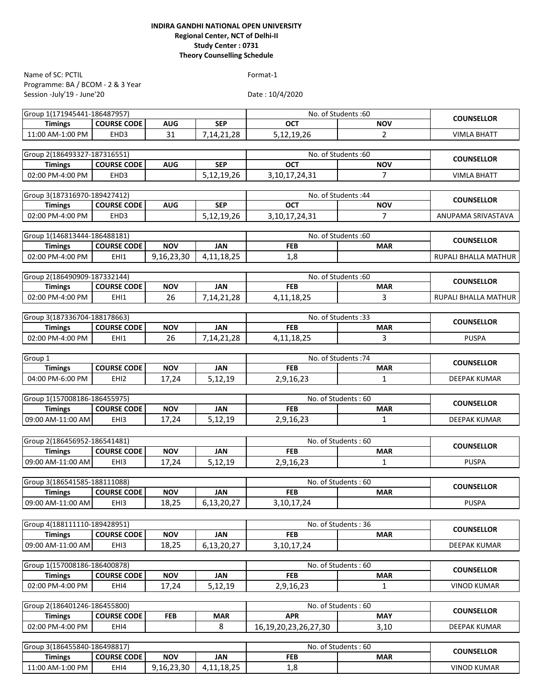Programme: BA / BCOM - 2 & 3 Year Session -July'19 - June'20 Name of SC: PCTIL Format-1

| Group 1(171945441-186487957) |                                                     |            |               |                            | No. of Students: 60 | <b>COUNSELLOR</b>           |  |
|------------------------------|-----------------------------------------------------|------------|---------------|----------------------------|---------------------|-----------------------------|--|
| <b>Timings</b>               | <b>COURSE CODE</b>                                  | <b>AUG</b> | <b>SEP</b>    | <b>OCT</b>                 | <b>NOV</b>          |                             |  |
| 11:00 AM-1:00 PM             | EHD <sub>3</sub>                                    | 31         | 7, 14, 21, 28 | 5,12,19,26                 | $\overline{2}$      | <b>VIMLA BHATT</b>          |  |
|                              |                                                     |            |               |                            |                     |                             |  |
| Group 2(186493327-187316551) |                                                     |            |               |                            | No. of Students:60  |                             |  |
| <b>Timings</b>               | <b>COURSE CODE</b>                                  | <b>AUG</b> | <b>SEP</b>    | <b>OCT</b>                 | <b>NOV</b>          | <b>COUNSELLOR</b>           |  |
| 02:00 PM-4:00 PM             | EHD <sub>3</sub>                                    |            | 5,12,19,26    | 3, 10, 17, 24, 31          | $\overline{7}$      | <b>VIMLA BHATT</b>          |  |
|                              |                                                     |            |               |                            |                     |                             |  |
| Group 3(187316970-189427412) |                                                     |            |               |                            | No. of Students: 44 |                             |  |
| <b>Timings</b>               | <b>COURSE CODE</b>                                  | <b>AUG</b> | <b>SEP</b>    | <b>OCT</b>                 | <b>NOV</b>          | <b>COUNSELLOR</b>           |  |
| 02:00 PM-4:00 PM             | EHD3                                                |            | 5,12,19,26    | 3, 10, 17, 24, 31          | $\overline{7}$      | ANUPAMA SRIVASTAVA          |  |
|                              |                                                     |            |               |                            |                     |                             |  |
|                              | Group 1(146813444-186488181)<br>No. of Students: 60 |            |               |                            |                     |                             |  |
| <b>Timings</b>               | <b>COURSE CODE</b>                                  | <b>NOV</b> | <b>JAN</b>    | <b>FEB</b>                 | <b>MAR</b>          | <b>COUNSELLOR</b>           |  |
| 02:00 PM-4:00 PM             | EHI1                                                | 9,16,23,30 | 4,11,18,25    | 1,8                        |                     | RUPALI BHALLA MATHUR        |  |
|                              |                                                     |            |               |                            |                     |                             |  |
| Group 2(186490909-187332144) |                                                     |            |               |                            | No. of Students:60  |                             |  |
| <b>Timings</b>               | <b>COURSE CODE</b>                                  | <b>NOV</b> | <b>JAN</b>    | <b>FEB</b>                 | <b>MAR</b>          | <b>COUNSELLOR</b>           |  |
| 02:00 PM-4:00 PM             | EHI1                                                | 26         | 7, 14, 21, 28 | 4, 11, 18, 25              | 3                   | <b>RUPALI BHALLA MATHUR</b> |  |
|                              |                                                     |            |               |                            |                     |                             |  |
| Group 3(187336704-188178663) |                                                     |            |               |                            | No. of Students:33  |                             |  |
| <b>Timings</b>               | <b>COURSE CODE</b>                                  | <b>NOV</b> | <b>JAN</b>    | <b>FEB</b>                 | <b>MAR</b>          | <b>COUNSELLOR</b>           |  |
| 02:00 PM-4:00 PM             | EHI1                                                | 26         | 7, 14, 21, 28 | 4, 11, 18, 25              | 3                   | <b>PUSPA</b>                |  |
|                              |                                                     |            |               |                            |                     |                             |  |
| Group 1                      |                                                     |            |               |                            | No. of Students: 74 |                             |  |
| <b>Timings</b>               | <b>COURSE CODE</b>                                  | <b>NOV</b> | <b>JAN</b>    | <b>FEB</b>                 | <b>MAR</b>          | <b>COUNSELLOR</b>           |  |
| 04:00 PM-6:00 PM             | EHI <sub>2</sub>                                    | 17,24      | 5,12,19       | 2,9,16,23                  | $\mathbf{1}$        | <b>DEEPAK KUMAR</b>         |  |
|                              |                                                     |            |               |                            |                     |                             |  |
| Group 1(157008186-186455975) |                                                     |            |               |                            | No. of Students: 60 |                             |  |
| <b>Timings</b>               | <b>COURSE CODE</b>                                  | <b>NOV</b> | <b>JAN</b>    | <b>FEB</b>                 | <b>MAR</b>          | <b>COUNSELLOR</b>           |  |
| 09:00 AM-11:00 AM            | EHI3                                                | 17,24      | 5,12,19       | 2,9,16,23                  | 1                   | <b>DEEPAK KUMAR</b>         |  |
|                              |                                                     |            |               |                            |                     |                             |  |
|                              |                                                     |            |               |                            |                     |                             |  |
| Group 2(186456952-186541481) |                                                     |            |               |                            | No. of Students: 60 | <b>COUNSELLOR</b>           |  |
| <b>Timings</b>               | <b>COURSE CODE</b>                                  | <b>NOV</b> | <b>JAN</b>    | <b>FEB</b>                 | <b>MAR</b>          |                             |  |
| 09:00 AM-11:00 AM            | EHI3                                                | 17,24      | 5,12,19       | 2,9,16,23                  | 1                   | <b>PUSPA</b>                |  |
|                              |                                                     |            |               |                            |                     |                             |  |
| Group 3(186541585-188111088) |                                                     |            |               |                            | No. of Students: 60 | <b>COUNSELLOR</b>           |  |
| <b>Timings</b>               | <b>COURSE CODE</b>                                  | <b>NOV</b> | JAN           | <b>FEB</b>                 | <b>MAR</b>          |                             |  |
| 09:00 AM-11:00 AM            | EHI3                                                | 18,25      | 6,13,20,27    | 3, 10, 17, 24              |                     | PUSPA                       |  |
|                              |                                                     |            |               |                            |                     |                             |  |
| Group 4(188111110-189428951) |                                                     |            |               |                            | No. of Students: 36 | <b>COUNSELLOR</b>           |  |
| <b>Timings</b>               | <b>COURSE CODE</b>                                  | <b>NOV</b> | <b>JAN</b>    | <b>FEB</b>                 | <b>MAR</b>          |                             |  |
| 09:00 AM-11:00 AM            | EHI3                                                | 18,25      | 6,13,20,27    | 3,10,17,24                 |                     | <b>DEEPAK KUMAR</b>         |  |
|                              |                                                     |            |               |                            |                     |                             |  |
| Group 1(157008186-186400878) |                                                     |            |               |                            | No. of Students: 60 | <b>COUNSELLOR</b>           |  |
| <b>Timings</b>               | <b>COURSE CODE</b>                                  | <b>NOV</b> | JAN           | <b>FEB</b>                 | <b>MAR</b>          |                             |  |
| 02:00 PM-4:00 PM             | EHI4                                                | 17,24      | 5,12,19       | 2,9,16,23                  | 1                   | <b>VINOD KUMAR</b>          |  |
|                              |                                                     |            |               |                            |                     |                             |  |
| Group 2(186401246-186455800) |                                                     |            |               |                            | No. of Students: 60 |                             |  |
| <b>Timings</b>               | <b>COURSE CODE</b>                                  | <b>FEB</b> | <b>MAR</b>    | <b>APR</b>                 | <b>MAY</b>          | <b>COUNSELLOR</b>           |  |
| 02:00 PM-4:00 PM             | EHI4                                                |            | 8             | 16, 19, 20, 23, 26, 27, 30 | 3,10                | DEEPAK KUMAR                |  |
|                              |                                                     |            |               |                            |                     |                             |  |
| Group 3(186455840-186498817) |                                                     |            |               |                            | No. of Students: 60 |                             |  |
| <b>Timings</b>               | <b>COURSE CODE</b>                                  | <b>NOV</b> | <b>JAN</b>    | <b>FEB</b>                 | <b>MAR</b>          | <b>COUNSELLOR</b>           |  |
| 11:00 AM-1:00 PM             | EHI4                                                | 9,16,23,30 | 4,11,18,25    | 1,8                        |                     | <b>VINOD KUMAR</b>          |  |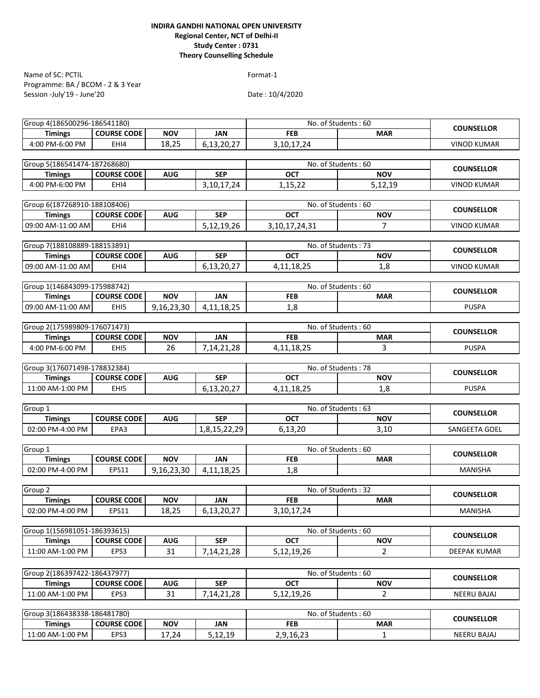Programme: BA / BCOM - 2 & 3 Year Session -July'19 - June'20 Name of SC: PCTIL Format-1

| Group 4(186500296-186541180) |                    |            |               |                   | No. of Students: 60 | <b>COUNSELLOR</b>  |
|------------------------------|--------------------|------------|---------------|-------------------|---------------------|--------------------|
| <b>Timings</b>               | <b>COURSE CODE</b> | <b>NOV</b> | JAN           | <b>FEB</b>        | <b>MAR</b>          |                    |
| 4:00 PM-6:00 PM              | EHI4               | 18,25      | 6,13,20,27    | 3, 10, 17, 24     |                     | <b>VINOD KUMAR</b> |
|                              |                    |            |               |                   |                     |                    |
| Group 5(186541474-187268680) |                    |            |               |                   | No. of Students: 60 | <b>COUNSELLOR</b>  |
| <b>Timings</b>               | <b>COURSE CODE</b> | <b>AUG</b> | <b>SEP</b>    | <b>OCT</b>        | <b>NOV</b>          |                    |
| 4:00 PM-6:00 PM              | EHI4               |            | 3, 10, 17, 24 | 1,15,22           | 5,12,19             | <b>VINOD KUMAR</b> |
|                              |                    |            |               |                   |                     |                    |
| Group 6(187268910-188108406) |                    |            |               |                   | No. of Students: 60 | <b>COUNSELLOR</b>  |
| <b>Timings</b>               | <b>COURSE CODE</b> | <b>AUG</b> | <b>SEP</b>    | <b>OCT</b>        | <b>NOV</b>          |                    |
| 09:00 AM-11:00 AM            | EHI4               |            | 5,12,19,26    | 3, 10, 17, 24, 31 | $\overline{7}$      | <b>VINOD KUMAR</b> |
|                              |                    |            |               |                   |                     |                    |
| Group 7(188108889-188153891) |                    |            |               |                   | No. of Students: 73 | <b>COUNSELLOR</b>  |
| <b>Timings</b>               | <b>COURSE CODE</b> | <b>AUG</b> | <b>SEP</b>    | <b>OCT</b>        | <b>NOV</b>          |                    |
| 09:00 AM-11:00 AM            | EHI4               |            | 6,13,20,27    | 4, 11, 18, 25     | 1,8                 | <b>VINOD KUMAR</b> |
|                              |                    |            |               |                   |                     |                    |
| Group 1(146843099-175988742) |                    |            |               |                   | No. of Students: 60 | <b>COUNSELLOR</b>  |
| <b>Timings</b>               | <b>COURSE CODE</b> | <b>NOV</b> | <b>JAN</b>    | <b>FEB</b>        | <b>MAR</b>          |                    |
| 09:00 AM-11:00 AM            | EHI5               | 9,16,23,30 | 4, 11, 18, 25 | 1,8               |                     | <b>PUSPA</b>       |
|                              |                    |            |               |                   |                     |                    |
| Group 2(175989809-176071473) |                    |            |               |                   | No. of Students: 60 | <b>COUNSELLOR</b>  |
| <b>Timings</b>               | <b>COURSE CODE</b> | <b>NOV</b> | <b>JAN</b>    | <b>FEB</b>        | <b>MAR</b>          |                    |
| 4:00 PM-6:00 PM              | EHI5               | 26         | 7,14,21,28    | 4, 11, 18, 25     | 3                   | <b>PUSPA</b>       |
|                              |                    |            |               |                   |                     |                    |
| Group 3(176071498-178832384) |                    |            |               |                   | No. of Students: 78 | <b>COUNSELLOR</b>  |
| <b>Timings</b>               | <b>COURSE CODE</b> | <b>AUG</b> | <b>SEP</b>    | <b>OCT</b>        | <b>NOV</b>          |                    |
| 11:00 AM-1:00 PM             | EHI5               |            | 6,13,20,27    | 4, 11, 18, 25     | 1,8                 | <b>PUSPA</b>       |
|                              |                    |            |               |                   |                     |                    |
| Group $1$                    |                    |            |               |                   | No. of Students: 63 | <b>COUNSELLOR</b>  |
| <b>Timings</b>               | <b>COURSE CODE</b> | <b>AUG</b> | <b>SEP</b>    | <b>OCT</b>        | <b>NOV</b>          |                    |
| 02:00 PM-4:00 PM             | EPA3               |            | 1,8,15,22,29  | 6,13,20           | 3,10                | SANGEETA GOEL      |
|                              |                    |            |               |                   |                     |                    |
| Group 1                      |                    |            |               |                   | No. of Students: 60 | <b>COUNSELLOR</b>  |
| <b>Timings</b>               | <b>COURSE CODE</b> | <b>NOV</b> | <b>JAN</b>    | <b>FEB</b>        | <b>MAR</b>          |                    |
| 02:00 PM-4:00 PM             | EPS11              | 9,16,23,30 | 4,11,18,25    | 1,8               |                     | <b>MANISHA</b>     |
|                              |                    |            |               |                   |                     |                    |
| Group <sub>2</sub>           |                    |            |               |                   | No. of Students: 32 | <b>COUNSELLOR</b>  |
| <b>Timings</b>               | <b>COURSE CODE</b> | <b>NOV</b> | <b>JAN</b>    | <b>FEB</b>        | <b>MAR</b>          |                    |
| 02:00 PM-4:00 PM             | EPS11              | 18,25      | 6,13,20,27    | 3, 10, 17, 24     |                     | <b>MANISHA</b>     |
|                              |                    |            |               |                   |                     |                    |
| Group 1(156981051-186393615) |                    |            |               |                   | No. of Students: 60 | <b>COUNSELLOR</b>  |
| <b>Timings</b>               | <b>COURSE CODE</b> | <b>AUG</b> | <b>SEP</b>    | <b>OCT</b>        | <b>NOV</b>          |                    |
| 11:00 AM-1:00 PM             | EPS3               | 31         | 7,14,21,28    | 5,12,19,26        | $\overline{2}$      | DEEPAK KUMAR       |
|                              |                    |            |               |                   |                     |                    |
| Group 2(186397422-186437977) |                    |            |               |                   | No. of Students: 60 | <b>COUNSELLOR</b>  |
| <b>Timings</b>               | <b>COURSE CODE</b> | <b>AUG</b> | <b>SEP</b>    | OCT               | <b>NOV</b>          |                    |
| 11:00 AM-1:00 PM             | EPS3               | 31         | 7,14,21,28    | 5,12,19,26        | $\overline{2}$      | <b>NEERU BAJAJ</b> |
|                              |                    |            |               |                   |                     |                    |
| Group 3(186438338-186481780) |                    |            |               |                   | No. of Students: 60 | <b>COUNSELLOR</b>  |
| <b>Timings</b>               | <b>COURSE CODE</b> | <b>NOV</b> | <b>JAN</b>    | <b>FEB</b>        | <b>MAR</b>          |                    |
| 11:00 AM-1:00 PM             | EPS3               | 17,24      | 5,12,19       | 2,9,16,23         | 1                   | <b>NEERU BAJAJ</b> |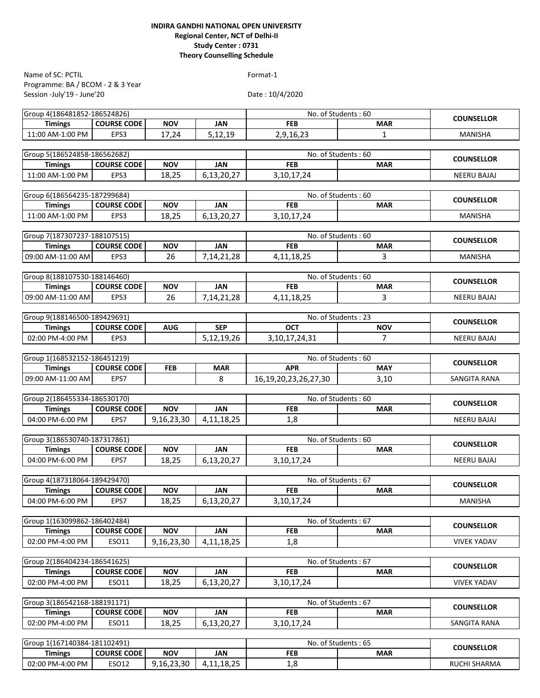| Name of SC: PCTIL                              |                    |            |               | Format-1                          |                              |                    |
|------------------------------------------------|--------------------|------------|---------------|-----------------------------------|------------------------------|--------------------|
| Programme: BA / BCOM - 2 & 3 Year              |                    |            |               |                                   |                              |                    |
| Session -July'19 - June'20                     |                    |            |               | Date: 10/4/2020                   |                              |                    |
| Group 4(186481852-186524826)                   |                    |            |               | No. of Students: 60               |                              |                    |
| <b>Timings</b>                                 | <b>COURSE CODE</b> | <b>NOV</b> | <b>JAN</b>    | <b>FEB</b>                        | <b>MAR</b>                   | <b>COUNSELLOR</b>  |
| 11:00 AM-1:00 PM                               | EPS3               | 17,24      | 5,12,19       | 2,9,16,23                         | 1                            | MANISHA            |
|                                                |                    |            |               |                                   |                              |                    |
| Group 5(186524858-186562682)                   |                    |            |               | No. of Students: 60               | <b>COUNSELLOR</b>            |                    |
| <b>Timings</b>                                 | <b>COURSE CODE</b> | <b>NOV</b> | <b>JAN</b>    | <b>FEB</b>                        | <b>MAR</b>                   |                    |
| 11:00 AM-1:00 PM                               | EPS3               | 18,25      | 6,13,20,27    | 3, 10, 17, 24                     |                              | <b>NEERU BAJAJ</b> |
|                                                |                    |            |               |                                   |                              |                    |
| Group 6(186564235-187299684)<br><b>Timings</b> | <b>COURSE CODE</b> | <b>NOV</b> | <b>JAN</b>    | No. of Students: 60<br><b>FEB</b> | <b>MAR</b>                   | <b>COUNSELLOR</b>  |
| 11:00 AM-1:00 PM                               | EPS3               | 18,25      | 6,13,20,27    | 3, 10, 17, 24                     |                              | <b>MANISHA</b>     |
|                                                |                    |            |               |                                   |                              |                    |
| Group 7(187307237-188107515)                   |                    |            |               | No. of Students: 60               |                              |                    |
| <b>Timings</b>                                 | <b>COURSE CODE</b> | <b>NOV</b> | <b>JAN</b>    | <b>FEB</b>                        | <b>MAR</b>                   | <b>COUNSELLOR</b>  |
| 09:00 AM-11:00 AM                              | EPS3               | 26         | 7,14,21,28    | 4, 11, 18, 25                     | 3                            | <b>MANISHA</b>     |
|                                                |                    |            |               |                                   |                              |                    |
| Group 8(188107530-188146460)                   |                    |            |               | No. of Students: 60               |                              | <b>COUNSELLOR</b>  |
| <b>Timings</b>                                 | <b>COURSE CODE</b> | <b>NOV</b> | <b>JAN</b>    | <b>FEB</b>                        | <b>MAR</b>                   |                    |
| 09:00 AM-11:00 AM                              | EPS3               | 26         | 7,14,21,28    | 4, 11, 18, 25                     | 3                            | <b>NEERU BAJAJ</b> |
|                                                |                    |            |               |                                   |                              |                    |
| Group 9(188146500-189429691)                   |                    |            |               | No. of Students: 23               |                              | <b>COUNSELLOR</b>  |
| <b>Timings</b>                                 | <b>COURSE CODE</b> | <b>AUG</b> | <b>SEP</b>    | <b>OCT</b>                        | <b>NOV</b><br>$\overline{7}$ |                    |
| 02:00 PM-4:00 PM                               | EPS3               |            | 5,12,19,26    | 3, 10, 17, 24, 31                 |                              | <b>NEERU BAJAJ</b> |
| Group 1(168532152-186451219)                   |                    |            |               | No. of Students: 60               |                              |                    |
| <b>Timings</b>                                 | <b>COURSE CODE</b> | FEB        | <b>MAR</b>    | <b>APR</b>                        | <b>MAY</b>                   | <b>COUNSELLOR</b>  |
| 09:00 AM-11:00 AM                              | EPS7               |            | 8             | 16, 19, 20, 23, 26, 27, 30        | 3,10                         | SANGITA RANA       |
|                                                |                    |            |               |                                   |                              |                    |
| Group 2(186455334-186530170)                   |                    |            |               | No. of Students: 60               |                              | <b>COUNSELLOR</b>  |
| <b>Timings</b>                                 | <b>COURSE CODE</b> | <b>NOV</b> | <b>JAN</b>    | <b>FEB</b>                        | <b>MAR</b>                   |                    |
| 04:00 PM-6:00 PM                               | EPS7               | 9,16,23,30 | 4, 11, 18, 25 | 1,8                               |                              | <b>NEERU BAJAJ</b> |
|                                                |                    |            |               |                                   |                              |                    |
| Group 3(186530740-187317861)                   |                    |            |               | No. of Students: 60               |                              | <b>COUNSELLOR</b>  |
| <b>Timings</b>                                 | <b>COURSE CODE</b> | <b>NOV</b> | <b>JAN</b>    | <b>FEB</b>                        | <b>MAR</b>                   |                    |
| 04:00 PM-6:00 PM                               | EPS7               | 18,25      | 6,13,20,27    | 3,10,17,24                        |                              | <b>NEERU BAJAJ</b> |
| Group 4(187318064-189429470)                   |                    |            |               | No. of Students: 67               |                              |                    |
| <b>Timings</b>                                 | <b>COURSE CODE</b> | <b>NOV</b> | JAN           | <b>FEB</b>                        | <b>MAR</b>                   | <b>COUNSELLOR</b>  |
| 04:00 PM-6:00 PM                               | EPS7               | 18,25      | 6,13,20,27    | 3, 10, 17, 24                     |                              | <b>MANISHA</b>     |
|                                                |                    |            |               |                                   |                              |                    |
| Group 1(163099862-186402484)                   |                    |            |               | No. of Students: 67               |                              | <b>COUNSELLOR</b>  |
| <b>Timings</b>                                 | <b>COURSE CODE</b> | <b>NOV</b> | <b>JAN</b>    | <b>FEB</b>                        | <b>MAR</b>                   |                    |
| 02:00 PM-4:00 PM                               | ESO11              | 9,16,23,30 | 4, 11, 18, 25 | 1,8                               |                              | <b>VIVEK YADAV</b> |
|                                                |                    |            |               |                                   |                              |                    |
| Group 2(186404234-186541625)                   |                    |            |               | No. of Students: 67               |                              | <b>COUNSELLOR</b>  |
| <b>Timings</b>                                 | <b>COURSE CODE</b> | <b>NOV</b> | <b>JAN</b>    | <b>FEB</b>                        | <b>MAR</b>                   |                    |
| 02:00 PM-4:00 PM                               | ESO11              | 18,25      | 6,13,20,27    | 3, 10, 17, 24                     |                              | <b>VIVEK YADAV</b> |
|                                                |                    |            |               |                                   |                              |                    |
| Group 3(186542168-188191171)<br><b>Timings</b> | <b>COURSE CODE</b> | <b>NOV</b> | <b>JAN</b>    | No. of Students: 67<br><b>FEB</b> | <b>MAR</b>                   | <b>COUNSELLOR</b>  |
| 02:00 PM-4:00 PM                               | ESO11              | 18,25      | 6,13,20,27    | 3, 10, 17, 24                     |                              | SANGITA RANA       |
|                                                |                    |            |               |                                   |                              |                    |
| Group 1(167140384-181102491)                   |                    |            |               | No. of Students: 65               |                              |                    |
| <b>Timings</b>                                 | <b>COURSE CODE</b> | <b>NOV</b> | <b>JAN</b>    | <b>FEB</b>                        | <b>MAR</b>                   | <b>COUNSELLOR</b>  |

02:00 PM-4:00 PM ESO12 9,16,23,30 4,11,18,25 1,8 1,8 RUCHI SHARMA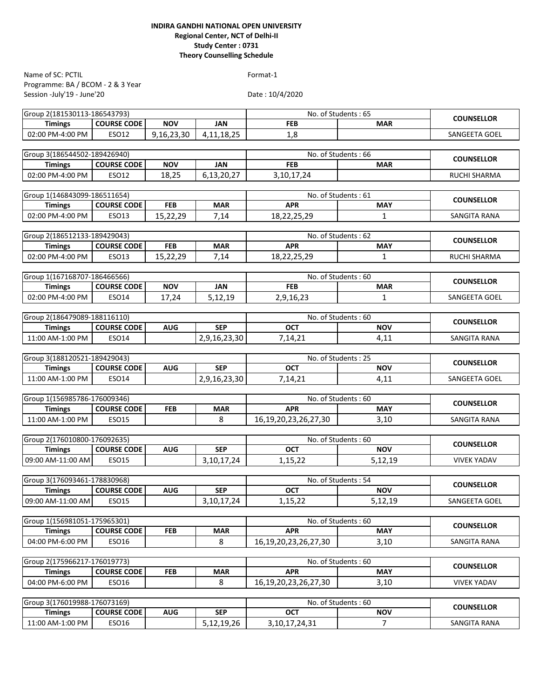Programme: BA / BCOM - 2 & 3 Year Session -July'19 - June'20 Name of SC: PCTIL Format-1

| Group 2(181530113-186543793)                       |               |                            | No. of Students: 65               | <b>COUNSELLOR</b>   |
|----------------------------------------------------|---------------|----------------------------|-----------------------------------|---------------------|
| <b>NOV</b><br><b>COURSE CODE</b><br><b>Timings</b> | <b>JAN</b>    | <b>FEB</b>                 | <b>MAR</b>                        |                     |
| 02:00 PM-4:00 PM<br>9,16,23,30<br><b>ESO12</b>     | 4,11,18,25    | 1,8                        |                                   | SANGEETA GOEL       |
|                                                    |               |                            |                                   |                     |
| Group 3(186544502-189426940)                       |               |                            | No. of Students: 66               | <b>COUNSELLOR</b>   |
| <b>COURSE CODE</b><br><b>NOV</b><br><b>Timings</b> | <b>JAN</b>    | <b>FEB</b>                 | <b>MAR</b>                        |                     |
| 02:00 PM-4:00 PM<br>ESO12<br>18,25                 | 6,13,20,27    | 3, 10, 17, 24              |                                   | <b>RUCHI SHARMA</b> |
|                                                    |               |                            |                                   |                     |
| Group 1(146843099-186511654)                       |               |                            | No. of Students: 61               | <b>COUNSELLOR</b>   |
| <b>FEB</b><br><b>Timings</b><br><b>COURSE CODE</b> | <b>MAR</b>    | <b>APR</b>                 | <b>MAY</b>                        |                     |
| 02:00 PM-4:00 PM<br>15,22,29<br>ESO13              | 7,14          | 18,22,25,29                | 1                                 | SANGITA RANA        |
|                                                    |               |                            |                                   |                     |
| Group 2(186512133-189429043)                       |               |                            | No. of Students: 62               | <b>COUNSELLOR</b>   |
| <b>FEB</b><br><b>Timings</b><br><b>COURSE CODE</b> | <b>MAR</b>    | <b>APR</b>                 | <b>MAY</b>                        |                     |
| 02:00 PM-4:00 PM<br>ESO13<br>15,22,29              | 7,14          | 18,22,25,29                | $\mathbf{1}$                      | RUCHI SHARMA        |
|                                                    |               |                            |                                   |                     |
| Group 1(167168707-186466566)                       |               |                            | No. of Students: 60               | <b>COUNSELLOR</b>   |
| <b>COURSE CODE</b><br><b>NOV</b><br><b>Timings</b> | <b>JAN</b>    | <b>FEB</b>                 | <b>MAR</b>                        |                     |
| 02:00 PM-4:00 PM<br>ESO14<br>17,24                 | 5,12,19       | 2,9,16,23                  | $\mathbf{1}$                      | SANGEETA GOEL       |
|                                                    |               |                            |                                   |                     |
| Group 2(186479089-188116110)                       |               | No. of Students: 60        | <b>COUNSELLOR</b>                 |                     |
| <b>Timings</b><br><b>COURSE CODE</b><br><b>AUG</b> | <b>SEP</b>    | <b>OCT</b>                 | <b>NOV</b>                        |                     |
| 11:00 AM-1:00 PM<br>ESO14                          | 2,9,16,23,30  | 7,14,21                    | 4,11                              | SANGITA RANA        |
|                                                    |               |                            |                                   |                     |
| Group 3(188120521-189429043)                       |               |                            | No. of Students: 25               | <b>COUNSELLOR</b>   |
| <b>Timings</b><br><b>COURSE CODE</b><br><b>AUG</b> | <b>SEP</b>    | <b>OCT</b>                 | <b>NOV</b>                        |                     |
| 11:00 AM-1:00 PM<br><b>ESO14</b>                   | 2,9,16,23,30  | 7,14,21                    | 4,11                              | SANGEETA GOEL       |
|                                                    |               |                            |                                   |                     |
| Group 1(156985786-176009346)                       |               |                            | No. of Students: 60               | <b>COUNSELLOR</b>   |
| <b>COURSE CODE</b><br><b>FEB</b><br><b>Timings</b> | <b>MAR</b>    | <b>APR</b>                 | <b>MAY</b>                        |                     |
| 11:00 AM-1:00 PM<br>ESO15                          | 8             | 16, 19, 20, 23, 26, 27, 30 | 3,10                              | SANGITA RANA        |
|                                                    |               |                            |                                   |                     |
| Group 2(176010800-176092635)                       | <b>SEP</b>    | <b>OCT</b>                 | No. of Students: 60<br><b>NOV</b> | <b>COUNSELLOR</b>   |
| <b>COURSE CODE</b><br><b>AUG</b><br><b>Timings</b> |               |                            |                                   |                     |
| 09:00 AM-11:00 AM<br>ESO15                         | 3, 10, 17, 24 | 1,15,22                    | 5,12,19                           | <b>VIVEK YADAV</b>  |
| Group 3(176093461-178830968)                       |               |                            | No. of Students: 54               |                     |
| <b>COURSE CODE</b><br><b>AUG</b><br><b>Timings</b> | <b>SEP</b>    | <b>OCT</b>                 | <b>NOV</b>                        | <b>COUNSELLOR</b>   |
| 09:00 AM-11:00 AM<br><b>ESO15</b>                  | 3,10,17,24    | 1,15,22                    | 5,12,19                           | SANGEETA GOEL       |
|                                                    |               |                            |                                   |                     |
| Group 1(156981051-175965301)                       |               |                            | No. of Students: 60               |                     |
| <b>COURSE CODE</b><br><b>FEB</b><br><b>Timings</b> | <b>MAR</b>    | <b>APR</b>                 | <b>MAY</b>                        | <b>COUNSELLOR</b>   |
| 04:00 PM-6:00 PM<br>ESO16                          | 8             | 16, 19, 20, 23, 26, 27, 30 | 3,10                              | SANGITA RANA        |
|                                                    |               |                            |                                   |                     |
| Group 2(175966217-176019773)                       |               |                            | No. of Students: 60               |                     |
| <b>COURSE CODE</b><br><b>Timings</b><br><b>FEB</b> | <b>MAR</b>    | <b>APR</b>                 | <b>MAY</b>                        | <b>COUNSELLOR</b>   |
| 04:00 PM-6:00 PM<br>ESO16                          | 8             | 16, 19, 20, 23, 26, 27, 30 | 3,10                              | <b>VIVEK YADAV</b>  |
|                                                    |               |                            |                                   |                     |
| Group 3(176019988-176073169)                       |               |                            | No. of Students: 60               |                     |
| <b>Timings</b><br><b>COURSE CODE</b><br><b>AUG</b> | <b>SEP</b>    | <b>OCT</b>                 | <b>NOV</b>                        | <b>COUNSELLOR</b>   |
| ESO16<br>11:00 AM-1:00 PM                          | 5,12,19,26    | 3, 10, 17, 24, 31          | $\overline{7}$                    | SANGITA RANA        |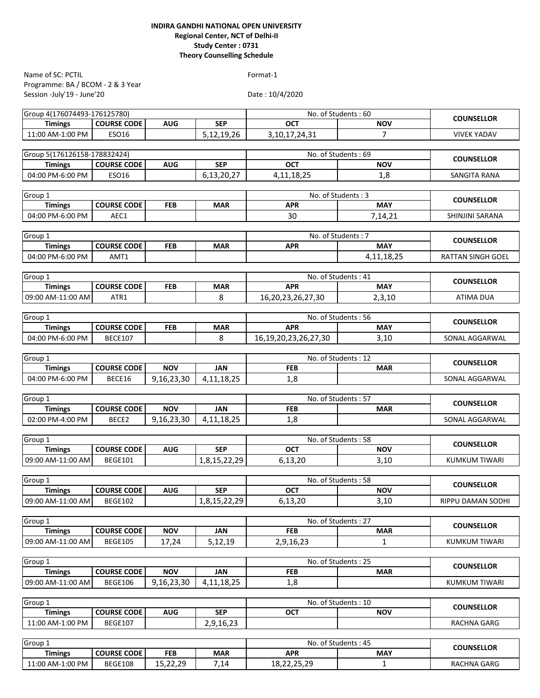Programme: BA / BCOM - 2 & 3 Year Session -July'19 - June'20 Name of SC: PCTIL Format-1

Date : 10/4/2020

| Group 4(176074493-176125780) |                    |            |               | No. of Students: 60              |                     | <b>COUNSELLOR</b>        |  |
|------------------------------|--------------------|------------|---------------|----------------------------------|---------------------|--------------------------|--|
| <b>Timings</b>               | <b>COURSE CODE</b> | <b>AUG</b> | <b>SEP</b>    | <b>OCT</b>                       | <b>NOV</b>          |                          |  |
| 11:00 AM-1:00 PM             | <b>ESO16</b>       |            | 5,12,19,26    | 3, 10, 17, 24, 31                | $\overline{7}$      | <b>VIVEK YADAV</b>       |  |
|                              |                    |            |               |                                  |                     |                          |  |
| Group 5(176126158-178832424) |                    |            |               | No. of Students: 69              |                     | <b>COUNSELLOR</b>        |  |
| <b>Timings</b>               | <b>COURSE CODE</b> | <b>AUG</b> | <b>SEP</b>    | <b>OCT</b>                       | <b>NOV</b>          |                          |  |
| 04:00 PM-6:00 PM             | ESO16              |            | 6,13,20,27    | 4, 11, 18, 25                    | 1,8                 | SANGITA RANA             |  |
|                              |                    |            |               |                                  |                     |                          |  |
| Group 1<br><b>Timings</b>    | <b>COURSE CODE</b> | <b>FEB</b> | <b>MAR</b>    | No. of Students: 3<br><b>APR</b> | <b>MAY</b>          | <b>COUNSELLOR</b>        |  |
| 04:00 PM-6:00 PM             | AEC1               |            |               | 30                               |                     | SHINJINI SARANA          |  |
|                              |                    |            |               |                                  | 7,14,21             |                          |  |
| Group 1                      |                    |            |               | No. of Students: 7               |                     |                          |  |
| <b>Timings</b>               | <b>COURSE CODE</b> | <b>FEB</b> | <b>MAR</b>    | <b>APR</b>                       | <b>MAY</b>          | <b>COUNSELLOR</b>        |  |
| 04:00 PM-6:00 PM             | AMT1               |            |               |                                  | 4, 11, 18, 25       | RATTAN SINGH GOEL        |  |
|                              |                    |            |               |                                  |                     |                          |  |
| Group 1                      |                    |            |               | No. of Students: 41              |                     |                          |  |
| <b>Timings</b>               | <b>COURSE CODE</b> | <b>FEB</b> | <b>MAR</b>    | <b>APR</b>                       | <b>MAY</b>          | <b>COUNSELLOR</b>        |  |
| 09:00 AM-11:00 AM            | ATR1               |            | 8             | 16,20,23,26,27,30                | 2,3,10              | <b>ATIMA DUA</b>         |  |
|                              |                    |            |               |                                  |                     |                          |  |
| Group <sub>1</sub>           |                    |            |               | No. of Students: 56              |                     | <b>COUNSELLOR</b>        |  |
| <b>Timings</b>               | <b>COURSE CODE</b> | <b>FEB</b> | <b>MAR</b>    | <b>APR</b>                       | <b>MAY</b>          |                          |  |
| 04:00 PM-6:00 PM             | <b>BECE107</b>     |            | 8             | 16, 19, 20, 23, 26, 27, 30       | 3,10                | SONAL AGGARWAL           |  |
|                              |                    |            |               |                                  |                     |                          |  |
| Group 1                      |                    |            |               |                                  | No. of Students: 12 |                          |  |
| <b>Timings</b>               | <b>COURSE CODE</b> | <b>NOV</b> | <b>JAN</b>    | <b>FEB</b>                       | <b>MAR</b>          | <b>COUNSELLOR</b>        |  |
| 04:00 PM-6:00 PM             | BECE16             | 9,16,23,30 | 4,11,18,25    | 1,8                              |                     | SONAL AGGARWAL           |  |
|                              |                    |            |               |                                  |                     |                          |  |
| Group 1                      |                    | <b>NOV</b> |               | No. of Students: 57              |                     | <b>COUNSELLOR</b>        |  |
| <b>Timings</b>               | <b>COURSE CODE</b> |            | <b>JAN</b>    | <b>FEB</b>                       | <b>MAR</b>          |                          |  |
| 02:00 PM-4:00 PM             | BECE2              | 9,16,23,30 | 4, 11, 18, 25 | 1,8                              |                     | SONAL AGGARWAL           |  |
| Group 1                      |                    |            |               | No. of Students: 58              |                     |                          |  |
| <b>Timings</b>               | <b>COURSE CODE</b> | <b>AUG</b> | <b>SEP</b>    | <b>OCT</b>                       | <b>NOV</b>          | <b>COUNSELLOR</b>        |  |
| 09:00 AM-11:00 AM            | <b>BEGE101</b>     |            | 1,8,15,22,29  | 6,13,20                          | 3,10                | KUMKUM TIWARI            |  |
|                              |                    |            |               |                                  |                     |                          |  |
| Group 1                      |                    |            |               | No. of Students: 58              |                     |                          |  |
| <b>Timings</b>               | <b>COURSE CODE</b> | <b>AUG</b> | <b>SEP</b>    | <b>OCT</b>                       | <b>NOV</b>          | <b>COUNSELLOR</b>        |  |
| 09:00 AM-11:00 AM            | <b>BEGE102</b>     |            | 1,8,15,22,29  | 6,13,20                          | 3,10                | <b>RIPPU DAMAN SODHI</b> |  |
|                              |                    |            |               |                                  |                     |                          |  |
| Group <sub>1</sub>           |                    |            |               | No. of Students: 27              |                     | <b>COUNSELLOR</b>        |  |
| <b>Timings</b>               | <b>COURSE CODE</b> | <b>NOV</b> | <b>JAN</b>    | <b>FEB</b>                       | <b>MAR</b>          |                          |  |
| 09:00 AM-11:00 AM            | <b>BEGE105</b>     | 17,24      | 5,12,19       | 2,9,16,23                        | 1                   | KUMKUM TIWARI            |  |
|                              |                    |            |               |                                  |                     |                          |  |
| Group 1                      |                    |            |               | No. of Students: 25              |                     | <b>COUNSELLOR</b>        |  |
| <b>Timings</b>               | <b>COURSE CODE</b> | <b>NOV</b> | <b>JAN</b>    | <b>FEB</b>                       | <b>MAR</b>          |                          |  |
| 09:00 AM-11:00 AM            | <b>BEGE106</b>     | 9,16,23,30 | 4, 11, 18, 25 | 1,8                              |                     | <b>KUMKUM TIWARI</b>     |  |
|                              |                    |            |               |                                  |                     |                          |  |
| Group 1                      |                    |            |               | No. of Students: 10              |                     | <b>COUNSELLOR</b>        |  |
| <b>Timings</b>               | <b>COURSE CODE</b> | <b>AUG</b> | <b>SEP</b>    | <b>OCT</b>                       | <b>NOV</b>          |                          |  |
| 11:00 AM-1:00 PM             | <b>BEGE107</b>     |            | 2,9,16,23     |                                  |                     | RACHNA GARG              |  |
| Group 1                      |                    |            |               | No. of Students: 45              |                     |                          |  |
| <b>Timings</b>               | <b>COURSE CODE</b> | <b>FEB</b> | <b>MAR</b>    | <b>APR</b>                       | <b>MAY</b>          | <b>COUNSELLOR</b>        |  |
|                              |                    |            |               |                                  |                     |                          |  |

11:00 AM-1:00 PM BEGE108 15,22,29 7,14 18,22,25,29 1 1 RACHNA GARG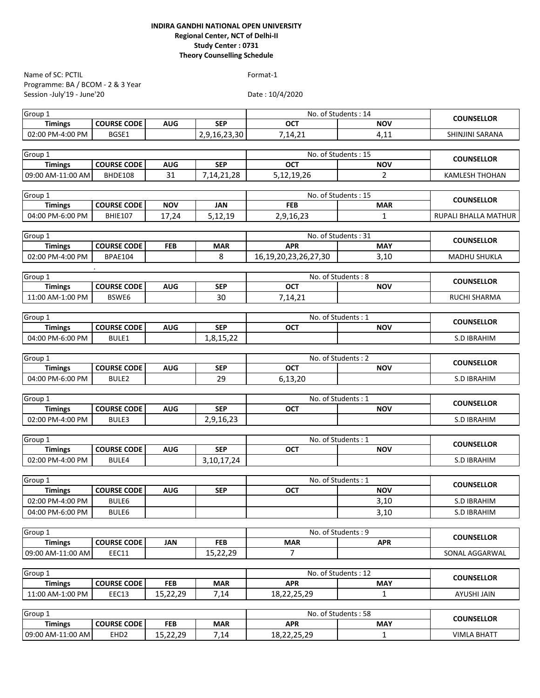| Name of SC: PCTIL                  |                                      |            |               | Format-1                   |                                   |                       |
|------------------------------------|--------------------------------------|------------|---------------|----------------------------|-----------------------------------|-----------------------|
| Programme: BA / BCOM - 2 & 3 Year  |                                      |            |               |                            |                                   |                       |
| Session -July'19 - June'20         |                                      |            |               | Date: 10/4/2020            |                                   |                       |
| Group 1                            |                                      |            |               |                            | No. of Students: 14               |                       |
| <b>Timings</b>                     | <b>COURSE CODE</b>                   | <b>AUG</b> | <b>SEP</b>    | <b>OCT</b>                 | <b>NOV</b>                        | <b>COUNSELLOR</b>     |
| 02:00 PM-4:00 PM                   | BGSE1                                |            | 2,9,16,23,30  | 7,14,21                    | 4,11                              | SHINJINI SARANA       |
| Group 1                            |                                      |            |               |                            | No. of Students: 15               |                       |
| <b>Timings</b>                     | <b>COURSE CODE</b>                   | AUG        | <b>SEP</b>    | <b>OCT</b>                 | <b>NOV</b>                        | <b>COUNSELLOR</b>     |
| 09:00 AM-11:00 AM                  | BHDE108                              | 31         | 7, 14, 21, 28 | 5,12,19,26                 | $\overline{2}$                    | <b>KAMLESH THOHAN</b> |
| Group 1                            |                                      |            |               |                            | No. of Students: 15               |                       |
| <b>Timings</b>                     | <b>COURSE CODE</b>                   | <b>NOV</b> | <b>JAN</b>    | <b>FEB</b>                 | <b>MAR</b>                        | <b>COUNSELLOR</b>     |
| 04:00 PM-6:00 PM                   | <b>BHIE107</b>                       | 17,24      | 5,12,19       | 2,9,16,23                  | $\mathbf{1}$                      | RUPALI BHALLA MATHUR  |
|                                    |                                      |            |               |                            |                                   |                       |
| Group 1                            |                                      |            | <b>MAR</b>    | <b>APR</b>                 | No. of Students: 31<br><b>MAY</b> | <b>COUNSELLOR</b>     |
| <b>Timings</b><br>02:00 PM-4:00 PM | <b>COURSE CODE</b><br><b>BPAE104</b> | <b>FEB</b> | 8             | 16, 19, 20, 23, 26, 27, 30 | 3,10                              | <b>MADHU SHUKLA</b>   |
|                                    | $\cdot$                              |            |               |                            |                                   |                       |
| Group 1                            |                                      |            |               |                            | No. of Students: 8                | <b>COUNSELLOR</b>     |
| <b>Timings</b>                     | <b>COURSE CODE</b>                   | <b>AUG</b> | <b>SEP</b>    | <b>OCT</b>                 | <b>NOV</b>                        |                       |
| 11:00 AM-1:00 PM                   | BSWE6                                |            | 30            | 7,14,21                    |                                   | RUCHI SHARMA          |
| Group 1                            |                                      |            |               |                            | No. of Students: 1                |                       |
| <b>Timings</b>                     | <b>COURSE CODE</b>                   | <b>AUG</b> | <b>SEP</b>    | <b>OCT</b>                 | <b>NOV</b>                        | <b>COUNSELLOR</b>     |
| 04:00 PM-6:00 PM                   | BULE1                                |            | 1,8,15,22     |                            |                                   | S.D IBRAHIM           |
|                                    |                                      |            |               |                            |                                   |                       |
| Group 1                            |                                      |            |               |                            | No. of Students: 2                | <b>COUNSELLOR</b>     |
| <b>Timings</b>                     | <b>COURSE CODE</b>                   | <b>AUG</b> | <b>SEP</b>    | <b>OCT</b>                 | <b>NOV</b>                        |                       |
| 04:00 PM-6:00 PM                   | BULE <sub>2</sub>                    |            | 29            | 6,13,20                    |                                   | S.D IBRAHIM           |
| Group 1                            |                                      |            |               |                            | No. of Students: 1                |                       |
| <b>Timings</b>                     | <b>COURSE CODE</b>                   | <b>AUG</b> | <b>SEP</b>    | <b>OCT</b>                 | <b>NOV</b>                        | <b>COUNSELLOR</b>     |
| 02:00 PM-4:00 PM                   | BULE3                                |            | 2,9,16,23     |                            |                                   | S.D IBRAHIM           |
| Group 1                            |                                      |            |               |                            | No. of Students: 1                |                       |
| <b>Timings</b>                     | <b>COURSE CODE</b>                   | <b>AUG</b> | <b>SEP</b>    | <b>OCT</b>                 | <b>NOV</b>                        | <b>COUNSELLOR</b>     |
| 02:00 PM-4:00 PM                   | BULE4                                |            | 3, 10, 17, 24 |                            |                                   | S.D IBRAHIM           |
|                                    |                                      |            |               |                            |                                   |                       |
| Group 1<br><b>Timings</b>          | <b>COURSE CODE</b>                   | <b>AUG</b> | <b>SEP</b>    | <b>OCT</b>                 | No. of Students: 1<br><b>NOV</b>  | <b>COUNSELLOR</b>     |
| 02:00 PM-4:00 PM                   | BULE6                                |            |               |                            | 3,10                              | S.D IBRAHIM           |
| 04:00 PM-6:00 PM                   | BULE6                                |            |               |                            | 3,10                              | <b>S.D IBRAHIM</b>    |
|                                    |                                      |            |               |                            |                                   |                       |
| Group 1                            |                                      |            |               |                            | No. of Students: 9                | <b>COUNSELLOR</b>     |
| <b>Timings</b>                     | <b>COURSE CODE</b>                   | <b>JAN</b> | <b>FEB</b>    | <b>MAR</b>                 | <b>APR</b>                        |                       |
| 09:00 AM-11:00 AM                  | EEC11                                |            | 15,22,29      | $\overline{7}$             |                                   | SONAL AGGARWAL        |
| Group 1                            |                                      |            |               |                            | No. of Students: 12               |                       |
| <b>Timings</b>                     | <b>COURSE CODE</b>                   | <b>FEB</b> | <b>MAR</b>    | <b>APR</b>                 | <b>MAY</b>                        | <b>COUNSELLOR</b>     |
| 11:00 AM-1:00 PM                   | EEC13                                | 15,22,29   | 7,14          | 18,22,25,29                | 1                                 | AYUSHI JAIN           |
|                                    |                                      |            |               |                            |                                   |                       |
| Group 1<br><b>Timings</b>          | <b>COURSE CODE</b>                   | <b>FEB</b> | <b>MAR</b>    | <b>APR</b>                 | No. of Students: 58<br><b>MAY</b> | <b>COUNSELLOR</b>     |
| 09:00 AM-11:00 AM                  | EHD <sub>2</sub>                     | 15,22,29   | 7,14          | 18,22,25,29                | 1                                 | <b>VIMLA BHATT</b>    |
|                                    |                                      |            |               |                            |                                   |                       |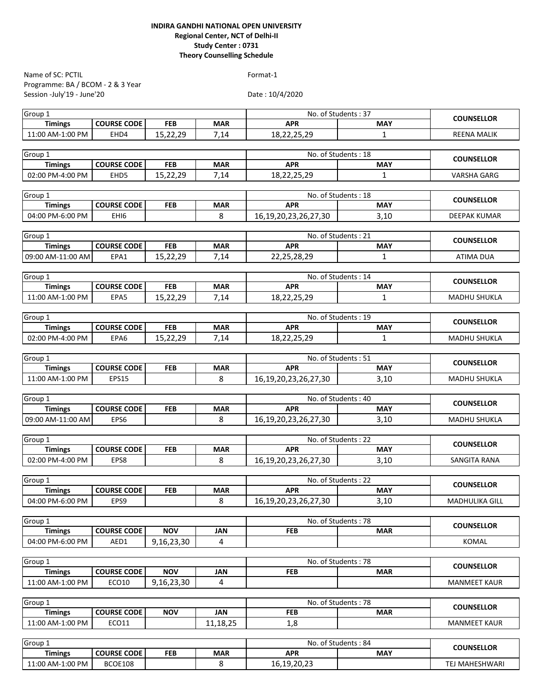| Name of SC: PCTIL                 |                    |            |            | Format-1                          |              |                     |
|-----------------------------------|--------------------|------------|------------|-----------------------------------|--------------|---------------------|
| Programme: BA / BCOM - 2 & 3 Year |                    |            |            |                                   |              |                     |
| Session -July'19 - June'20        |                    |            |            | Date: 10/4/2020                   |              |                     |
| Group $1$                         |                    |            |            | No. of Students: 37               |              |                     |
| <b>Timings</b>                    | <b>COURSE CODE</b> | <b>FEB</b> | <b>MAR</b> | <b>APR</b>                        | <b>MAY</b>   | <b>COUNSELLOR</b>   |
| 11:00 AM-1:00 PM                  | EHD4               | 15,22,29   | 7,14       | 18,22,25,29                       | $\mathbf{1}$ | <b>REENA MALIK</b>  |
|                                   |                    |            |            |                                   |              |                     |
| Group 1                           |                    |            |            | No. of Students: 18               |              | <b>COUNSELLOR</b>   |
| <b>Timings</b>                    | <b>COURSE CODE</b> | <b>FEB</b> | <b>MAR</b> | <b>APR</b>                        | <b>MAY</b>   |                     |
| 02:00 PM-4:00 PM                  | EHD5               | 15,22,29   | 7,14       | 18,22,25,29                       | $\mathbf{1}$ | <b>VARSHA GARG</b>  |
|                                   |                    |            |            | No. of Students: 18               |              |                     |
| Group 1<br><b>Timings</b>         | <b>COURSE CODE</b> | <b>FEB</b> | <b>MAR</b> | <b>APR</b>                        | <b>MAY</b>   | <b>COUNSELLOR</b>   |
| 04:00 PM-6:00 PM                  | EHI <sub>6</sub>   |            | 8          | 16, 19, 20, 23, 26, 27, 30        | 3,10         | DEEPAK KUMAR        |
|                                   |                    |            |            |                                   |              |                     |
| Group 1                           |                    |            |            | No. of Students: 21               |              |                     |
| <b>Timings</b>                    | <b>COURSE CODE</b> | <b>FEB</b> | <b>MAR</b> | <b>APR</b>                        | <b>MAY</b>   | <b>COUNSELLOR</b>   |
| 09:00 AM-11:00 AM                 | EPA1               | 15,22,29   | 7,14       | 22,25,28,29                       | $\mathbf{1}$ | <b>ATIMA DUA</b>    |
|                                   |                    |            |            |                                   |              |                     |
| Group 1                           |                    |            |            | No. of Students: 14               |              | <b>COUNSELLOR</b>   |
| <b>Timings</b>                    | <b>COURSE CODE</b> | <b>FEB</b> | <b>MAR</b> | <b>APR</b>                        | <b>MAY</b>   |                     |
| 11:00 AM-1:00 PM                  | EPA5               | 15,22,29   | 7,14       | 18,22,25,29                       | $\mathbf{1}$ | <b>MADHU SHUKLA</b> |
|                                   |                    |            |            |                                   |              |                     |
| Group 1                           |                    |            |            | No. of Students: 19               |              | <b>COUNSELLOR</b>   |
| <b>Timings</b>                    | <b>COURSE CODE</b> | <b>FEB</b> | <b>MAR</b> | <b>APR</b>                        | <b>MAY</b>   |                     |
| 02:00 PM-4:00 PM                  | EPA6               | 15,22,29   | 7,14       | 18,22,25,29                       | 1            | <b>MADHU SHUKLA</b> |
| Group 1                           |                    |            |            | No. of Students: 51               |              |                     |
| <b>Timings</b>                    | <b>COURSE CODE</b> | <b>FEB</b> | <b>MAR</b> | <b>APR</b>                        | <b>MAY</b>   | <b>COUNSELLOR</b>   |
| 11:00 AM-1:00 PM                  | EPS15              |            | 8          | 16, 19, 20, 23, 26, 27, 30        | 3,10         | <b>MADHU SHUKLA</b> |
|                                   |                    |            |            |                                   |              |                     |
| Group 1                           |                    |            |            | No. of Students: 40               |              |                     |
| <b>Timings</b>                    | <b>COURSE CODE</b> | <b>FEB</b> | <b>MAR</b> | <b>APR</b>                        | <b>MAY</b>   | <b>COUNSELLOR</b>   |
| 09:00 AM-11:00 AM                 | EPS6               |            | 8          | 16, 19, 20, 23, 26, 27, 30        | 3,10         | <b>MADHU SHUKLA</b> |
|                                   |                    |            |            |                                   |              |                     |
| Group 1                           |                    |            |            | No. of Students: 22               |              | <b>COUNSELLOR</b>   |
| <b>Timings</b>                    | <b>COURSE CODE</b> | <b>FEB</b> | <b>MAR</b> | <b>APR</b>                        | <b>MAY</b>   |                     |
| 02:00 PM-4:00 PM                  | EPS8               |            | 8          | 16, 19, 20, 23, 26, 27, 30        | 3,10         | SANGITA RANA        |
| Group 1                           |                    |            |            |                                   |              |                     |
| <b>Timings</b>                    | <b>COURSE CODE</b> | <b>FEB</b> | <b>MAR</b> | No. of Students: 22<br><b>APR</b> | <b>MAY</b>   | <b>COUNSELLOR</b>   |
| 04:00 PM-6:00 PM                  | EPS9               |            | 8          | 16, 19, 20, 23, 26, 27, 30        | 3,10         | MADHULIKA GILL      |
|                                   |                    |            |            |                                   |              |                     |
| Group 1                           |                    |            |            | No. of Students: 78               |              |                     |
| <b>Timings</b>                    | <b>COURSE CODE</b> | <b>NOV</b> | <b>JAN</b> | <b>FEB</b>                        | <b>MAR</b>   | <b>COUNSELLOR</b>   |
| 04:00 PM-6:00 PM                  | AED1               | 9,16,23,30 | 4          |                                   |              | KOMAL               |
|                                   |                    |            |            |                                   |              |                     |
| Group 1                           |                    |            |            | No. of Students: 78               |              | <b>COUNSELLOR</b>   |
| <b>Timings</b>                    | <b>COURSE CODE</b> | <b>NOV</b> | <b>JAN</b> | <b>FEB</b>                        | <b>MAR</b>   |                     |
| 11:00 AM-1:00 PM                  | ECO10              | 9,16,23,30 | 4          |                                   |              | <b>MANMEET KAUR</b> |
|                                   |                    |            |            |                                   |              |                     |
| Group <sub>1</sub>                |                    |            |            | No. of Students: 78               |              | <b>COUNSELLOR</b>   |
| <b>Timings</b>                    | <b>COURSE CODE</b> | <b>NOV</b> | <b>JAN</b> | <b>FEB</b>                        | <b>MAR</b>   |                     |
| 11:00 AM-1:00 PM                  | ECO11              |            | 11,18,25   | 1,8                               |              | <b>MANMEET KAUR</b> |
| Group 1                           |                    |            |            | No. of Students: 84               |              |                     |
| <b>Timings</b>                    | <b>COURSE CODE</b> | <b>FEB</b> | <b>MAR</b> | <b>APR</b>                        | <b>MAY</b>   | <b>COUNSELLOR</b>   |
|                                   |                    |            |            |                                   |              |                     |

11:00 AM-1:00 PM BCOE108 8 16,19,20,23 TEJ MAHESHWARI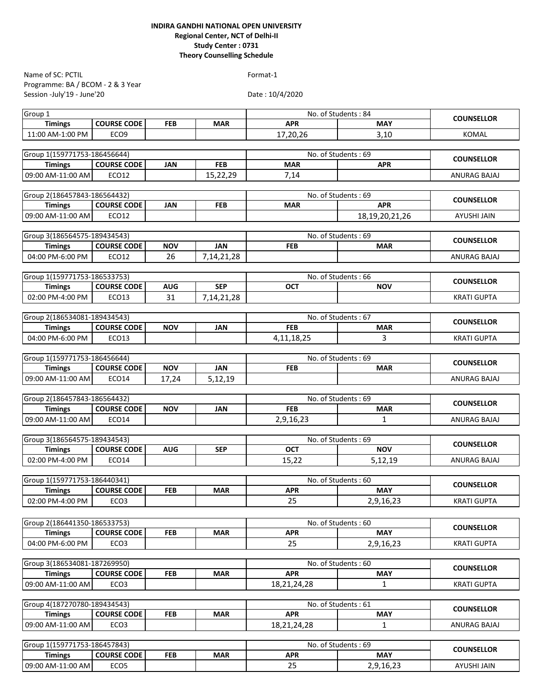Programme: BA / BCOM - 2 & 3 Year Session -July'19 - June'20 Name of SC: PCTIL Format-1

| Group 1                             |                                        |            |            |                     | No. of Students: 84     |                     |
|-------------------------------------|----------------------------------------|------------|------------|---------------------|-------------------------|---------------------|
| <b>Timings</b>                      | <b>COURSE CODE</b>                     | FEB        | <b>MAR</b> | <b>APR</b>          | <b>MAY</b>              | <b>COUNSELLOR</b>   |
| 11:00 AM-1:00 PM                    | ECO <sub>9</sub>                       |            |            | 17,20,26            | 3,10                    | <b>KOMAL</b>        |
|                                     |                                        |            |            |                     |                         |                     |
| Group 1(159771753-186456644)        |                                        |            |            |                     | No. of Students: 69     |                     |
| <b>Timings</b>                      | <b>COURSE CODE</b>                     | JAN        | <b>FEB</b> | <b>MAR</b>          | <b>APR</b>              | <b>COUNSELLOR</b>   |
| 09:00 AM-11:00 AM                   | ECO12                                  |            | 15,22,29   | 7,14                |                         | ANURAG BAJAJ        |
|                                     |                                        |            |            |                     |                         |                     |
| Group 2(186457843-186564432)        |                                        |            |            |                     | No. of Students: 69     | <b>COUNSELLOR</b>   |
| <b>Timings</b>                      | <b>COURSE CODE</b>                     | <b>JAN</b> | <b>FEB</b> | <b>MAR</b>          | <b>APR</b>              |                     |
| 09:00 AM-11:00 AM                   | ECO12                                  |            |            |                     | 18, 19, 20, 21, 26      | AYUSHI JAIN         |
|                                     |                                        |            |            |                     |                         |                     |
| Group 3(186564575-189434543)        |                                        |            |            | No. of Students: 69 |                         | <b>COUNSELLOR</b>   |
| <b>Timings</b>                      | <b>COURSE CODE</b>                     | <b>NOV</b> | <b>JAN</b> | <b>FEB</b>          | <b>MAR</b>              |                     |
| 04:00 PM-6:00 PM                    | ECO12                                  | 26         | 7,14,21,28 |                     |                         | ANURAG BAJAJ        |
|                                     |                                        |            |            |                     |                         |                     |
| Group 1(159771753-186533753)        |                                        |            |            |                     | No. of Students: 66     | <b>COUNSELLOR</b>   |
| <b>Timings</b>                      | <b>COURSE CODE</b>                     | <b>AUG</b> | <b>SEP</b> | <b>OCT</b>          | <b>NOV</b>              |                     |
| 02:00 PM-4:00 PM                    | ECO13                                  | 31         | 7,14,21,28 |                     |                         | <b>KRATI GUPTA</b>  |
|                                     |                                        |            |            |                     |                         |                     |
| Group 2(186534081-189434543)        |                                        |            |            |                     | No. of Students: 67     | <b>COUNSELLOR</b>   |
| <b>Timings</b>                      | <b>COURSE CODE</b>                     | <b>NOV</b> | JAN        | <b>FEB</b>          | <b>MAR</b>              |                     |
| 04:00 PM-6:00 PM                    | ECO13                                  |            |            | 4, 11, 18, 25       | 3                       | <b>KRATI GUPTA</b>  |
| Group 1(159771753-186456644)        |                                        |            |            |                     | No. of Students: 69     |                     |
| <b>Timings</b>                      | <b>COURSE CODE</b>                     | <b>NOV</b> | JAN        | <b>FEB</b>          | <b>MAR</b>              | <b>COUNSELLOR</b>   |
| 09:00 AM-11:00 AM                   | ECO14                                  | 17,24      | 5,12,19    |                     |                         | ANURAG BAJAJ        |
|                                     |                                        |            |            |                     |                         |                     |
|                                     |                                        |            |            |                     |                         |                     |
|                                     |                                        |            |            |                     |                         |                     |
| Group 2(186457843-186564432)        |                                        |            |            |                     | No. of Students: 69     | <b>COUNSELLOR</b>   |
| <b>Timings</b>                      | <b>COURSE CODE</b>                     | <b>NOV</b> | JAN        | <b>FEB</b>          | <b>MAR</b>              |                     |
| 09:00 AM-11:00 AM                   | ECO14                                  |            |            | 2,9,16,23           | $\mathbf{1}$            | ANURAG BAJAJ        |
|                                     |                                        |            |            |                     | No. of Students: 69     |                     |
| Group 3(186564575-189434543)        | <b>COURSE CODE</b>                     | <b>AUG</b> | <b>SEP</b> | OCT                 | <b>NOV</b>              | <b>COUNSELLOR</b>   |
| <b>Timings</b><br>02:00 PM-4:00 PM  | <b>ECO14</b>                           |            |            | 15.22               | 5,12,19                 | ANURAG BAJAJ        |
|                                     |                                        |            |            |                     |                         |                     |
| Group 1(159771753-186440341)        |                                        |            |            |                     | No. of Students: 60     |                     |
| <b>Timings</b>                      | <b>COURSE CODE</b>                     | <b>FEB</b> | <b>MAR</b> | <b>APR</b>          | <b>MAY</b>              | <b>COUNSELLOR</b>   |
| 02:00 PM-4:00 PM                    | ECO <sub>3</sub>                       |            |            | 25                  | 2,9,16,23               | <b>KRATI GUPTA</b>  |
|                                     |                                        |            |            |                     |                         |                     |
| Group 2(186441350-186533753)        |                                        |            |            |                     | No. of Students: 60     |                     |
| <b>Timings</b>                      | <b>COURSE CODE</b>                     | <b>FEB</b> | <b>MAR</b> | <b>APR</b>          | <b>MAY</b>              | <b>COUNSELLOR</b>   |
| 04:00 PM-6:00 PM                    | ECO <sub>3</sub>                       |            |            | 25                  | 2,9,16,23               | <b>KRATI GUPTA</b>  |
|                                     |                                        |            |            |                     |                         |                     |
| Group 3(186534081-187269950)        |                                        |            |            |                     | No. of Students: 60     |                     |
| <b>Timings</b>                      | <b>COURSE CODE</b>                     | <b>FEB</b> | <b>MAR</b> | <b>APR</b>          | <b>MAY</b>              | <b>COUNSELLOR</b>   |
| 09:00 AM-11:00 AM                   | ECO <sub>3</sub>                       |            |            | 18,21,24,28         | $\mathbf{1}$            | <b>KRATI GUPTA</b>  |
|                                     |                                        |            |            |                     |                         |                     |
| Group 4(187270780-189434543)        |                                        |            |            |                     | No. of Students: 61     | <b>COUNSELLOR</b>   |
| <b>Timings</b>                      | <b>COURSE CODE</b>                     | FEB        | <b>MAR</b> | <b>APR</b>          | <b>MAY</b>              |                     |
| 09:00 AM-11:00 AM                   | ECO <sub>3</sub>                       |            |            | 18, 21, 24, 28      | 1                       | <b>ANURAG BAJAJ</b> |
|                                     |                                        |            |            |                     |                         |                     |
| Group 1(159771753-186457843)        |                                        |            |            |                     | No. of Students: 69     | <b>COUNSELLOR</b>   |
| <b>Timings</b><br>09:00 AM-11:00 AM | <b>COURSE CODE</b><br>ECO <sub>5</sub> | <b>FEB</b> | <b>MAR</b> | <b>APR</b><br>25    | <b>MAY</b><br>2,9,16,23 | AYUSHI JAIN         |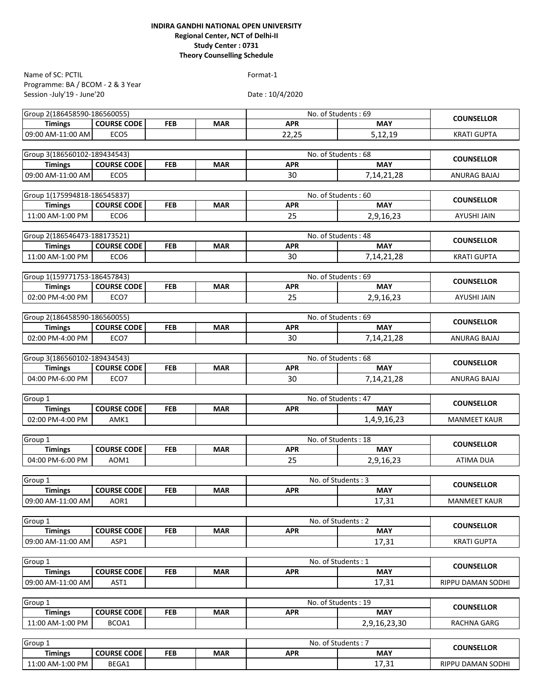Programme: BA / BCOM - 2 & 3 Year Session -July'19 - June'20 Name of SC: PCTIL Format-1

| Group 2(186458590-186560055)       |                            |            |            |                  | No. of Students: 69 |                     |
|------------------------------------|----------------------------|------------|------------|------------------|---------------------|---------------------|
| <b>Timings</b>                     | <b>COURSE CODE</b>         | <b>FEB</b> | <b>MAR</b> | <b>APR</b>       | <b>MAY</b>          | <b>COUNSELLOR</b>   |
| 09:00 AM-11:00 AM                  | ECO <sub>5</sub>           |            |            | 22,25            | 5,12,19             | <b>KRATI GUPTA</b>  |
|                                    |                            |            |            |                  |                     |                     |
| Group 3(186560102-189434543)       |                            |            |            |                  | No. of Students: 68 | <b>COUNSELLOR</b>   |
| <b>Timings</b>                     | <b>COURSE CODE</b>         | <b>FEB</b> | <b>MAR</b> | <b>APR</b>       | <b>MAY</b>          |                     |
| 09:00 AM-11:00 AM                  | ECO <sub>5</sub>           |            |            | 30               | 7,14,21,28          | ANURAG BAJAJ        |
|                                    |                            |            |            |                  |                     |                     |
| Group 1(175994818-186545837)       |                            |            |            |                  | No. of Students: 60 | <b>COUNSELLOR</b>   |
| <b>Timings</b>                     | <b>COURSE CODE</b>         | <b>FEB</b> | <b>MAR</b> | <b>APR</b>       | <b>MAY</b>          |                     |
| 11:00 AM-1:00 PM                   | ECO <sub>6</sub>           |            |            | 25               | 2,9,16,23           | <b>AYUSHI JAIN</b>  |
| Group 2(186546473-188173521)       |                            |            |            |                  | No. of Students: 48 |                     |
| <b>Timings</b>                     | <b>COURSE CODE</b>         | <b>FEB</b> | <b>MAR</b> | <b>APR</b>       | <b>MAY</b>          | <b>COUNSELLOR</b>   |
| 11:00 AM-1:00 PM                   | ECO <sub>6</sub>           |            |            | 30               | 7,14,21,28          | <b>KRATI GUPTA</b>  |
|                                    |                            |            |            |                  |                     |                     |
| Group 1(159771753-186457843)       |                            |            |            |                  | No. of Students: 69 | <b>COUNSELLOR</b>   |
| <b>Timings</b>                     | <b>COURSE CODE</b>         | <b>FEB</b> | <b>MAR</b> | <b>APR</b>       | <b>MAY</b>          |                     |
| 02:00 PM-4:00 PM                   | ECO7                       |            |            | 25               | 2,9,16,23           | AYUSHI JAIN         |
|                                    |                            |            |            |                  |                     |                     |
| Group 2(186458590-186560055)       |                            |            |            |                  | No. of Students: 69 | <b>COUNSELLOR</b>   |
| <b>Timings</b>                     | <b>COURSE CODE</b>         | <b>FEB</b> | <b>MAR</b> | <b>APR</b>       | <b>MAY</b>          |                     |
| 02:00 PM-4:00 PM                   | ECO7                       |            |            | 30               | 7,14,21,28          | ANURAG BAJAJ        |
|                                    |                            |            |            |                  | No. of Students: 68 |                     |
| Group 3(186560102-189434543)       |                            |            |            |                  | <b>MAY</b>          | <b>COUNSELLOR</b>   |
| <b>Timings</b><br>04:00 PM-6:00 PM | <b>COURSE CODE</b><br>ECO7 | <b>FEB</b> | <b>MAR</b> | <b>APR</b><br>30 |                     | ANURAG BAJAJ        |
|                                    |                            |            |            |                  | 7, 14, 21, 28       |                     |
| Group 1                            |                            |            |            |                  | No. of Students: 47 |                     |
| <b>Timings</b>                     | <b>COURSE CODE</b>         | <b>FEB</b> | <b>MAR</b> | <b>APR</b>       | <b>MAY</b>          | <b>COUNSELLOR</b>   |
| 02:00 PM-4:00 PM                   | AMK1                       |            |            |                  | 1,4,9,16,23         | <b>MANMEET KAUR</b> |
|                                    |                            |            |            |                  |                     |                     |
| Group 1                            |                            |            |            |                  | No. of Students: 18 | <b>COUNSELLOR</b>   |
| <b>Timings</b>                     | <b>COURSE CODE</b>         | <b>FEB</b> | <b>MAR</b> | <b>APR</b>       | <b>MAY</b>          |                     |
| 04:00 PM-6:00 PM                   | AOM1                       |            |            | 25               | 2,9,16,23           | <b>ATIMA DUA</b>    |
|                                    |                            |            |            |                  |                     |                     |
| Group 1                            |                            |            |            |                  | No. of Students: 3  | <b>COUNSELLOR</b>   |
| <b>Timings</b>                     | <b>COURSE CODE</b>         | <b>FEB</b> | <b>MAR</b> | <b>APR</b>       | <b>MAY</b>          |                     |
| 09:00 AM-11:00 AM                  | AOR1                       |            |            |                  | 17,31               | <b>MANMEET KAUR</b> |
| Group 1                            |                            |            |            |                  | No. of Students: 2  |                     |
| <b>Timings</b>                     | <b>COURSE CODE</b>         | <b>FEB</b> | <b>MAR</b> | <b>APR</b>       | <b>MAY</b>          | <b>COUNSELLOR</b>   |
| 09:00 AM-11:00 AM                  | ASP1                       |            |            |                  | 17,31               | <b>KRATI GUPTA</b>  |
|                                    |                            |            |            |                  |                     |                     |
| Group 1                            |                            |            |            |                  | No. of Students: 1  |                     |
| <b>Timings</b>                     | <b>COURSE CODE</b>         | <b>FEB</b> | <b>MAR</b> | <b>APR</b>       | <b>MAY</b>          | <b>COUNSELLOR</b>   |
| 09:00 AM-11:00 AM                  | AST1                       |            |            |                  | 17,31               | RIPPU DAMAN SODHI   |
|                                    |                            |            |            |                  |                     |                     |
| Group 1                            |                            |            |            |                  | No. of Students: 19 | <b>COUNSELLOR</b>   |
| <b>Timings</b>                     | <b>COURSE CODE</b>         | <b>FEB</b> | <b>MAR</b> | <b>APR</b>       | <b>MAY</b>          |                     |
| 11:00 AM-1:00 PM                   | BCOA1                      |            |            |                  | 2,9,16,23,30        | RACHNA GARG         |
|                                    |                            |            |            |                  |                     |                     |
| Group 1                            |                            |            |            |                  | No. of Students: 7  | <b>COUNSELLOR</b>   |
| <b>Timings</b>                     | <b>COURSE CODE</b>         | FEB        | <b>MAR</b> | <b>APR</b>       | <b>MAY</b>          |                     |
| 11:00 AM-1:00 PM                   | BEGA1                      |            |            |                  | 17,31               | RIPPU DAMAN SODHI   |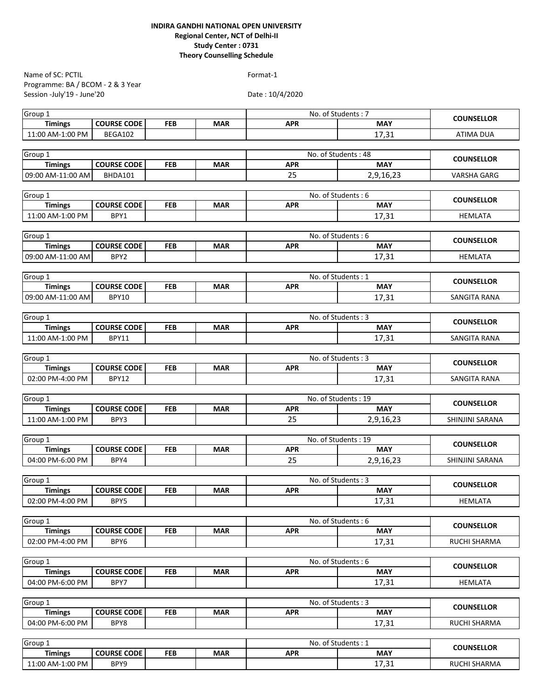| Name of SC: PCTIL                  |                             |            |            | Format-1        |                                  |                    |
|------------------------------------|-----------------------------|------------|------------|-----------------|----------------------------------|--------------------|
| Programme: BA / BCOM - 2 & 3 Year  |                             |            |            |                 |                                  |                    |
| Session -July'19 - June'20         |                             |            |            | Date: 10/4/2020 |                                  |                    |
| Group $1$                          |                             |            |            |                 | No. of Students: 7               |                    |
| <b>Timings</b>                     | <b>COURSE CODE</b>          | <b>FEB</b> | <b>MAR</b> | <b>APR</b>      | <b>MAY</b>                       | <b>COUNSELLOR</b>  |
| 11:00 AM-1:00 PM                   | BEGA102                     |            |            |                 | 17,31                            | <b>ATIMA DUA</b>   |
|                                    |                             |            |            |                 |                                  |                    |
| Group 1                            |                             |            |            |                 | No. of Students: 48              |                    |
| <b>Timings</b>                     | <b>COURSE CODE</b>          | <b>FEB</b> | <b>MAR</b> | <b>APR</b>      | <b>MAY</b>                       |                    |
| 09:00 AM-11:00 AM                  | BHDA101                     |            |            | 25              | 2,9,16,23                        | <b>VARSHA GARG</b> |
| Group 1                            |                             |            |            |                 | No. of Students: 6               |                    |
| <b>Timings</b>                     | <b>COURSE CODE</b>          | <b>FEB</b> | <b>MAR</b> | <b>APR</b>      | <b>MAY</b>                       | <b>COUNSELLOR</b>  |
| 11:00 AM-1:00 PM                   | BPY1                        |            |            |                 | 17,31                            | <b>HEMLATA</b>     |
|                                    |                             |            |            |                 |                                  |                    |
| Group 1                            |                             |            |            |                 | No. of Students: 6               | <b>COUNSELLOR</b>  |
| <b>Timings</b>                     | <b>COURSE CODE</b>          | <b>FEB</b> | <b>MAR</b> | <b>APR</b>      | <b>MAY</b>                       |                    |
| 09:00 AM-11:00 AM                  | BPY2                        |            |            |                 | 17,31                            | <b>HEMLATA</b>     |
| Group 1                            |                             |            |            |                 | No. of Students: 1               |                    |
| <b>Timings</b>                     | <b>COURSE CODE</b>          | FEB        | <b>MAR</b> | <b>APR</b>      | <b>MAY</b>                       | <b>COUNSELLOR</b>  |
| 09:00 AM-11:00 AM                  | <b>BPY10</b>                |            |            |                 | 17,31                            | SANGITA RANA       |
|                                    |                             |            |            |                 |                                  |                    |
| Group 1                            |                             |            |            |                 | No. of Students: 3               | <b>COUNSELLOR</b>  |
| <b>Timings</b>                     | <b>COURSE CODE</b>          | <b>FEB</b> | <b>MAR</b> | <b>APR</b>      | <b>MAY</b>                       |                    |
| 11:00 AM-1:00 PM                   | <b>BPY11</b>                |            |            |                 | 17,31                            | SANGITA RANA       |
|                                    |                             |            |            |                 |                                  |                    |
| Group 1                            |                             |            |            |                 | No. of Students: 3               | <b>COUNSELLOR</b>  |
| <b>Timings</b><br>02:00 PM-4:00 PM | <b>COURSE CODE</b><br>BPY12 | FEB        | <b>MAR</b> | <b>APR</b>      | <b>MAY</b><br>17,31              | SANGITA RANA       |
|                                    |                             |            |            |                 |                                  |                    |
| Group 1                            |                             |            |            |                 | No. of Students: 19              |                    |
| <b>Timings</b>                     | <b>COURSE CODE</b>          | <b>FEB</b> | <b>MAR</b> | <b>APR</b>      | <b>MAY</b>                       | <b>COUNSELLOR</b>  |
| 11:00 AM-1:00 PM                   | BPY3                        |            |            | 25              | 2,9,16,23                        | SHINJINI SARANA    |
|                                    |                             |            |            |                 |                                  |                    |
| Group 1                            |                             |            |            |                 | No. of Students: 19              | <b>COUNSELLOR</b>  |
| <b>Timings</b>                     | <b>COURSE CODE</b>          | <b>FEB</b> | <b>MAR</b> | <b>APR</b>      | <b>MAY</b>                       |                    |
| 04:00 PM-6:00 PM                   | BPY4                        |            |            | 25              | 2,9,16,23                        | SHINJINI SARANA    |
| Group 1                            |                             |            |            |                 | No. of Students: 3               |                    |
| <b>Timings</b>                     | <b>COURSE CODE</b>          | <b>FEB</b> | <b>MAR</b> | <b>APR</b>      | <b>MAY</b>                       | <b>COUNSELLOR</b>  |
| 02:00 PM-4:00 PM                   | BPY5                        |            |            |                 | 17,31                            | <b>HEMLATA</b>     |
|                                    |                             |            |            |                 |                                  |                    |
| Group 1                            |                             |            |            |                 | No. of Students: 6               | <b>COUNSELLOR</b>  |
| <b>Timings</b>                     | <b>COURSE CODE</b>          | <b>FEB</b> | <b>MAR</b> | <b>APR</b>      | <b>MAY</b>                       |                    |
| 02:00 PM-4:00 PM                   | BPY6                        |            |            |                 | 17,31                            | RUCHI SHARMA       |
| Group 1                            |                             |            |            |                 | No. of Students: 6               |                    |
| <b>Timings</b>                     | <b>COURSE CODE</b>          | <b>FEB</b> | <b>MAR</b> | <b>APR</b>      | <b>MAY</b>                       | <b>COUNSELLOR</b>  |
| 04:00 PM-6:00 PM                   | BPY7                        |            |            |                 | 17,31                            | <b>HEMLATA</b>     |
|                                    |                             |            |            |                 |                                  |                    |
| Group 1                            |                             |            |            |                 | No. of Students: 3               | <b>COUNSELLOR</b>  |
| <b>Timings</b>                     | <b>COURSE CODE</b>          | <b>FEB</b> | <b>MAR</b> | <b>APR</b>      | <b>MAY</b>                       |                    |
| 04:00 PM-6:00 PM                   | BPY8                        |            |            |                 | 17,31                            | RUCHI SHARMA       |
|                                    |                             |            |            |                 |                                  |                    |
| Group 1<br><b>Timings</b>          | <b>COURSE CODE</b>          | <b>FEB</b> | <b>MAR</b> | <b>APR</b>      | No. of Students: 1<br><b>MAY</b> | <b>COUNSELLOR</b>  |
| 11:00 AM-1:00 PM                   | BPY9                        |            |            |                 | 17,31                            | RUCHI SHARMA       |
|                                    |                             |            |            |                 |                                  |                    |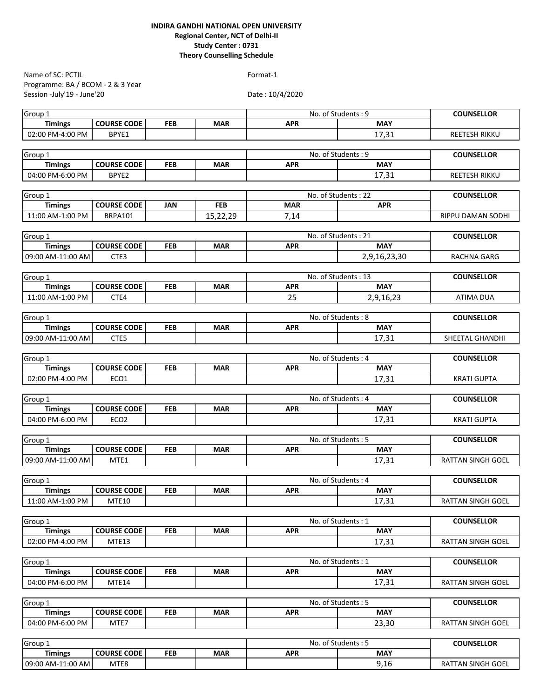| Name of SC: PCTIL                   |                    |                   |            | Format-1                         |              |                          |
|-------------------------------------|--------------------|-------------------|------------|----------------------------------|--------------|--------------------------|
| Programme: BA / BCOM - 2 & 3 Year   |                    |                   |            |                                  |              |                          |
| Session -July'19 - June'20          |                    |                   |            | Date: 10/4/2020                  |              |                          |
|                                     |                    |                   |            |                                  |              |                          |
| Group 1<br><b>Timings</b>           | <b>COURSE CODE</b> | FEB               | <b>MAR</b> | No. of Students: 9<br><b>APR</b> | <b>MAY</b>   | <b>COUNSELLOR</b>        |
| 02:00 PM-4:00 PM                    | BPYE1              |                   |            |                                  | 17,31        | REETESH RIKKU            |
|                                     |                    |                   |            |                                  |              |                          |
| Group 1                             |                    | <b>COUNSELLOR</b> |            |                                  |              |                          |
| <b>Timings</b>                      | <b>COURSE CODE</b> | <b>FEB</b>        | <b>MAR</b> | No. of Students: 9<br><b>APR</b> | <b>MAY</b>   |                          |
| 04:00 PM-6:00 PM                    | BPYE2              |                   |            |                                  | 17,31        | REETESH RIKKU            |
|                                     |                    |                   |            |                                  |              |                          |
| Group 1                             |                    |                   |            | No. of Students: 22              |              | <b>COUNSELLOR</b>        |
| <b>Timings</b>                      | <b>COURSE CODE</b> | <b>JAN</b>        | <b>FEB</b> | <b>MAR</b>                       | <b>APR</b>   |                          |
| 11:00 AM-1:00 PM                    | <b>BRPA101</b>     |                   | 15,22,29   | 7,14                             |              | RIPPU DAMAN SODHI        |
|                                     |                    |                   |            |                                  |              |                          |
| Group 1                             |                    |                   |            | No. of Students: 21              |              | <b>COUNSELLOR</b>        |
| <b>Timings</b>                      | <b>COURSE CODE</b> | <b>FEB</b>        | <b>MAR</b> | <b>APR</b>                       | <b>MAY</b>   |                          |
| 09:00 AM-11:00 AM                   | CTE3               |                   |            |                                  | 2,9,16,23,30 | RACHNA GARG              |
|                                     |                    |                   |            |                                  |              |                          |
| Group 1                             |                    |                   |            | No. of Students: 13              |              | <b>COUNSELLOR</b>        |
| <b>Timings</b>                      | <b>COURSE CODE</b> | FEB               | <b>MAR</b> | <b>APR</b>                       | <b>MAY</b>   |                          |
| 11:00 AM-1:00 PM                    | CTE4               |                   |            | 25                               | 2,9,16,23    | <b>ATIMA DUA</b>         |
|                                     |                    |                   |            |                                  |              |                          |
| Group 1                             | <b>COURSE CODE</b> | <b>FEB</b>        | <b>MAR</b> | No. of Students: 8<br><b>APR</b> | <b>MAY</b>   | <b>COUNSELLOR</b>        |
| <b>Timings</b><br>09:00 AM-11:00 AM | CTE5               |                   |            |                                  |              | SHEETAL GHANDHI          |
|                                     |                    |                   |            |                                  | 17,31        |                          |
| Group 1                             |                    |                   |            | No. of Students: 4               |              | <b>COUNSELLOR</b>        |
| <b>Timings</b>                      | <b>COURSE CODE</b> | <b>FEB</b>        | <b>MAR</b> | <b>APR</b>                       | <b>MAY</b>   |                          |
| 02:00 PM-4:00 PM                    | ECO1               |                   |            |                                  | 17,31        | <b>KRATI GUPTA</b>       |
|                                     |                    |                   |            |                                  |              |                          |
| Group 1                             |                    |                   |            | No. of Students: 4               |              | <b>COUNSELLOR</b>        |
| <b>Timings</b>                      | <b>COURSE CODE</b> | <b>FEB</b>        | <b>MAR</b> | <b>APR</b>                       | <b>MAY</b>   |                          |
| 04:00 PM-6:00 PM                    | ECO <sub>2</sub>   |                   |            |                                  | 17,31        | <b>KRATI GUPTA</b>       |
|                                     |                    |                   |            |                                  |              |                          |
| Group 1                             |                    |                   |            | No. of Students: 5               |              | <b>COUNSELLOR</b>        |
| <b>Timings</b>                      | <b>COURSE CODE</b> | <b>FEB</b>        | <b>MAR</b> | <b>APR</b>                       | <b>MAY</b>   |                          |
| 09:00 AM-11:00 AM                   | MTE1               |                   |            |                                  | 17,31        | RATTAN SINGH GOEL        |
|                                     |                    |                   |            |                                  |              |                          |
| Group 1                             |                    |                   |            | No. of Students: 4               |              | <b>COUNSELLOR</b>        |
| <b>Timings</b>                      | <b>COURSE CODE</b> | FEB               | <b>MAR</b> | <b>APR</b>                       | <b>MAY</b>   |                          |
| 11:00 AM-1:00 PM                    | <b>MTE10</b>       |                   |            |                                  | 17,31        | <b>RATTAN SINGH GOEL</b> |
|                                     |                    |                   |            |                                  |              |                          |
| Group 1                             |                    |                   |            | No. of Students: 1               |              | <b>COUNSELLOR</b>        |
| <b>Timings</b>                      | <b>COURSE CODE</b> | FEB               | <b>MAR</b> | <b>APR</b>                       | <b>MAY</b>   |                          |
| 02:00 PM-4:00 PM                    | MTE13              |                   |            |                                  | 17,31        | RATTAN SINGH GOEL        |
|                                     |                    |                   |            | No. of Students: 1               |              |                          |
| Group 1<br><b>Timings</b>           | <b>COURSE CODE</b> | FEB               | <b>MAR</b> | <b>APR</b>                       | <b>MAY</b>   | <b>COUNSELLOR</b>        |
| 04:00 PM-6:00 PM                    | MTE14              |                   |            |                                  | 17,31        | RATTAN SINGH GOEL        |
|                                     |                    |                   |            |                                  |              |                          |
| Group 1                             |                    |                   |            | No. of Students: 5               |              | <b>COUNSELLOR</b>        |
| <b>Timings</b>                      | <b>COURSE CODE</b> | FEB               | <b>MAR</b> | <b>APR</b>                       | <b>MAY</b>   |                          |
| 04:00 PM-6:00 PM                    | MTE7               |                   |            |                                  | 23,30        | RATTAN SINGH GOEL        |
|                                     |                    |                   |            |                                  |              |                          |
| Group 1                             |                    |                   |            | No. of Students: 5               |              | <b>COUNSELLOR</b>        |
| <b>Timings</b>                      | <b>COURSE CODE</b> | <b>FEB</b>        | <b>MAR</b> | <b>APR</b>                       | <b>MAY</b>   |                          |
| 09:00 AM-11:00 AM                   | MTE8               |                   |            |                                  | 9,16         | RATTAN SINGH GOEL        |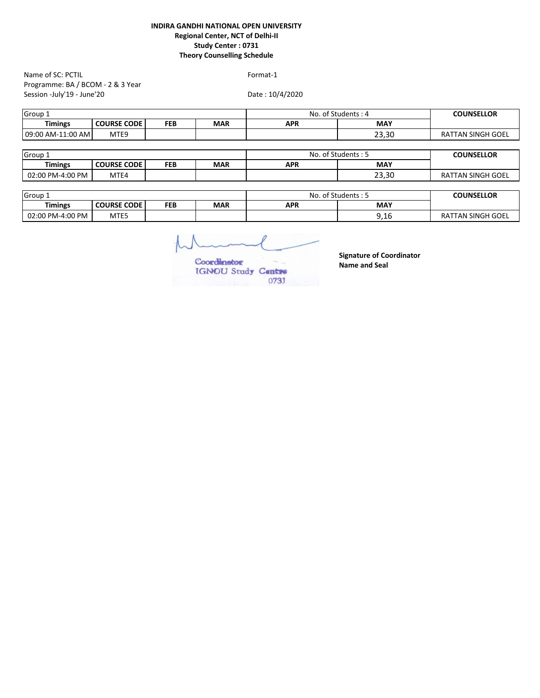Programme: BA / BCOM - 2 & 3 Year Session -July'19 - June'20 Name of SC: PCTIL Format-1

Date : 10/4/2020

| Timings<br><b>MAY</b><br><b>COURSE CODE</b><br>FEB<br><b>MAR</b><br>APR | <b>COUNSELLOR</b>        | No. of Students: 4 | Group 1 |  |  |  |  |
|-------------------------------------------------------------------------|--------------------------|--------------------|---------|--|--|--|--|
|                                                                         |                          |                    |         |  |  |  |  |
| 23.30<br>09:00 AM-11:00 AM<br>MTE9                                      | <b>RATTAN SINGH GOEL</b> |                    |         |  |  |  |  |

| Group <sub>-</sub> |                    |     | ාf Students : ප<br>No | <b>COUNSELLOR</b> |       |                          |
|--------------------|--------------------|-----|-----------------------|-------------------|-------|--------------------------|
| <b>imings</b>      | <b>COURSE CODE</b> | FEB | <b>MAR</b>            | <b>APR</b>        | MAY   |                          |
| 02:00 PM-4:00 PM   | MTE4               |     |                       |                   | 23,30 | <b>RATTAN SINGH GOEL</b> |

| Group 1          |                    |     | $\sim$<br>No<br>. ot | া Students : ্র | <b>COUNSELLOR</b>  |                   |
|------------------|--------------------|-----|----------------------|-----------------|--------------------|-------------------|
| <b>Timings</b>   | <b>COURSE CODE</b> | FEB | <b>MAR</b>           | APR             | <b>MAY</b>         |                   |
| 02:00 PM-4:00 PM | MTE <sub>5</sub>   |     |                      |                 | ົ 1 ເ<br>u<br>9,10 | RATTAN SINGH GOEL |

Coordinator IGNOU Study Centre 0731

**Signature of Coordinator Name and Seal**